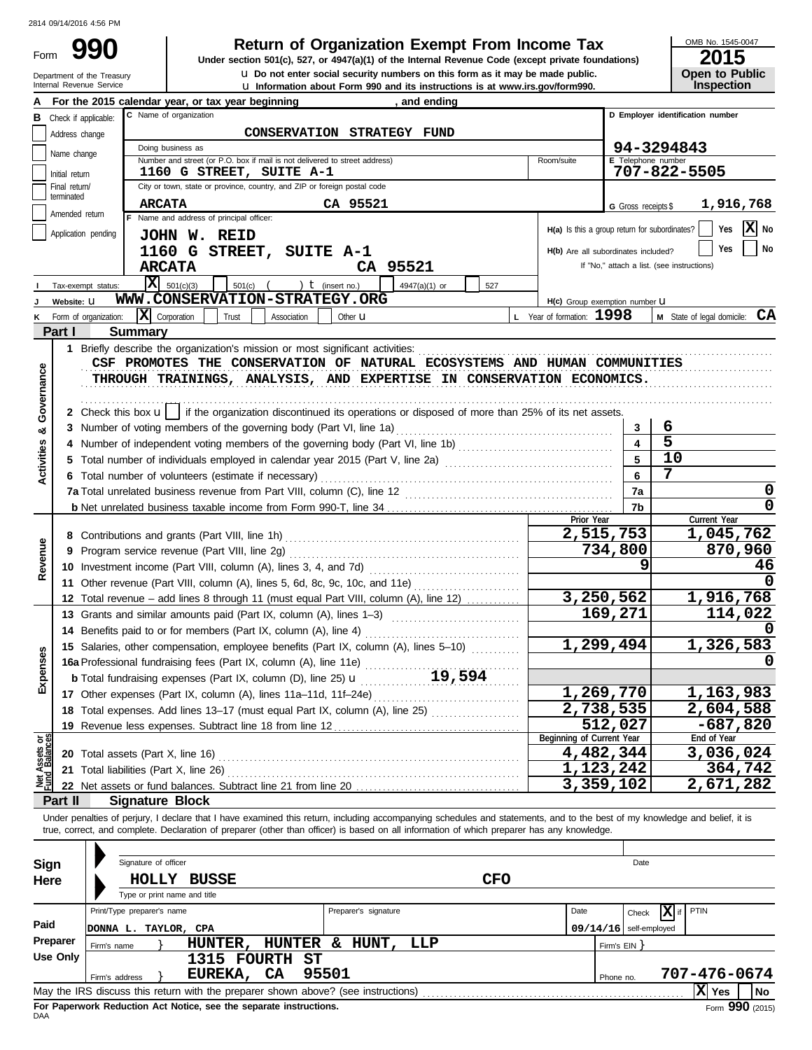Form

Department of the Treasury<br>Internal Revenue Service

u Information about Form 990 and its instructions is at www.irs.gov/form990. **u** Do not enter social security numbers on this form as it may be made public. **990 1990 2015 Depending Solution Solution Solution Script Script Script Script Script Prom Income Tax 1947(a)(1)** of the Internal Revenue Code (except private foundations)

OMB No. 1545-0047

| ZU 15                 |  |
|-----------------------|--|
| <b>Open to Public</b> |  |
| <b>Inspection</b>     |  |

|            |                             | For the 2015 calendar year, or tax year beginning<br>and ending                                                                                                                                                                |                                               |                           |                                            |
|------------|-----------------------------|--------------------------------------------------------------------------------------------------------------------------------------------------------------------------------------------------------------------------------|-----------------------------------------------|---------------------------|--------------------------------------------|
| в          | Check if applicable:        | C Name of organization                                                                                                                                                                                                         |                                               |                           | D Employer identification number           |
|            | Address change              | CONSERVATION STRATEGY FUND                                                                                                                                                                                                     |                                               |                           |                                            |
|            | Name change                 | Doing business as                                                                                                                                                                                                              |                                               |                           | 94-3294843                                 |
|            |                             | Number and street (or P.O. box if mail is not delivered to street address)                                                                                                                                                     | Room/suite                                    | <b>E</b> Telephone number |                                            |
|            | Initial return              | 1160 G STREET, SUITE A-1                                                                                                                                                                                                       |                                               |                           | 707-822-5505                               |
|            | Final return/<br>terminated | City or town, state or province, country, and ZIP or foreign postal code                                                                                                                                                       |                                               |                           |                                            |
|            | Amended return              | <b>ARCATA</b><br>CA 95521                                                                                                                                                                                                      |                                               | G Gross receipts \$       | 1,916,768                                  |
|            |                             | F Name and address of principal officer:                                                                                                                                                                                       | H(a) Is this a group return for subordinates? |                           | X<br>Yes<br>No                             |
|            | Application pending         | JOHN W. REID                                                                                                                                                                                                                   |                                               |                           |                                            |
|            |                             | 1160 G STREET, SUITE A-1                                                                                                                                                                                                       | H(b) Are all subordinates included?           |                           | Yes<br>No                                  |
|            |                             | <b>ARCATA</b><br>CA 95521                                                                                                                                                                                                      |                                               |                           | If "No," attach a list. (see instructions) |
|            | Tax-exempt status:          | $ \mathbf{X} $ 501(c)(3)<br>) $t$ (insert no.)<br>$501(c)$ (<br>4947(a)(1) or<br>527                                                                                                                                           |                                               |                           |                                            |
|            | Website: U                  | WWW.CONSERVATION-STRATEGY.ORG                                                                                                                                                                                                  | H(c) Group exemption number LI                |                           |                                            |
|            | Form of organization:       | X Corporation<br>Trust<br>Association<br>Other <b>u</b>                                                                                                                                                                        | L Year of formation: $1998$                   |                           | <b>M</b> State of legal domicile: $CA$     |
|            | Part I                      | <b>Summary</b>                                                                                                                                                                                                                 |                                               |                           |                                            |
|            |                             | 1 Briefly describe the organization's mission or most significant activities:                                                                                                                                                  |                                               |                           |                                            |
|            |                             | CSF PROMOTES THE CONSERVATION OF NATURAL ECOSYSTEMS AND HUMAN COMMUNITIES                                                                                                                                                      |                                               |                           |                                            |
|            |                             | THROUGH TRAININGS, ANALYSIS, AND EXPERTISE IN CONSERVATION ECONOMICS.                                                                                                                                                          |                                               |                           |                                            |
| Governance |                             |                                                                                                                                                                                                                                |                                               |                           |                                            |
|            |                             | 2 Check this box $\mathbf{u}$   if the organization discontinued its operations or disposed of more than 25% of its net assets.                                                                                                |                                               |                           |                                            |
| య          |                             | 3 Number of voting members of the governing body (Part VI, line 1a)                                                                                                                                                            |                                               | 3                         | 6                                          |
|            |                             |                                                                                                                                                                                                                                |                                               |                           | 5                                          |
|            |                             | 5 Total number of individuals employed in calendar year 2015 (Part V, line 2a) [100] (100] [100] [100] [100] [100] [100] [100] [100] [100] [100] [100] [100] [100] [100] [100] [100] [100] [100] [100] [100] [100] [100] [100] |                                               | 5                         | 10                                         |
| Activities |                             | 6 Total number of volunteers (estimate if necessary)                                                                                                                                                                           |                                               | 6                         | 7                                          |
|            |                             |                                                                                                                                                                                                                                |                                               | 7a                        | 0                                          |
|            |                             |                                                                                                                                                                                                                                |                                               | 7b                        |                                            |
|            |                             |                                                                                                                                                                                                                                | Prior Year                                    |                           | Current Year                               |
|            |                             |                                                                                                                                                                                                                                | 2,515,753                                     |                           | 1,045,762                                  |
|            |                             | 9 Program service revenue (Part VIII, line 2g)                                                                                                                                                                                 |                                               | 734,800                   | 870,960                                    |
| Revenue    |                             | 10 Investment income (Part VIII, column (A), lines 3, 4, and 7d)                                                                                                                                                               |                                               | 9                         | 46                                         |
|            |                             | 11 Other revenue (Part VIII, column (A), lines 5, 6d, 8c, 9c, 10c, and 11e)                                                                                                                                                    |                                               |                           |                                            |
|            |                             | 12 Total revenue - add lines 8 through 11 (must equal Part VIII, column (A), line 12)                                                                                                                                          | 3,250,562                                     |                           | 1,916,768                                  |
|            |                             | 13 Grants and similar amounts paid (Part IX, column (A), lines 1-3)                                                                                                                                                            |                                               | 169,271                   | 114,022                                    |
|            |                             | 14 Benefits paid to or for members (Part IX, column (A), line 4)                                                                                                                                                               |                                               |                           |                                            |
|            |                             | 15 Salaries, other compensation, employee benefits (Part IX, column (A), lines 5-10)                                                                                                                                           | 1,299,494                                     |                           | 1,326,583                                  |
| penses     |                             | 16a Professional fundraising fees (Part IX, column (A), line 11e)                                                                                                                                                              |                                               |                           |                                            |
|            |                             | 19,594<br><b>b</b> Total fundraising expenses (Part IX, column $(D)$ , line 25) $U$                                                                                                                                            |                                               |                           |                                            |
| மி         |                             | 17 Other expenses (Part IX, column (A), lines 11a-11d, 11f-24e)                                                                                                                                                                | 1,269,770                                     |                           | 1,163,983                                  |
|            |                             |                                                                                                                                                                                                                                | 2,738,535                                     |                           | 2,604,588                                  |
|            |                             | 19 Revenue less expenses. Subtract line 18 from line 12                                                                                                                                                                        |                                               | 512,027                   | $-687,820$                                 |
| ර පි<br>උ  |                             |                                                                                                                                                                                                                                | Beginning of Current Year                     |                           | End of Year                                |
| Net Assets |                             |                                                                                                                                                                                                                                | 4,482,344                                     |                           | 3,036,024                                  |
|            |                             |                                                                                                                                                                                                                                | 1,123,242                                     |                           | 364,742                                    |
|            |                             | 22 Net assets or fund balances. Subtract line 21 from line 20                                                                                                                                                                  | 3,359,102                                     |                           | 2,671,282                                  |
|            | Part II                     | <b>Signature Block</b>                                                                                                                                                                                                         |                                               |                           |                                            |
|            |                             | Under penalties of perjury, I declare that I have examined this return, including accompanying schedules and statements, and to the best of my knowledge and belief, it is                                                     |                                               |                           |                                            |
|            |                             | true, correct, and complete. Declaration of preparer (other than officer) is based on all information of which preparer has any knowledge.                                                                                     |                                               |                           |                                            |
|            |                             |                                                                                                                                                                                                                                |                                               |                           |                                            |
| Sign       |                             | Signature of officer                                                                                                                                                                                                           |                                               | Date                      |                                            |
| Here       |                             | <b>CFO</b><br>HOLLY BUSSE                                                                                                                                                                                                      |                                               |                           |                                            |
|            |                             | Type or print name and title                                                                                                                                                                                                   |                                               |                           |                                            |
|            |                             | Print/Type preparer's name<br>Preparer's signature                                                                                                                                                                             | Date                                          | Check                     | x<br>PTIN<br>if                            |
| Paid       |                             | DONNA L. TAYLOR, CPA                                                                                                                                                                                                           |                                               | $09/14/16$ self-employed  |                                            |
|            | Preparer                    | HUNTER, HUNTER & HUNT,<br>LLP<br>Firm's name                                                                                                                                                                                   |                                               | Firm's EIN }              |                                            |
|            | <b>Use Only</b>             | 1315 FOURTH ST                                                                                                                                                                                                                 |                                               |                           |                                            |
|            |                             | 95501<br>EUREKA, CA<br>Firm's address                                                                                                                                                                                          |                                               | Phone no.                 | 707-476-0674                               |
|            |                             | May the IRS discuss this return with the preparer shown above? (see instructions)                                                                                                                                              |                                               |                           | X Yes<br>No                                |

| Sign     | Signature of officer       |             |                                                                                   |                      | Date       |                          |  |                             |  |  |
|----------|----------------------------|-------------|-----------------------------------------------------------------------------------|----------------------|------------|--------------------------|--|-----------------------------|--|--|
| Here     |                            | HOLLY       | <b>BUSSE</b><br>Type or print name and title                                      |                      | <b>CFO</b> |                          |  |                             |  |  |
|          | Print/Type preparer's name |             |                                                                                   | Preparer's signature | Date       |                          |  |                             |  |  |
| Paid     | DONNA L.                   | TAYLOR, CPA |                                                                                   |                      |            | $09/14/16$ self-employed |  |                             |  |  |
| Preparer | Firm's name                |             | HUNTER,                                                                           | HUNTER & HUNT, LLP   |            | Firm's EIN Y             |  |                             |  |  |
| Use Only |                            |             | 1315 FOURTH ST                                                                    |                      |            |                          |  |                             |  |  |
|          | Firm's address             |             | CA<br>EUREKA,                                                                     | 95501                |            | Phone no.                |  | 707-476-0674                |  |  |
|          |                            |             | May the IRS discuss this return with the preparer shown above? (see instructions) |                      |            |                          |  | X Yes<br>No.                |  |  |
|          |                            |             | For Panerwork Reduction Act Notice, see the senarate instructions                 |                      |            |                          |  | $F_{\text{c}}$ 000 $(2045)$ |  |  |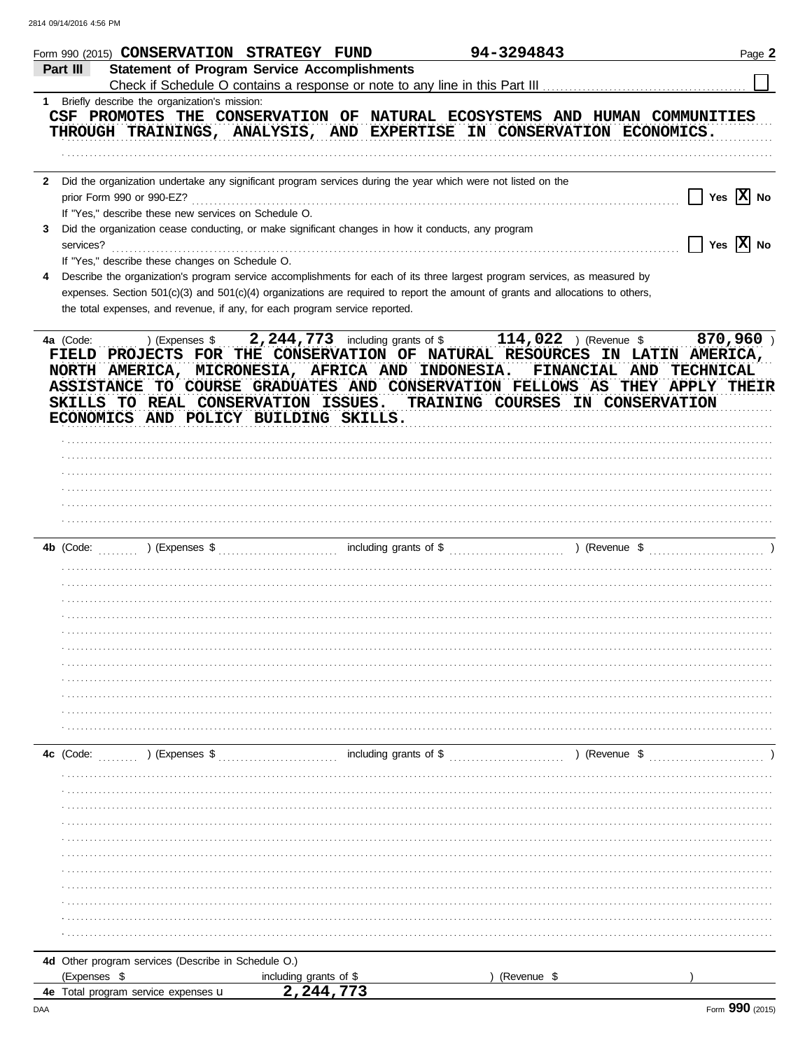|                                                                      | Form 990 (2015) CONSERVATION STRATEGY FUND                                                                   | 94-3294843                                                                                                                                                                                                                                                                                                                                                                                                                                                 | Page 2                       |
|----------------------------------------------------------------------|--------------------------------------------------------------------------------------------------------------|------------------------------------------------------------------------------------------------------------------------------------------------------------------------------------------------------------------------------------------------------------------------------------------------------------------------------------------------------------------------------------------------------------------------------------------------------------|------------------------------|
| Part III                                                             | <b>Statement of Program Service Accomplishments</b>                                                          |                                                                                                                                                                                                                                                                                                                                                                                                                                                            |                              |
| 1 Briefly describe the organization's mission:                       |                                                                                                              |                                                                                                                                                                                                                                                                                                                                                                                                                                                            |                              |
|                                                                      |                                                                                                              | CSF PROMOTES THE CONSERVATION OF NATURAL ECOSYSTEMS AND HUMAN COMMUNITIES<br>THROUGH TRAININGS, ANALYSIS, AND EXPERTISE IN CONSERVATION ECONOMICS.                                                                                                                                                                                                                                                                                                         |                              |
|                                                                      |                                                                                                              |                                                                                                                                                                                                                                                                                                                                                                                                                                                            |                              |
| $\mathbf{2}$<br>If "Yes," describe these new services on Schedule O. | Did the organization undertake any significant program services during the year which were not listed on the |                                                                                                                                                                                                                                                                                                                                                                                                                                                            | Yes $\overline{X}$ No        |
| 3                                                                    | Did the organization cease conducting, or make significant changes in how it conducts, any program           |                                                                                                                                                                                                                                                                                                                                                                                                                                                            | $\Box$ Yes $\overline{X}$ No |
| If "Yes," describe these changes on Schedule O.                      |                                                                                                              |                                                                                                                                                                                                                                                                                                                                                                                                                                                            |                              |
| 4                                                                    |                                                                                                              | Describe the organization's program service accomplishments for each of its three largest program services, as measured by                                                                                                                                                                                                                                                                                                                                 |                              |
|                                                                      | the total expenses, and revenue, if any, for each program service reported.                                  | expenses. Section 501(c)(3) and 501(c)(4) organizations are required to report the amount of grants and allocations to others,                                                                                                                                                                                                                                                                                                                             |                              |
| 4a (Code:                                                            | ECONOMICS AND POLICY BUILDING SKILLS.                                                                        | ) (Expenses $\frac{114}{19}$ , 2, 244, 773 including grants of $\frac{114}{19}$ , 022 ) (Revenue $\frac{114}{19}$ , 022 ) (Revenue $\frac{114}{19}$<br>FIELD PROJECTS FOR THE CONSERVATION OF NATURAL RESOURCES IN LATIN AMERICA,<br>NORTH AMERICA, MICRONESIA, AFRICA AND INDONESIA. FINANCIAL AND<br>ASSISTANCE TO COURSE GRADUATES AND CONSERVATION FELLOWS AS THEY APPLY THEIR<br>SKILLS TO REAL CONSERVATION ISSUES. TRAINING COURSES IN CONSERVATION | <b>TECHNICAL</b>             |
|                                                                      |                                                                                                              |                                                                                                                                                                                                                                                                                                                                                                                                                                                            |                              |
|                                                                      |                                                                                                              |                                                                                                                                                                                                                                                                                                                                                                                                                                                            |                              |
|                                                                      |                                                                                                              |                                                                                                                                                                                                                                                                                                                                                                                                                                                            |                              |
|                                                                      |                                                                                                              |                                                                                                                                                                                                                                                                                                                                                                                                                                                            |                              |
|                                                                      |                                                                                                              |                                                                                                                                                                                                                                                                                                                                                                                                                                                            |                              |
|                                                                      |                                                                                                              |                                                                                                                                                                                                                                                                                                                                                                                                                                                            |                              |
|                                                                      |                                                                                                              |                                                                                                                                                                                                                                                                                                                                                                                                                                                            |                              |
|                                                                      |                                                                                                              |                                                                                                                                                                                                                                                                                                                                                                                                                                                            |                              |
|                                                                      |                                                                                                              |                                                                                                                                                                                                                                                                                                                                                                                                                                                            |                              |
|                                                                      |                                                                                                              |                                                                                                                                                                                                                                                                                                                                                                                                                                                            |                              |
|                                                                      |                                                                                                              |                                                                                                                                                                                                                                                                                                                                                                                                                                                            |                              |
|                                                                      |                                                                                                              |                                                                                                                                                                                                                                                                                                                                                                                                                                                            |                              |
|                                                                      |                                                                                                              |                                                                                                                                                                                                                                                                                                                                                                                                                                                            |                              |
|                                                                      |                                                                                                              |                                                                                                                                                                                                                                                                                                                                                                                                                                                            |                              |
|                                                                      |                                                                                                              |                                                                                                                                                                                                                                                                                                                                                                                                                                                            |                              |
|                                                                      |                                                                                                              |                                                                                                                                                                                                                                                                                                                                                                                                                                                            |                              |
|                                                                      |                                                                                                              |                                                                                                                                                                                                                                                                                                                                                                                                                                                            |                              |
|                                                                      |                                                                                                              |                                                                                                                                                                                                                                                                                                                                                                                                                                                            |                              |
|                                                                      |                                                                                                              |                                                                                                                                                                                                                                                                                                                                                                                                                                                            |                              |
|                                                                      |                                                                                                              |                                                                                                                                                                                                                                                                                                                                                                                                                                                            |                              |
|                                                                      |                                                                                                              |                                                                                                                                                                                                                                                                                                                                                                                                                                                            |                              |
|                                                                      |                                                                                                              |                                                                                                                                                                                                                                                                                                                                                                                                                                                            |                              |
|                                                                      |                                                                                                              |                                                                                                                                                                                                                                                                                                                                                                                                                                                            |                              |
|                                                                      |                                                                                                              |                                                                                                                                                                                                                                                                                                                                                                                                                                                            |                              |
|                                                                      |                                                                                                              |                                                                                                                                                                                                                                                                                                                                                                                                                                                            |                              |
|                                                                      |                                                                                                              |                                                                                                                                                                                                                                                                                                                                                                                                                                                            |                              |
|                                                                      |                                                                                                              |                                                                                                                                                                                                                                                                                                                                                                                                                                                            |                              |
|                                                                      |                                                                                                              |                                                                                                                                                                                                                                                                                                                                                                                                                                                            |                              |
|                                                                      |                                                                                                              |                                                                                                                                                                                                                                                                                                                                                                                                                                                            |                              |
| 4d Other program services (Describe in Schedule O.)<br>(Expenses \$  | including grants of \$                                                                                       | (Revenue \$                                                                                                                                                                                                                                                                                                                                                                                                                                                |                              |
| 4e Total program service expenses u                                  | 2,244,773                                                                                                    |                                                                                                                                                                                                                                                                                                                                                                                                                                                            |                              |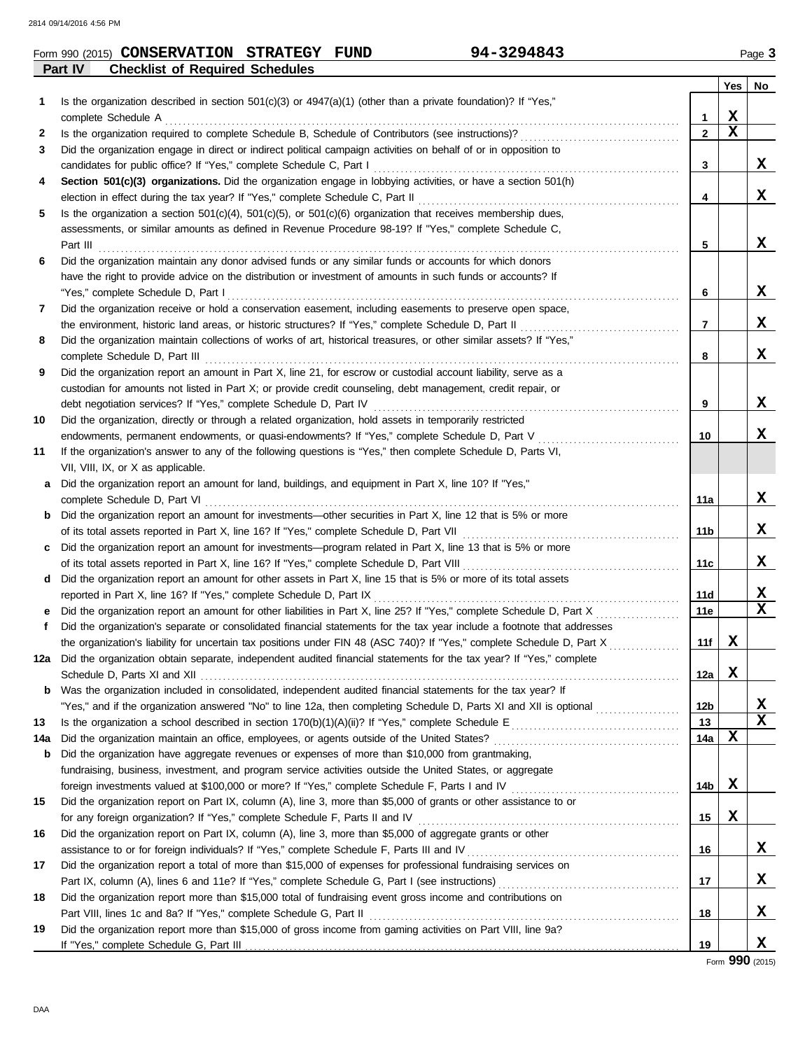#### **Part IV Checklist of Required Schedules Form 990 (2015) CONSERVATION STRATEGY FUND** 94-3294843 Page 3

|     |                                                                                                                         |                 | Yes | No          |
|-----|-------------------------------------------------------------------------------------------------------------------------|-----------------|-----|-------------|
| 1   | Is the organization described in section 501(c)(3) or 4947(a)(1) (other than a private foundation)? If "Yes,"           |                 |     |             |
|     |                                                                                                                         | $\mathbf{1}$    | x   |             |
| 2   |                                                                                                                         | $\mathbf{2}$    | X   |             |
| 3   | Did the organization engage in direct or indirect political campaign activities on behalf of or in opposition to        |                 |     |             |
|     | candidates for public office? If "Yes," complete Schedule C, Part I                                                     | 3               |     | x           |
| 4   | Section 501(c)(3) organizations. Did the organization engage in lobbying activities, or have a section 501(h)           |                 |     |             |
|     |                                                                                                                         | 4               |     | x           |
| 5   | Is the organization a section $501(c)(4)$ , $501(c)(5)$ , or $501(c)(6)$ organization that receives membership dues,    |                 |     |             |
|     | assessments, or similar amounts as defined in Revenue Procedure 98-19? If "Yes," complete Schedule C,                   |                 |     |             |
|     |                                                                                                                         | 5               |     | x           |
| 6   | Did the organization maintain any donor advised funds or any similar funds or accounts for which donors                 |                 |     |             |
|     | have the right to provide advice on the distribution or investment of amounts in such funds or accounts? If             |                 |     |             |
|     |                                                                                                                         | 6               |     | X.          |
| 7   | Did the organization receive or hold a conservation easement, including easements to preserve open space,               |                 |     |             |
|     | the environment, historic land areas, or historic structures? If "Yes," complete Schedule D, Part II                    | $\overline{7}$  |     | X.          |
| 8   | Did the organization maintain collections of works of art, historical treasures, or other similar assets? If "Yes,"     |                 |     |             |
|     | complete Schedule D, Part III                                                                                           | 8               |     | x           |
| 9   | Did the organization report an amount in Part X, line 21, for escrow or custodial account liability, serve as a         |                 |     |             |
|     | custodian for amounts not listed in Part X; or provide credit counseling, debt management, credit repair, or            |                 |     |             |
|     |                                                                                                                         | 9               |     | X.          |
| 10  | Did the organization, directly or through a related organization, hold assets in temporarily restricted                 |                 |     |             |
|     | endowments, permanent endowments, or quasi-endowments? If "Yes," complete Schedule D, Part V                            | 10              |     | x           |
| 11  | If the organization's answer to any of the following questions is "Yes," then complete Schedule D, Parts VI,            |                 |     |             |
|     | VII, VIII, IX, or X as applicable.                                                                                      |                 |     |             |
| a   | Did the organization report an amount for land, buildings, and equipment in Part X, line 10? If "Yes,"                  |                 |     |             |
|     | complete Schedule D, Part VI                                                                                            | 11a             |     | x           |
| b   | Did the organization report an amount for investments—other securities in Part X, line 12 that is 5% or more            |                 |     |             |
|     |                                                                                                                         | 11 <sub>b</sub> |     | X.          |
| C   | Did the organization report an amount for investments—program related in Part X, line 13 that is 5% or more             |                 |     |             |
|     |                                                                                                                         | 11c             |     | x           |
| d   | Did the organization report an amount for other assets in Part X, line 15 that is 5% or more of its total assets        |                 |     |             |
|     |                                                                                                                         | <b>11d</b>      |     | X<br>X      |
| е   |                                                                                                                         | 11e             |     |             |
| f   | Did the organization's separate or consolidated financial statements for the tax year include a footnote that addresses |                 |     |             |
|     | the organization's liability for uncertain tax positions under FIN 48 (ASC 740)? If "Yes," complete Schedule D, Part X  | 11f             | X   |             |
|     | 12a Did the organization obtain separate, independent audited financial statements for the tax year? If "Yes," complete |                 | x   |             |
| b   | Was the organization included in consolidated, independent audited financial statements for the tax year? If            | 12a             |     |             |
|     | "Yes," and if the organization answered "No" to line 12a, then completing Schedule D, Parts XI and XII is optional      | 12 <sub>b</sub> |     | X           |
| 13  |                                                                                                                         | 13              |     | $\mathbf x$ |
| 14a |                                                                                                                         | 14a             | X   |             |
| b   | Did the organization have aggregate revenues or expenses of more than \$10,000 from grantmaking,                        |                 |     |             |
|     | fundraising, business, investment, and program service activities outside the United States, or aggregate               |                 |     |             |
|     | foreign investments valued at \$100,000 or more? If "Yes," complete Schedule F, Parts I and IV [[[[[[[[[[[[[[[[         | 14b             | X   |             |
| 15  | Did the organization report on Part IX, column (A), line 3, more than \$5,000 of grants or other assistance to or       |                 |     |             |
|     |                                                                                                                         | 15              | X   |             |
| 16  | Did the organization report on Part IX, column (A), line 3, more than \$5,000 of aggregate grants or other              |                 |     |             |
|     |                                                                                                                         | 16              |     | X           |
| 17  | Did the organization report a total of more than \$15,000 of expenses for professional fundraising services on          |                 |     |             |
|     |                                                                                                                         | 17              |     | X           |
| 18  | Did the organization report more than \$15,000 total of fundraising event gross income and contributions on             |                 |     |             |
|     | Part VIII, lines 1c and 8a? If "Yes," complete Schedule G, Part II                                                      | 18              |     | X.          |
| 19  | Did the organization report more than \$15,000 of gross income from gaming activities on Part VIII, line 9a?            |                 |     |             |
|     | If "Yes," complete Schedule G, Part III.                                                                                | 19              |     | X.          |

Form **990** (2015)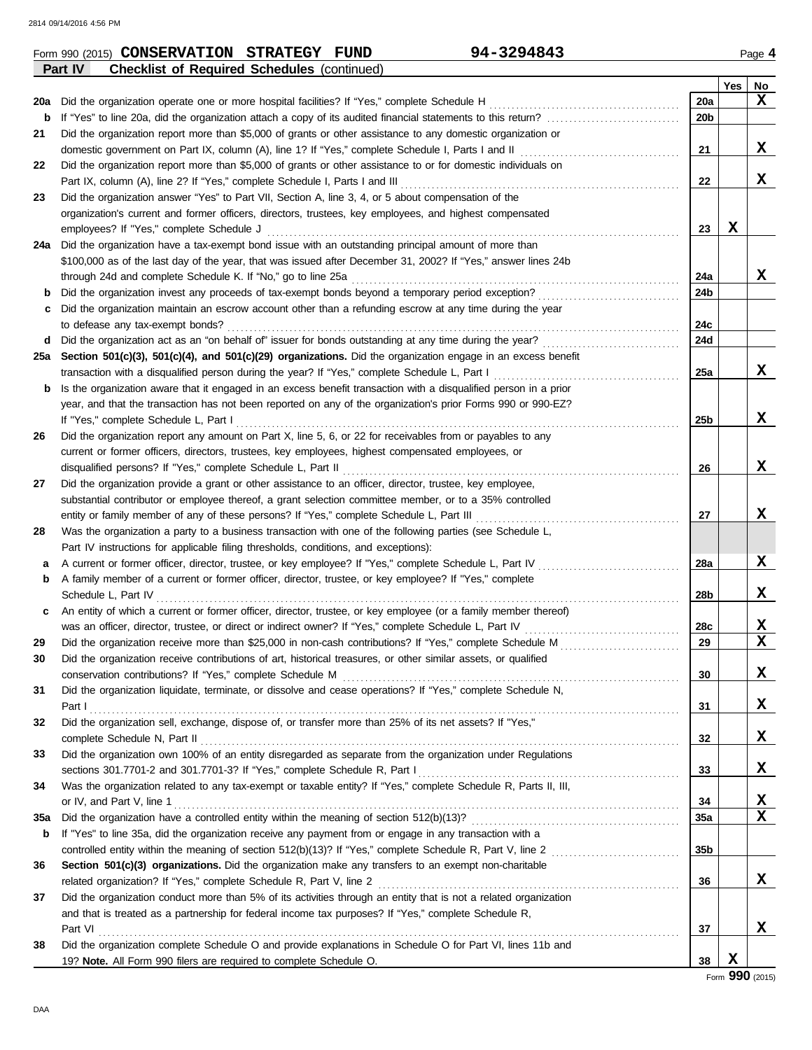|     | <b>Checklist of Required Schedules (continued)</b><br>Part IV                                                                                                                                                        |                 |     |                  |
|-----|----------------------------------------------------------------------------------------------------------------------------------------------------------------------------------------------------------------------|-----------------|-----|------------------|
|     |                                                                                                                                                                                                                      |                 | Yes | No               |
| 20a | Did the organization operate one or more hospital facilities? If "Yes," complete Schedule H                                                                                                                          | 20a             |     | x                |
| b   |                                                                                                                                                                                                                      | 20 <sub>b</sub> |     |                  |
| 21  | Did the organization report more than \$5,000 of grants or other assistance to any domestic organization or                                                                                                          |                 |     |                  |
|     |                                                                                                                                                                                                                      | 21              |     | x                |
| 22  | Did the organization report more than \$5,000 of grants or other assistance to or for domestic individuals on                                                                                                        |                 |     |                  |
|     | Part IX, column (A), line 2? If "Yes," complete Schedule I, Parts I and III                                                                                                                                          | 22              |     | X                |
| 23  | Did the organization answer "Yes" to Part VII, Section A, line 3, 4, or 5 about compensation of the                                                                                                                  |                 |     |                  |
|     | organization's current and former officers, directors, trustees, key employees, and highest compensated                                                                                                              |                 |     |                  |
|     | employees? If "Yes," complete Schedule J                                                                                                                                                                             | 23              | x   |                  |
| 24a | Did the organization have a tax-exempt bond issue with an outstanding principal amount of more than                                                                                                                  |                 |     |                  |
|     | \$100,000 as of the last day of the year, that was issued after December 31, 2002? If "Yes," answer lines 24b                                                                                                        |                 |     |                  |
|     | through 24d and complete Schedule K. If "No," go to line 25a                                                                                                                                                         | 24a             |     | x                |
| b   |                                                                                                                                                                                                                      | 24b             |     |                  |
| с   | Did the organization maintain an escrow account other than a refunding escrow at any time during the year                                                                                                            |                 |     |                  |
|     | to defease any tax-exempt bonds?                                                                                                                                                                                     | 24c             |     |                  |
| d   | Did the organization act as an "on behalf of" issuer for bonds outstanding at any time during the year?                                                                                                              | 24d             |     |                  |
| 25а | Section 501(c)(3), 501(c)(4), and 501(c)(29) organizations. Did the organization engage in an excess benefit                                                                                                         |                 |     |                  |
|     | transaction with a disqualified person during the year? If "Yes," complete Schedule L, Part I                                                                                                                        | 25a             |     | x                |
| b   | Is the organization aware that it engaged in an excess benefit transaction with a disqualified person in a prior                                                                                                     |                 |     |                  |
|     | year, and that the transaction has not been reported on any of the organization's prior Forms 990 or 990-EZ?                                                                                                         |                 |     |                  |
|     | If "Yes," complete Schedule L, Part I                                                                                                                                                                                | 25b             |     | X                |
| 26  | Did the organization report any amount on Part X, line 5, 6, or 22 for receivables from or payables to any                                                                                                           |                 |     |                  |
|     | current or former officers, directors, trustees, key employees, highest compensated employees, or                                                                                                                    |                 |     |                  |
|     | disqualified persons? If "Yes," complete Schedule L, Part II                                                                                                                                                         | 26              |     | x                |
| 27  | Did the organization provide a grant or other assistance to an officer, director, trustee, key employee,                                                                                                             |                 |     |                  |
|     | substantial contributor or employee thereof, a grant selection committee member, or to a 35% controlled                                                                                                              |                 |     |                  |
|     | entity or family member of any of these persons? If "Yes," complete Schedule L, Part III                                                                                                                             | 27              |     | x                |
| 28  | Was the organization a party to a business transaction with one of the following parties (see Schedule L,                                                                                                            |                 |     |                  |
|     | Part IV instructions for applicable filing thresholds, conditions, and exceptions):                                                                                                                                  |                 |     |                  |
| а   | A current or former officer, director, trustee, or key employee? If "Yes," complete Schedule L, Part IV                                                                                                              | 28a             |     | X                |
| b   | A family member of a current or former officer, director, trustee, or key employee? If "Yes," complete                                                                                                               |                 |     |                  |
|     | Schedule L, Part IV                                                                                                                                                                                                  | 28b             |     | x                |
| c   | An entity of which a current or former officer, director, trustee, or key employee (or a family member thereof)                                                                                                      |                 |     |                  |
|     | was an officer, director, trustee, or direct or indirect owner? If "Yes," complete Schedule L, Part IV                                                                                                               | 28c             |     | x<br>$\mathbf x$ |
| 29  | Did the organization receive more than \$25,000 in non-cash contributions? If "Yes," complete Schedule M                                                                                                             | 29              |     |                  |
|     | Did the organization receive contributions of art, historical treasures, or other similar assets, or qualified                                                                                                       |                 |     | X                |
|     |                                                                                                                                                                                                                      | 30              |     |                  |
| 31  | Did the organization liquidate, terminate, or dissolve and cease operations? If "Yes," complete Schedule N,                                                                                                          |                 |     | x                |
|     | Did the organization sell, exchange, dispose of, or transfer more than 25% of its net assets? If "Yes,"                                                                                                              | 31              |     |                  |
| 32  |                                                                                                                                                                                                                      |                 |     | x                |
|     | Did the organization own 100% of an entity disregarded as separate from the organization under Regulations                                                                                                           | 32              |     |                  |
| 33  |                                                                                                                                                                                                                      | 33              |     | x                |
| 34  | Was the organization related to any tax-exempt or taxable entity? If "Yes," complete Schedule R, Parts II, III,                                                                                                      |                 |     |                  |
|     |                                                                                                                                                                                                                      |                 |     | X                |
| 35a |                                                                                                                                                                                                                      | 34<br>35a       |     | $\mathbf x$      |
|     |                                                                                                                                                                                                                      |                 |     |                  |
| b   | If "Yes" to line 35a, did the organization receive any payment from or engage in any transaction with a<br>controlled entity within the meaning of section 512(b)(13)? If "Yes," complete Schedule R, Part V, line 2 | 35 <sub>b</sub> |     |                  |
|     |                                                                                                                                                                                                                      |                 |     |                  |
| 36  | Section 501(c)(3) organizations. Did the organization make any transfers to an exempt non-charitable                                                                                                                 | 36              |     | x                |
| 37  | Did the organization conduct more than 5% of its activities through an entity that is not a related organization                                                                                                     |                 |     |                  |
|     | and that is treated as a partnership for federal income tax purposes? If "Yes," complete Schedule R,                                                                                                                 |                 |     |                  |
|     | Part VI                                                                                                                                                                                                              | 37              |     | X                |
| 38  | Did the organization complete Schedule O and provide explanations in Schedule O for Part VI, lines 11b and                                                                                                           |                 |     |                  |
|     | 19? Note. All Form 990 filers are required to complete Schedule O.                                                                                                                                                   | 38              | X   |                  |
|     |                                                                                                                                                                                                                      |                 | റററ |                  |

#### Form 990 (2015) **CONSERVATION STRATEGY FUND** 94-3294843 Page 4 **CONSERVATION STRATEGY FUND 94-3294843**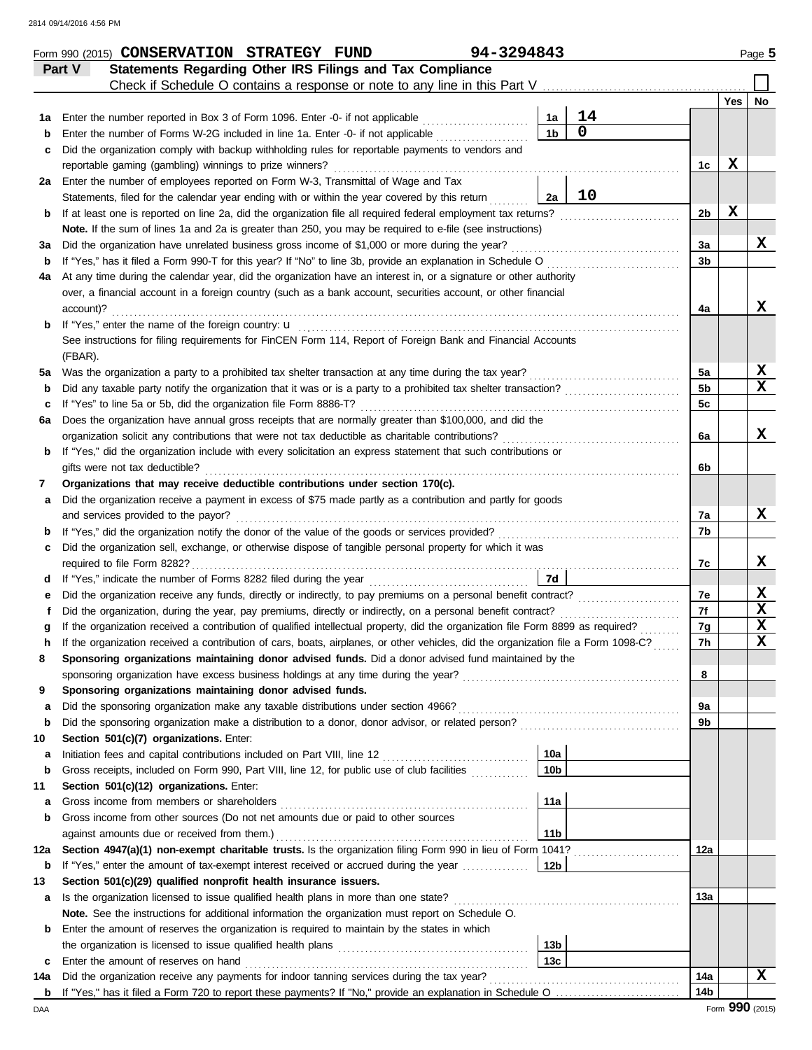|     | Form 990 (2015) CONSERVATION STRATEGY FUND                                                                                         |  | 94-3294843 |                 |             |                |     | Page 5           |
|-----|------------------------------------------------------------------------------------------------------------------------------------|--|------------|-----------------|-------------|----------------|-----|------------------|
|     | Statements Regarding Other IRS Filings and Tax Compliance<br>Part V                                                                |  |            |                 |             |                |     |                  |
|     | Check if Schedule O contains a response or note to any line in this Part V                                                         |  |            |                 |             |                |     |                  |
|     |                                                                                                                                    |  |            |                 |             |                | Yes | No               |
| 1а  | Enter the number reported in Box 3 of Form 1096. Enter -0- if not applicable [                                                     |  |            | 1a              | 14          |                |     |                  |
| b   | Enter the number of Forms W-2G included in line 1a. Enter -0- if not applicable                                                    |  |            | 1 <sub>b</sub>  | $\mathbf 0$ |                |     |                  |
| с   | Did the organization comply with backup withholding rules for reportable payments to vendors and                                   |  |            |                 |             |                |     |                  |
|     | reportable gaming (gambling) winnings to prize winners?                                                                            |  |            |                 |             | 1 <sub>c</sub> | X   |                  |
|     | 2a Enter the number of employees reported on Form W-3, Transmittal of Wage and Tax                                                 |  |            |                 |             |                |     |                  |
|     | Statements, filed for the calendar year ending with or within the year covered by this return                                      |  |            | 2a              | 10          |                |     |                  |
| b   | If at least one is reported on line 2a, did the organization file all required federal employment tax returns?                     |  |            |                 |             | 2b             | X   |                  |
|     | Note. If the sum of lines 1a and 2a is greater than 250, you may be required to e-file (see instructions)                          |  |            |                 |             |                |     |                  |
| За  | Did the organization have unrelated business gross income of \$1,000 or more during the year?                                      |  |            |                 |             | 3a             |     | X                |
| b   |                                                                                                                                    |  |            |                 |             | 3b             |     |                  |
| 4a  | At any time during the calendar year, did the organization have an interest in, or a signature or other authority                  |  |            |                 |             |                |     |                  |
|     | over, a financial account in a foreign country (such as a bank account, securities account, or other financial                     |  |            |                 |             |                |     |                  |
|     | account)?                                                                                                                          |  |            |                 |             | 4a             |     | X                |
| b   |                                                                                                                                    |  |            |                 |             |                |     |                  |
|     | See instructions for filing requirements for FinCEN Form 114, Report of Foreign Bank and Financial Accounts                        |  |            |                 |             |                |     |                  |
|     | (FBAR).                                                                                                                            |  |            |                 |             |                |     |                  |
| 5a  |                                                                                                                                    |  |            |                 |             | 5a             |     | X<br>$\mathbf x$ |
| b   | Did any taxable party notify the organization that it was or is a party to a prohibited tax shelter transaction?                   |  |            |                 |             | 5 <sub>b</sub> |     |                  |
| c   | If "Yes" to line 5a or 5b, did the organization file Form 8886-T?                                                                  |  |            |                 |             | 5 <sub>c</sub> |     |                  |
| 6а  | Does the organization have annual gross receipts that are normally greater than \$100,000, and did the                             |  |            |                 |             |                |     | X                |
|     |                                                                                                                                    |  |            |                 |             | 6a             |     |                  |
| b   | If "Yes," did the organization include with every solicitation an express statement that such contributions or                     |  |            |                 |             |                |     |                  |
|     | gifts were not tax deductible?                                                                                                     |  |            |                 |             | 6b             |     |                  |
| 7   | Organizations that may receive deductible contributions under section 170(c).                                                      |  |            |                 |             |                |     |                  |
| а   | Did the organization receive a payment in excess of \$75 made partly as a contribution and partly for goods                        |  |            |                 |             |                |     | X                |
|     | and services provided to the payor?                                                                                                |  |            |                 |             | 7a             |     |                  |
| b   | Did the organization sell, exchange, or otherwise dispose of tangible personal property for which it was                           |  |            |                 |             | 7b             |     |                  |
| c   | required to file Form 8282?                                                                                                        |  |            |                 |             |                |     | X                |
| d   |                                                                                                                                    |  |            | 7d              |             | 7c             |     |                  |
| е   | Did the organization receive any funds, directly or indirectly, to pay premiums on a personal benefit contract?                    |  |            |                 |             | 7е             |     | X                |
|     |                                                                                                                                    |  |            |                 |             | 7f             |     | X                |
| g   | If the organization received a contribution of qualified intellectual property, did the organization file Form 8899 as required?   |  |            |                 |             | 7g             |     | X                |
|     | If the organization received a contribution of cars, boats, airplanes, or other vehicles, did the organization file a Form 1098-C? |  |            |                 |             | 7h             |     | $\mathbf x$      |
| 8   | Sponsoring organizations maintaining donor advised funds. Did a donor advised fund maintained by the                               |  |            |                 |             |                |     |                  |
|     |                                                                                                                                    |  |            |                 |             | 8              |     |                  |
| 9   | Sponsoring organizations maintaining donor advised funds.                                                                          |  |            |                 |             |                |     |                  |
| a   |                                                                                                                                    |  |            |                 |             | 9a             |     |                  |
| b   |                                                                                                                                    |  |            |                 |             | 9b             |     |                  |
| 10  | Section 501(c)(7) organizations. Enter:                                                                                            |  |            |                 |             |                |     |                  |
| a   |                                                                                                                                    |  |            | 10a             |             |                |     |                  |
| b   | Gross receipts, included on Form 990, Part VIII, line 12, for public use of club facilities                                        |  |            | 10 <sub>b</sub> |             |                |     |                  |
| 11  | Section 501(c)(12) organizations. Enter:                                                                                           |  |            |                 |             |                |     |                  |
| a   |                                                                                                                                    |  |            | 11a             |             |                |     |                  |
| b   | Gross income from other sources (Do not net amounts due or paid to other sources                                                   |  |            |                 |             |                |     |                  |
|     |                                                                                                                                    |  |            | 11 <sub>b</sub> |             |                |     |                  |
| 12a | Section 4947(a)(1) non-exempt charitable trusts. Is the organization filing Form 990 in lieu of Form 1041?                         |  |            |                 |             | 12a            |     |                  |
| b   | If "Yes," enter the amount of tax-exempt interest received or accrued during the year                                              |  |            | 12b             |             |                |     |                  |
| 13  | Section 501(c)(29) qualified nonprofit health insurance issuers.                                                                   |  |            |                 |             |                |     |                  |
| а   | Is the organization licensed to issue qualified health plans in more than one state?                                               |  |            |                 |             | 13a            |     |                  |
|     | Note. See the instructions for additional information the organization must report on Schedule O.                                  |  |            |                 |             |                |     |                  |
| b   | Enter the amount of reserves the organization is required to maintain by the states in which                                       |  |            |                 |             |                |     |                  |
|     |                                                                                                                                    |  |            | 13 <sub>b</sub> |             |                |     |                  |
| c   | Enter the amount of reserves on hand                                                                                               |  |            | 13 <sub>c</sub> |             |                |     |                  |
| 14a | Did the organization receive any payments for indoor tanning services during the tax year?                                         |  |            |                 |             | 14a            |     | х                |
|     |                                                                                                                                    |  |            |                 |             | 14b            |     |                  |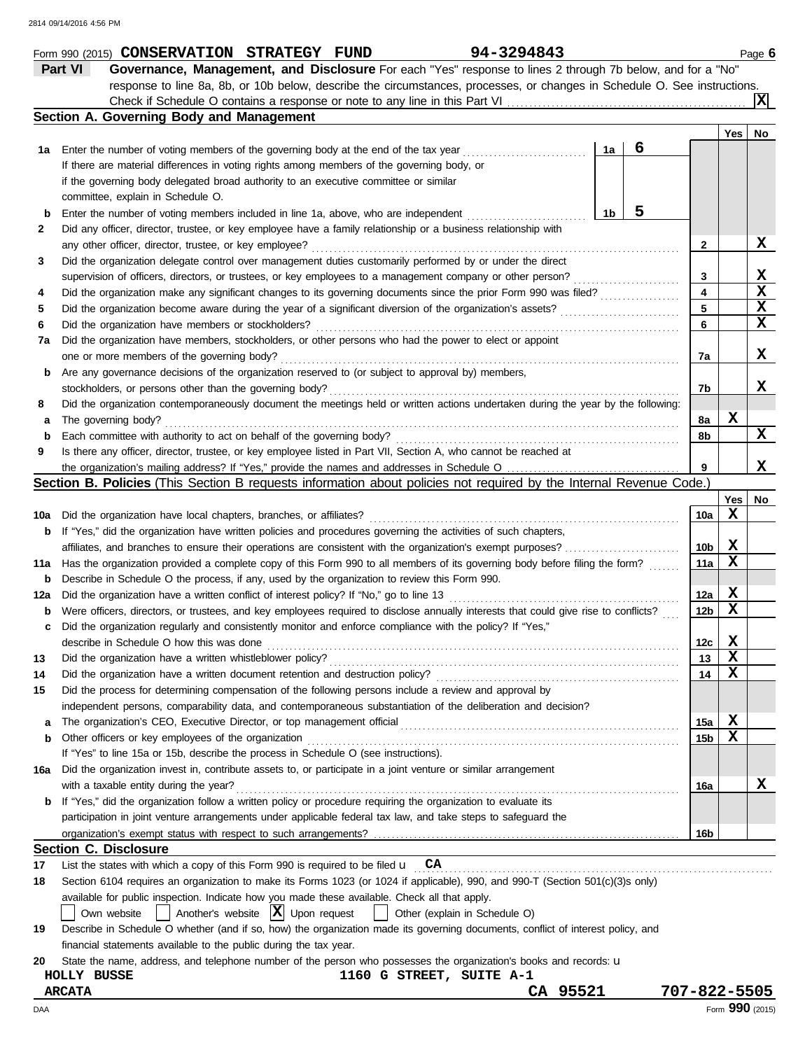|     | 94-3294843<br>Form 990 (2015) CONSERVATION STRATEGY FUND                                                                            |              |             | Page 6          |
|-----|-------------------------------------------------------------------------------------------------------------------------------------|--------------|-------------|-----------------|
|     | Part VI<br>Governance, Management, and Disclosure For each "Yes" response to lines 2 through 7b below, and for a "No"               |              |             |                 |
|     | response to line 8a, 8b, or 10b below, describe the circumstances, processes, or changes in Schedule O. See instructions.           |              |             |                 |
|     |                                                                                                                                     |              |             | Ιx              |
|     | Section A. Governing Body and Management                                                                                            |              |             |                 |
|     |                                                                                                                                     |              | Yes         | No              |
| 1a  | 6<br>1a<br>Enter the number of voting members of the governing body at the end of the tax year                                      |              |             |                 |
|     | If there are material differences in voting rights among members of the governing body, or                                          |              |             |                 |
|     | if the governing body delegated broad authority to an executive committee or similar                                                |              |             |                 |
|     | committee, explain in Schedule O.                                                                                                   |              |             |                 |
|     | 5                                                                                                                                   |              |             |                 |
| b   | 1b<br>Enter the number of voting members included in line 1a, above, who are independent                                            |              |             |                 |
| 2   | Did any officer, director, trustee, or key employee have a family relationship or a business relationship with                      |              |             |                 |
|     | any other officer, director, trustee, or key employee?                                                                              | 2            |             | X               |
| 3   | Did the organization delegate control over management duties customarily performed by or under the direct                           |              |             |                 |
|     | supervision of officers, directors, or trustees, or key employees to a management company or other person?                          | 3            |             | X               |
| 4   | Did the organization make any significant changes to its governing documents since the prior Form 990 was filed?                    | 4            |             | $\mathbf x$     |
| 5   |                                                                                                                                     | 5            |             | X               |
| 6   | Did the organization have members or stockholders?                                                                                  | 6            |             | X               |
| 7a  | Did the organization have members, stockholders, or other persons who had the power to elect or appoint                             |              |             |                 |
|     | one or more members of the governing body?                                                                                          | 7a           |             | X               |
| b   | Are any governance decisions of the organization reserved to (or subject to approval by) members,                                   |              |             |                 |
|     | stockholders, or persons other than the governing body?                                                                             | 7b           |             | x               |
| 8   | Did the organization contemporaneously document the meetings held or written actions undertaken during the year by the following:   |              |             |                 |
| a   | The governing body?                                                                                                                 | 8а           | X           |                 |
| b   | Each committee with authority to act on behalf of the governing body?                                                               | 8b           |             | $\mathbf x$     |
| 9   | Is there any officer, director, trustee, or key employee listed in Part VII, Section A, who cannot be reached at                    |              |             |                 |
|     | the organization's mailing address? If "Yes," provide the names and addresses in Schedule O                                         | 9            |             | x               |
|     | <b>Section B. Policies</b> (This Section B requests information about policies not required by the Internal Revenue Code.)          |              |             |                 |
|     |                                                                                                                                     |              | Yes         | No              |
| 10a | Did the organization have local chapters, branches, or affiliates?                                                                  | 10a          | $\mathbf x$ |                 |
| b   | If "Yes," did the organization have written policies and procedures governing the activities of such chapters,                      |              |             |                 |
|     |                                                                                                                                     | 10b          | X           |                 |
|     |                                                                                                                                     |              | X           |                 |
| 11a | Has the organization provided a complete copy of this Form 990 to all members of its governing body before filing the form?         | 11a          |             |                 |
| b   | Describe in Schedule O the process, if any, used by the organization to review this Form 990.                                       |              |             |                 |
| 12a | Did the organization have a written conflict of interest policy? If "No," go to line 13                                             | 12a          | X           |                 |
| b   | Were officers, directors, or trustees, and key employees required to disclose annually interests that could give rise to conflicts? | 12b          | X           |                 |
| c   | Did the organization regularly and consistently monitor and enforce compliance with the policy? If "Yes,"                           |              |             |                 |
|     | describe in Schedule O how this was done                                                                                            | 12c          | X           |                 |
| 13  | Did the organization have a written whistleblower policy?                                                                           | 13           | X           |                 |
| 14  | Did the organization have a written document retention and destruction policy?                                                      | 14           | x           |                 |
| 15  | Did the process for determining compensation of the following persons include a review and approval by                              |              |             |                 |
|     | independent persons, comparability data, and contemporaneous substantiation of the deliberation and decision?                       |              |             |                 |
| a   | The organization's CEO, Executive Director, or top management official                                                              | 15a          | X           |                 |
| b   | Other officers or key employees of the organization                                                                                 | 15b          | X           |                 |
|     | If "Yes" to line 15a or 15b, describe the process in Schedule O (see instructions).                                                 |              |             |                 |
| 16a | Did the organization invest in, contribute assets to, or participate in a joint venture or similar arrangement                      |              |             |                 |
|     | with a taxable entity during the year?                                                                                              | 16a          |             | x               |
| b   | If "Yes," did the organization follow a written policy or procedure requiring the organization to evaluate its                      |              |             |                 |
|     | participation in joint venture arrangements under applicable federal tax law, and take steps to safeguard the                       |              |             |                 |
|     |                                                                                                                                     | 16b          |             |                 |
|     | <b>Section C. Disclosure</b>                                                                                                        |              |             |                 |
| 17  | List the states with which a copy of this Form 990 is required to be filed $\mathbf{u}$ $\mathbf{CA}$                               |              |             |                 |
| 18  | Section 6104 requires an organization to make its Forms 1023 (or 1024 if applicable), 990, and 990-T (Section 501(c)(3)s only)      |              |             |                 |
|     | available for public inspection. Indicate how you made these available. Check all that apply.                                       |              |             |                 |
|     | Another's website $ \mathbf{X} $ Upon request<br>Other (explain in Schedule O)                                                      |              |             |                 |
|     | Own website                                                                                                                         |              |             |                 |
| 19  | Describe in Schedule O whether (and if so, how) the organization made its governing documents, conflict of interest policy, and     |              |             |                 |
|     | financial statements available to the public during the tax year.                                                                   |              |             |                 |
| 20  | State the name, address, and telephone number of the person who possesses the organization's books and records: <b>u</b>            |              |             |                 |
|     | 1160 G STREET, SUITE A-1<br>HOLLY BUSSE                                                                                             |              |             |                 |
|     | CA 95521<br><b>ARCATA</b>                                                                                                           | 707-822-5505 |             |                 |
| DAA |                                                                                                                                     |              |             | Form 990 (2015) |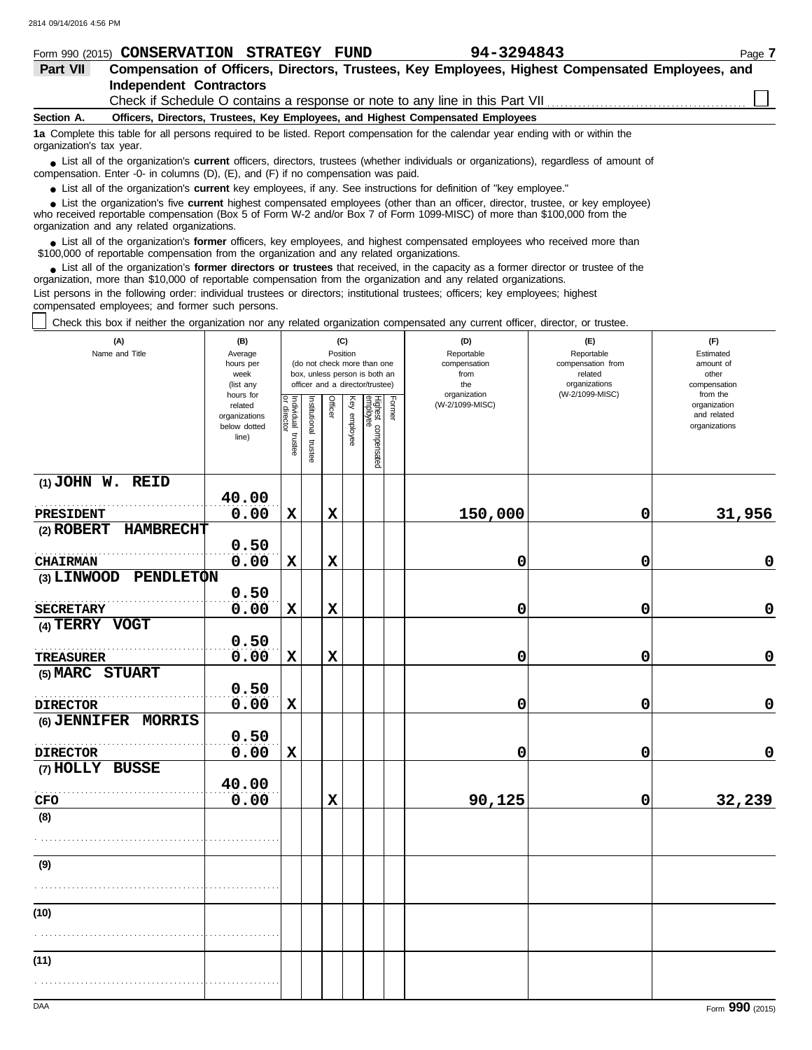|            | Form 990 (2015) CONSERVATION STRATEGY<br><b>FUND</b>                                                                                                                                                                                       | 94-3294843                                                                                                                       | Page 7 |  |  |  |  |  |  |  |
|------------|--------------------------------------------------------------------------------------------------------------------------------------------------------------------------------------------------------------------------------------------|----------------------------------------------------------------------------------------------------------------------------------|--------|--|--|--|--|--|--|--|
| Part VII   | Compensation of Officers, Directors, Trustees, Key Employees, Highest Compensated Employees, and                                                                                                                                           |                                                                                                                                  |        |  |  |  |  |  |  |  |
|            | <b>Independent Contractors</b>                                                                                                                                                                                                             |                                                                                                                                  |        |  |  |  |  |  |  |  |
|            |                                                                                                                                                                                                                                            | Check if Schedule O contains a response or note to any line in this Part VII                                                     |        |  |  |  |  |  |  |  |
| Section A. | Officers, Directors, Trustees, Key Employees, and Highest Compensated Employees                                                                                                                                                            |                                                                                                                                  |        |  |  |  |  |  |  |  |
|            | 1a Complete this table for all persons required to be listed. Report compensation for the calendar year ending with or within the<br>organization's tax year.                                                                              |                                                                                                                                  |        |  |  |  |  |  |  |  |
|            | • List all of the organization's <b>current</b> officers, directors, trustees (whether individuals or organizations), regardless of amount of<br>compensation. Enter -0- in columns $(D)$ , $(E)$ , and $(F)$ if no compensation was paid. |                                                                                                                                  |        |  |  |  |  |  |  |  |
|            | • List all of the organization's <b>current</b> key employees, if any. See instructions for definition of "key employee."                                                                                                                  |                                                                                                                                  |        |  |  |  |  |  |  |  |
|            |                                                                                                                                                                                                                                            | • List the organization's five current highest compensated employees (other than an officer, director, trustee, or key employee) |        |  |  |  |  |  |  |  |

who received reportable compensation (Box 5 of Form W-2 and/or Box 7 of Form 1099-MISC) of more than \$100,000 from the organization and any related organizations. **•**

List all of the organization's **former** officers, key employees, and highest compensated employees who received more than • List all of the organization's **former** officers, key employees, and highest compensate \$100,000 of reportable compensation from the organization and any related organizations.

■ List all of the organization's **former directors or trustees** that received, in the capacity as a former director or trustee of the<br>paization, more than \$10,000 of reportable compensation from the organization and any r organization, more than \$10,000 of reportable compensation from the organization and any related organizations. List persons in the following order: individual trustees or directors; institutional trustees; officers; key employees; highest

compensated employees; and former such persons.

Check this box if neither the organization nor any related organization compensated any current officer, director, or trustee.

| (A)<br>Name and Title                  | (B)<br>Average<br>hours per<br>week<br>(list any               |                    |                       |             | (C)<br>Position | (do not check more than one<br>box, unless person is both an<br>officer and a director/trustee) |        | (D)<br>Reportable<br>compensation<br>from<br>the<br>organization | (E)<br>Reportable<br>compensation from<br>related<br>organizations<br>(W-2/1099-MISC) | (F)<br>Estimated<br>amount of<br>other<br>compensation<br>from the |  |  |
|----------------------------------------|----------------------------------------------------------------|--------------------|-----------------------|-------------|-----------------|-------------------------------------------------------------------------------------------------|--------|------------------------------------------------------------------|---------------------------------------------------------------------------------------|--------------------------------------------------------------------|--|--|
|                                        | hours for<br>related<br>organizations<br>below dotted<br>line) | Individual trustee | Institutional trustee | Officer     | Key employee    | Highest compensated<br>employee                                                                 | Former | (W-2/1099-MISC)                                                  |                                                                                       | organization<br>and related<br>organizations                       |  |  |
| $(1)$ JOHN W. REID                     | 40.00                                                          |                    |                       |             |                 |                                                                                                 |        |                                                                  |                                                                                       |                                                                    |  |  |
| PRESIDENT                              | 0.00                                                           | $\mathbf x$        |                       | $\mathbf x$ |                 |                                                                                                 |        | 150,000                                                          | 0                                                                                     | 31,956                                                             |  |  |
| (2) ROBERT<br><b>HAMBRECHT</b>         |                                                                |                    |                       |             |                 |                                                                                                 |        |                                                                  |                                                                                       |                                                                    |  |  |
|                                        | 0.50                                                           |                    |                       |             |                 |                                                                                                 |        |                                                                  |                                                                                       |                                                                    |  |  |
| <b>CHAIRMAN</b>                        | 0.00                                                           | $\mathbf x$        |                       | $\mathbf x$ |                 |                                                                                                 |        | 0                                                                | 0                                                                                     | $\mathbf 0$                                                        |  |  |
| (3) LINWOOD<br>PENDLETON               |                                                                |                    |                       |             |                 |                                                                                                 |        |                                                                  |                                                                                       |                                                                    |  |  |
|                                        | 0.50                                                           |                    |                       |             |                 |                                                                                                 |        |                                                                  |                                                                                       |                                                                    |  |  |
| <b>SECRETARY</b>                       | 0.00                                                           | $\mathbf x$        |                       | $\mathbf x$ |                 |                                                                                                 |        | 0                                                                | 0                                                                                     | $\pmb{0}$                                                          |  |  |
| (4) TERRY VOGT                         |                                                                |                    |                       |             |                 |                                                                                                 |        |                                                                  |                                                                                       |                                                                    |  |  |
|                                        | 0.50                                                           |                    |                       |             |                 |                                                                                                 |        |                                                                  |                                                                                       |                                                                    |  |  |
| <b>TREASURER</b>                       | 0.00                                                           | $\mathbf x$        |                       | $\mathbf x$ |                 |                                                                                                 |        | 0                                                                | 0                                                                                     | $\mathbf 0$                                                        |  |  |
| (5) MARC STUART                        |                                                                |                    |                       |             |                 |                                                                                                 |        |                                                                  |                                                                                       |                                                                    |  |  |
|                                        | 0.50<br>0.00                                                   | $\mathbf x$        |                       |             |                 |                                                                                                 |        | 0                                                                | 0                                                                                     | $\pmb{0}$                                                          |  |  |
| <b>DIRECTOR</b><br>(6) JENNIFER MORRIS |                                                                |                    |                       |             |                 |                                                                                                 |        |                                                                  |                                                                                       |                                                                    |  |  |
|                                        | 0.50                                                           |                    |                       |             |                 |                                                                                                 |        |                                                                  |                                                                                       |                                                                    |  |  |
| <b>DIRECTOR</b>                        | 0.00                                                           | $\mathbf x$        |                       |             |                 |                                                                                                 |        | 0                                                                | 0                                                                                     | $\mathbf 0$                                                        |  |  |
| (7) HOLLY BUSSE                        |                                                                |                    |                       |             |                 |                                                                                                 |        |                                                                  |                                                                                       |                                                                    |  |  |
|                                        | 40.00                                                          |                    |                       |             |                 |                                                                                                 |        |                                                                  |                                                                                       |                                                                    |  |  |
| CFO                                    | 0.00                                                           |                    |                       | $\mathbf x$ |                 |                                                                                                 |        | 90, 125                                                          | 0                                                                                     | 32,239                                                             |  |  |
| (8)                                    |                                                                |                    |                       |             |                 |                                                                                                 |        |                                                                  |                                                                                       |                                                                    |  |  |
|                                        |                                                                |                    |                       |             |                 |                                                                                                 |        |                                                                  |                                                                                       |                                                                    |  |  |
| (9)                                    |                                                                |                    |                       |             |                 |                                                                                                 |        |                                                                  |                                                                                       |                                                                    |  |  |
|                                        |                                                                |                    |                       |             |                 |                                                                                                 |        |                                                                  |                                                                                       |                                                                    |  |  |
| (10)                                   |                                                                |                    |                       |             |                 |                                                                                                 |        |                                                                  |                                                                                       |                                                                    |  |  |
|                                        |                                                                |                    |                       |             |                 |                                                                                                 |        |                                                                  |                                                                                       |                                                                    |  |  |
| (11)                                   |                                                                |                    |                       |             |                 |                                                                                                 |        |                                                                  |                                                                                       |                                                                    |  |  |
|                                        |                                                                |                    |                       |             |                 |                                                                                                 |        |                                                                  |                                                                                       |                                                                    |  |  |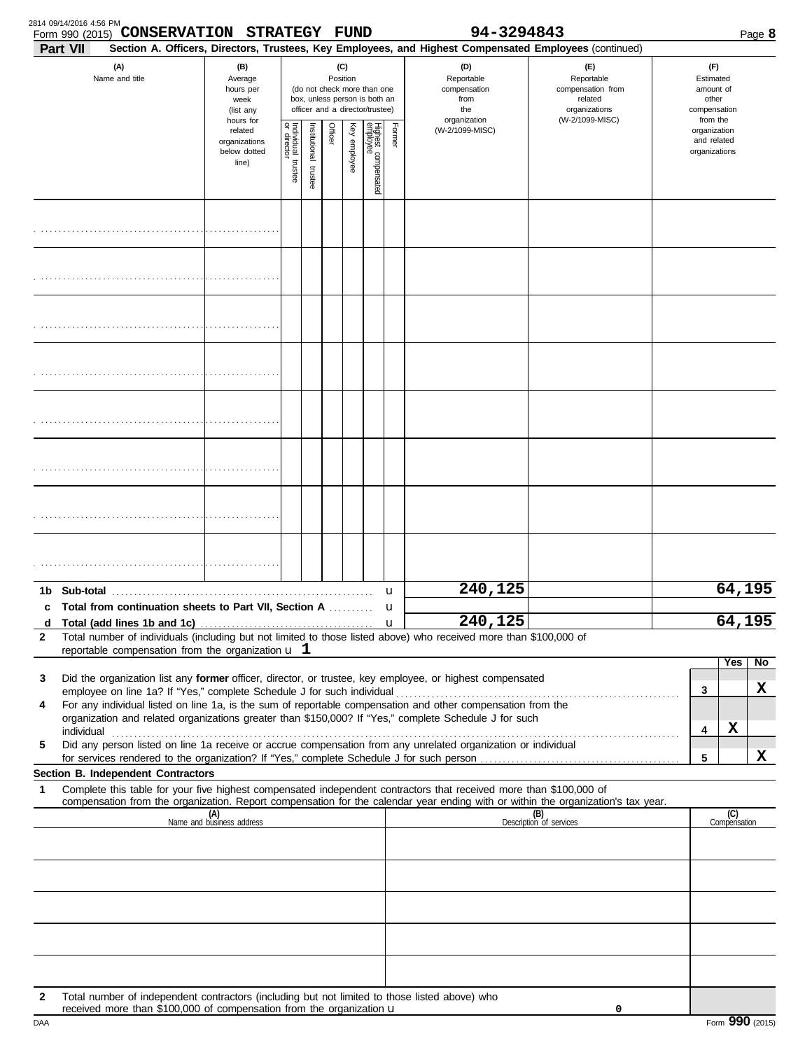|                   | 2814 09/14/2016 4:56 PM<br><b>CONSERVATION STRATEGY</b><br>Form 990 (2015)                                                                                                                                                           |                                                               |                                                                                                                    |                          |         | FUND         |                                 |              | 94-3294843                                                                                             |                                                                                       |                                              |                                                                    |                     | Page 8 |
|-------------------|--------------------------------------------------------------------------------------------------------------------------------------------------------------------------------------------------------------------------------------|---------------------------------------------------------------|--------------------------------------------------------------------------------------------------------------------|--------------------------|---------|--------------|---------------------------------|--------------|--------------------------------------------------------------------------------------------------------|---------------------------------------------------------------------------------------|----------------------------------------------|--------------------------------------------------------------------|---------------------|--------|
|                   | <b>Part VII</b>                                                                                                                                                                                                                      |                                                               |                                                                                                                    |                          |         |              |                                 |              | Section A. Officers, Directors, Trustees, Key Employees, and Highest Compensated Employees (continued) |                                                                                       |                                              |                                                                    |                     |        |
|                   | (A)<br>Name and title                                                                                                                                                                                                                | (B)<br>Average<br>hours per<br>week<br>(list any<br>hours for | (C)<br>Position<br>(do not check more than one<br>box, unless person is both an<br>officer and a director/trustee) |                          |         |              |                                 |              | (D)<br>Reportable<br>compensation<br>from<br>the<br>organization                                       | (F)<br>Reportable<br>compensation from<br>related<br>organizations<br>(W-2/1099-MISC) |                                              | (F)<br>Estimated<br>amount of<br>other<br>compensation<br>from the |                     |        |
|                   |                                                                                                                                                                                                                                      | related<br>organizations<br>below dotted<br>line)             | Individual trustee<br>or director                                                                                  | Institutional<br>trustee | Officer | Key employee | Highest compensated<br>employee | Former       | (W-2/1099-MISC)                                                                                        |                                                                                       | organization<br>and related<br>organizations |                                                                    |                     |        |
|                   |                                                                                                                                                                                                                                      |                                                               |                                                                                                                    |                          |         |              |                                 |              |                                                                                                        |                                                                                       |                                              |                                                                    |                     |        |
|                   |                                                                                                                                                                                                                                      |                                                               |                                                                                                                    |                          |         |              |                                 |              |                                                                                                        |                                                                                       |                                              |                                                                    |                     |        |
|                   |                                                                                                                                                                                                                                      |                                                               |                                                                                                                    |                          |         |              |                                 |              |                                                                                                        |                                                                                       |                                              |                                                                    |                     |        |
|                   |                                                                                                                                                                                                                                      |                                                               |                                                                                                                    |                          |         |              |                                 |              |                                                                                                        |                                                                                       |                                              |                                                                    |                     |        |
|                   |                                                                                                                                                                                                                                      |                                                               |                                                                                                                    |                          |         |              |                                 |              |                                                                                                        |                                                                                       |                                              |                                                                    |                     |        |
|                   |                                                                                                                                                                                                                                      |                                                               |                                                                                                                    |                          |         |              |                                 |              |                                                                                                        |                                                                                       |                                              |                                                                    |                     |        |
|                   |                                                                                                                                                                                                                                      |                                                               |                                                                                                                    |                          |         |              |                                 |              |                                                                                                        |                                                                                       |                                              |                                                                    |                     |        |
|                   |                                                                                                                                                                                                                                      |                                                               |                                                                                                                    |                          |         |              |                                 |              |                                                                                                        |                                                                                       |                                              |                                                                    |                     |        |
| 1b<br>С           | Sub-total<br>Total from continuation sheets to Part VII, Section A                                                                                                                                                                   |                                                               |                                                                                                                    |                          |         |              |                                 | u<br>u       | 240,125                                                                                                |                                                                                       |                                              |                                                                    | 64,195              |        |
| d<br>$\mathbf{2}$ | Total number of individuals (including but not limited to those listed above) who received more than \$100,000 of                                                                                                                    |                                                               |                                                                                                                    |                          |         |              |                                 | $\mathbf{u}$ | 240,125                                                                                                |                                                                                       |                                              |                                                                    | 64,195              |        |
|                   | reportable compensation from the organization $\bf{u}$ 1                                                                                                                                                                             |                                                               |                                                                                                                    |                          |         |              |                                 |              |                                                                                                        |                                                                                       |                                              |                                                                    | Yes                 | No.    |
| 3                 | Did the organization list any former officer, director, or trustee, key employee, or highest compensated                                                                                                                             |                                                               |                                                                                                                    |                          |         |              |                                 |              |                                                                                                        |                                                                                       |                                              |                                                                    |                     |        |
| 4                 | For any individual listed on line 1a, is the sum of reportable compensation and other compensation from the                                                                                                                          |                                                               |                                                                                                                    |                          |         |              |                                 |              |                                                                                                        |                                                                                       |                                              | 3                                                                  |                     | x      |
|                   | organization and related organizations greater than \$150,000? If "Yes," complete Schedule J for such<br>individual<br>Did any person listed on line 1a receive or accrue compensation from any unrelated organization or individual |                                                               |                                                                                                                    |                          |         |              |                                 |              |                                                                                                        |                                                                                       |                                              | 4                                                                  | X                   |        |
| 5                 |                                                                                                                                                                                                                                      |                                                               |                                                                                                                    |                          |         |              |                                 |              |                                                                                                        |                                                                                       |                                              | 5                                                                  |                     | x      |
| 1                 | <b>Section B. Independent Contractors</b><br>Complete this table for your five highest compensated independent contractors that received more than \$100,000 of                                                                      |                                                               |                                                                                                                    |                          |         |              |                                 |              |                                                                                                        |                                                                                       |                                              |                                                                    |                     |        |
|                   | compensation from the organization. Report compensation for the calendar year ending with or within the organization's tax year.                                                                                                     |                                                               |                                                                                                                    |                          |         |              |                                 |              |                                                                                                        |                                                                                       |                                              |                                                                    |                     |        |
|                   |                                                                                                                                                                                                                                      | (A)<br>Name and business address                              |                                                                                                                    |                          |         |              |                                 |              |                                                                                                        | (B)<br>Description of services                                                        |                                              |                                                                    | (C)<br>Compensation |        |
|                   |                                                                                                                                                                                                                                      |                                                               |                                                                                                                    |                          |         |              |                                 |              |                                                                                                        |                                                                                       |                                              |                                                                    |                     |        |
|                   |                                                                                                                                                                                                                                      |                                                               |                                                                                                                    |                          |         |              |                                 |              |                                                                                                        |                                                                                       |                                              |                                                                    |                     |        |
|                   |                                                                                                                                                                                                                                      |                                                               |                                                                                                                    |                          |         |              |                                 |              |                                                                                                        |                                                                                       |                                              |                                                                    |                     |        |
| 2                 | Total number of independent contractors (including but not limited to those listed above) who<br>received more than \$100,000 of compensation from the organization u                                                                |                                                               |                                                                                                                    |                          |         |              |                                 |              |                                                                                                        | 0                                                                                     |                                              |                                                                    |                     |        |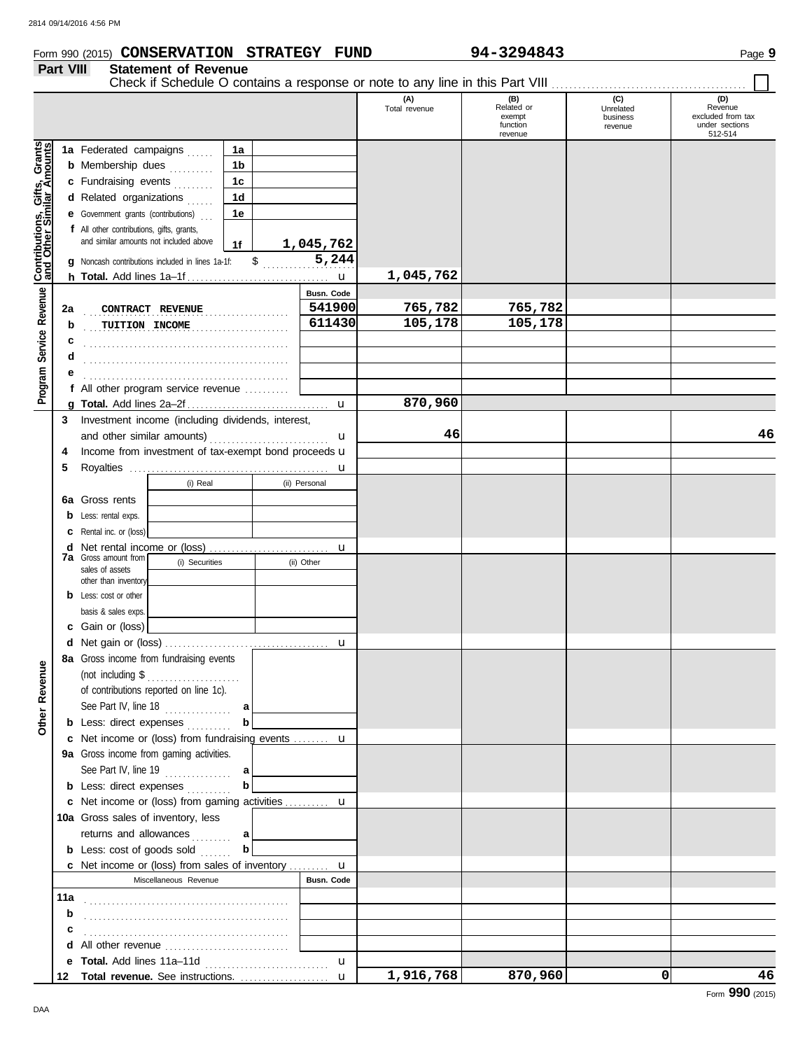#### **Form 990 (2015) CONSERVATION STRATEGY FUND** 94-3294843 Page 9

#### **Part VIII Statement of Revenue**

|                                                      |     |                                                                                     |                |                |                   | (A)<br>Total revenue | (B)<br>Related or<br>exempt<br>function<br>revenue | (C)<br>Unrelated<br>business<br>revenue | (D)<br>Revenue<br>excluded from tax<br>under sections<br>512-514 |
|------------------------------------------------------|-----|-------------------------------------------------------------------------------------|----------------|----------------|-------------------|----------------------|----------------------------------------------------|-----------------------------------------|------------------------------------------------------------------|
|                                                      |     | 1a Federated campaigns                                                              | 1a             |                |                   |                      |                                                    |                                         |                                                                  |
| Program Service Revenue Contributions, Gifts, Grants |     | <b>b</b> Membership dues                                                            | 1 <sub>b</sub> |                |                   |                      |                                                    |                                         |                                                                  |
|                                                      |     | c Fundraising events                                                                | 1 <sub>c</sub> |                |                   |                      |                                                    |                                         |                                                                  |
|                                                      |     | d Related organizations                                                             | 1 <sub>d</sub> |                |                   |                      |                                                    |                                         |                                                                  |
|                                                      |     | <b>e</b> Government grants (contributions)                                          | 1e             |                |                   |                      |                                                    |                                         |                                                                  |
|                                                      |     | f All other contributions, gifts, grants,                                           |                |                |                   |                      |                                                    |                                         |                                                                  |
|                                                      |     | and similar amounts not included above                                              | 1f             |                | 1,045,762         |                      |                                                    |                                         |                                                                  |
|                                                      |     | g Noncash contributions included in lines 1a-1f:                                    |                | $\updownarrow$ | 5,244             |                      |                                                    |                                         |                                                                  |
|                                                      |     |                                                                                     |                |                |                   | 1,045,762            |                                                    |                                         |                                                                  |
|                                                      |     |                                                                                     |                |                | <b>Busn. Code</b> |                      |                                                    |                                         |                                                                  |
|                                                      | 2a  | CONTRACT REVENUE                                                                    | .              |                | 541900            | 765,782              | 765,782                                            |                                         |                                                                  |
|                                                      | b   | TUITION INCOME                                                                      |                |                | 611430            | 105,178              | 105,178                                            |                                         |                                                                  |
|                                                      | с   |                                                                                     |                |                |                   |                      |                                                    |                                         |                                                                  |
|                                                      | d   |                                                                                     |                |                |                   |                      |                                                    |                                         |                                                                  |
|                                                      |     |                                                                                     |                |                |                   |                      |                                                    |                                         |                                                                  |
|                                                      |     | f All other program service revenue                                                 |                |                |                   |                      |                                                    |                                         |                                                                  |
|                                                      |     |                                                                                     |                |                |                   | 870,960              |                                                    |                                         |                                                                  |
|                                                      |     | 3 Investment income (including dividends, interest,                                 |                |                |                   |                      |                                                    |                                         |                                                                  |
|                                                      |     | and other similar amounts)                                                          |                |                | u                 | 46                   |                                                    |                                         | 46                                                               |
|                                                      | 4   | Income from investment of tax-exempt bond proceeds u                                |                |                |                   |                      |                                                    |                                         |                                                                  |
|                                                      | 5   |                                                                                     |                |                |                   |                      |                                                    |                                         |                                                                  |
|                                                      |     | (i) Real                                                                            |                |                | (ii) Personal     |                      |                                                    |                                         |                                                                  |
|                                                      |     | 6a Gross rents                                                                      |                |                |                   |                      |                                                    |                                         |                                                                  |
|                                                      |     | <b>b</b> Less: rental exps.                                                         |                |                |                   |                      |                                                    |                                         |                                                                  |
|                                                      |     | <b>c</b> Rental inc. or (loss)                                                      |                |                |                   |                      |                                                    |                                         |                                                                  |
|                                                      |     |                                                                                     |                |                |                   |                      |                                                    |                                         |                                                                  |
|                                                      |     | <b>7a</b> Gross amount from<br>(i) Securities                                       |                |                | u<br>(ii) Other   |                      |                                                    |                                         |                                                                  |
|                                                      |     | sales of assets                                                                     |                |                |                   |                      |                                                    |                                         |                                                                  |
|                                                      |     | other than inventory                                                                |                |                |                   |                      |                                                    |                                         |                                                                  |
|                                                      |     | <b>b</b> Less: cost or other                                                        |                |                |                   |                      |                                                    |                                         |                                                                  |
|                                                      |     | basis & sales exps.<br>c Gain or (loss)                                             |                |                |                   |                      |                                                    |                                         |                                                                  |
|                                                      |     |                                                                                     |                |                |                   |                      |                                                    |                                         |                                                                  |
|                                                      |     |                                                                                     |                |                |                   |                      |                                                    |                                         |                                                                  |
| ω                                                    |     | 8a Gross income from fundraising events                                             |                |                |                   |                      |                                                    |                                         |                                                                  |
|                                                      |     | (not including \$<br>.                                                              |                |                |                   |                      |                                                    |                                         |                                                                  |
| Other Revenu                                         |     | of contributions reported on line 1c).                                              |                |                |                   |                      |                                                    |                                         |                                                                  |
|                                                      |     | See Part IV, line $18$                                                              | a              |                |                   |                      |                                                    |                                         |                                                                  |
|                                                      |     | <b>b</b> Less: direct expenses<br>c Net income or (loss) from fundraising events  u | b              |                |                   |                      |                                                    |                                         |                                                                  |
|                                                      |     |                                                                                     |                |                |                   |                      |                                                    |                                         |                                                                  |
|                                                      |     | 9a Gross income from gaming activities.                                             |                |                |                   |                      |                                                    |                                         |                                                                  |
|                                                      |     | See Part IV, line $19$                                                              | a              |                |                   |                      |                                                    |                                         |                                                                  |
|                                                      |     | <b>b</b> Less: direct expenses                                                      | b              |                |                   |                      |                                                    |                                         |                                                                  |
|                                                      |     | c Net income or (loss) from gaming activities  u                                    |                |                |                   |                      |                                                    |                                         |                                                                  |
|                                                      |     | 10a Gross sales of inventory, less                                                  |                |                |                   |                      |                                                    |                                         |                                                                  |
|                                                      |     | returns and allowances                                                              | a              |                |                   |                      |                                                    |                                         |                                                                  |
|                                                      |     | <b>b</b> Less: cost of goods sold                                                   | $\mathbf{b}$   |                |                   |                      |                                                    |                                         |                                                                  |
|                                                      |     | c Net income or (loss) from sales of inventory  u                                   |                |                |                   |                      |                                                    |                                         |                                                                  |
|                                                      |     | Miscellaneous Revenue                                                               |                |                | Busn. Code        |                      |                                                    |                                         |                                                                  |
|                                                      | 11a |                                                                                     |                |                |                   |                      |                                                    |                                         |                                                                  |
|                                                      | b   |                                                                                     |                |                |                   |                      |                                                    |                                         |                                                                  |
|                                                      | c   |                                                                                     |                |                |                   |                      |                                                    |                                         |                                                                  |
|                                                      |     | <b>d</b> All other revenue $\ldots$ $\ldots$ $\ldots$ $\ldots$ $\ldots$             |                |                |                   |                      |                                                    |                                         |                                                                  |
|                                                      |     |                                                                                     |                |                | u                 |                      |                                                    |                                         |                                                                  |
|                                                      |     |                                                                                     |                |                |                   | 1,916,768            | 870,960                                            | 0                                       | 46                                                               |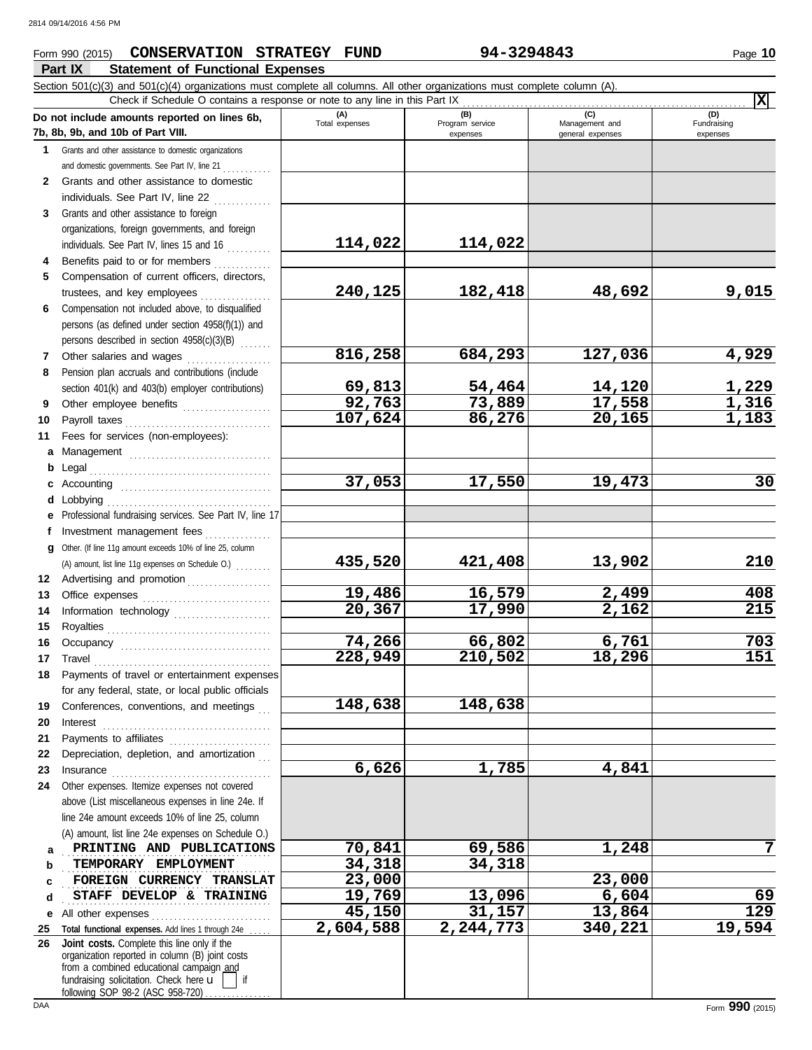## **Part IX** Statement of Functional Expenses **Form 990 (2015) CONSERVATION STRATEGY FUND 94-3294843** Page 10

|              | Section $501(c)(3)$ and $501(c)(4)$ organizations must complete all columns. All other organizations must complete column (A).<br>X<br>Check if Schedule O contains a response or note to any line in this Part IX            |                       |                                    |                                           |                                |  |  |
|--------------|-------------------------------------------------------------------------------------------------------------------------------------------------------------------------------------------------------------------------------|-----------------------|------------------------------------|-------------------------------------------|--------------------------------|--|--|
|              | Do not include amounts reported on lines 6b,<br>7b, 8b, 9b, and 10b of Part VIII.                                                                                                                                             | (A)<br>Total expenses | (B)<br>Program service<br>expenses | (C)<br>Management and<br>general expenses | (D)<br>Fundraising<br>expenses |  |  |
|              | 1 Grants and other assistance to domestic organizations                                                                                                                                                                       |                       |                                    |                                           |                                |  |  |
|              | and domestic governments. See Part IV, line 21                                                                                                                                                                                |                       |                                    |                                           |                                |  |  |
| $\mathbf{2}$ | Grants and other assistance to domestic                                                                                                                                                                                       |                       |                                    |                                           |                                |  |  |
|              | individuals. See Part IV, line 22                                                                                                                                                                                             |                       |                                    |                                           |                                |  |  |
| 3            | Grants and other assistance to foreign                                                                                                                                                                                        |                       |                                    |                                           |                                |  |  |
|              | organizations, foreign governments, and foreign                                                                                                                                                                               |                       |                                    |                                           |                                |  |  |
|              | individuals. See Part IV, lines 15 and 16                                                                                                                                                                                     | 114,022               | 114,022                            |                                           |                                |  |  |
| 4            | Benefits paid to or for members                                                                                                                                                                                               |                       |                                    |                                           |                                |  |  |
| 5            | Compensation of current officers, directors,                                                                                                                                                                                  |                       |                                    |                                           |                                |  |  |
|              | trustees, and key employees                                                                                                                                                                                                   | 240,125               | 182,418                            | 48,692                                    | 9,015                          |  |  |
| 6            | Compensation not included above, to disqualified                                                                                                                                                                              |                       |                                    |                                           |                                |  |  |
|              | persons (as defined under section 4958(f)(1)) and                                                                                                                                                                             |                       |                                    |                                           |                                |  |  |
|              | persons described in section 4958(c)(3)(B)                                                                                                                                                                                    |                       |                                    |                                           |                                |  |  |
| 7            | Other salaries and wages                                                                                                                                                                                                      | 816,258               | 684,293                            | 127,036                                   | 4,929                          |  |  |
| 8            | Pension plan accruals and contributions (include                                                                                                                                                                              |                       |                                    |                                           |                                |  |  |
|              | section 401(k) and 403(b) employer contributions)                                                                                                                                                                             | 69,813                | 54,464                             | 14,120                                    | <u>1,229</u>                   |  |  |
| 9            | Other employee benefits                                                                                                                                                                                                       | 92,763                | 73,889                             | 17,558                                    | 1,316                          |  |  |
| 10           |                                                                                                                                                                                                                               | 107,624               | 86,276                             | 20,165                                    | 1,183                          |  |  |
| 11           | Fees for services (non-employees):                                                                                                                                                                                            |                       |                                    |                                           |                                |  |  |
| a            | Management                                                                                                                                                                                                                    |                       |                                    |                                           |                                |  |  |
| b            |                                                                                                                                                                                                                               |                       |                                    |                                           |                                |  |  |
|              |                                                                                                                                                                                                                               | 37,053                | 17,550                             | 19,473                                    | 30                             |  |  |
| d            |                                                                                                                                                                                                                               |                       |                                    |                                           |                                |  |  |
|              | Professional fundraising services. See Part IV, line 17                                                                                                                                                                       |                       |                                    |                                           |                                |  |  |
|              | Investment management fees                                                                                                                                                                                                    |                       |                                    |                                           |                                |  |  |
| g            | Other. (If line 11g amount exceeds 10% of line 25, column                                                                                                                                                                     |                       |                                    |                                           |                                |  |  |
|              | (A) amount, list line 11g expenses on Schedule O.)                                                                                                                                                                            | 435,520               | 421,408                            | 13,902                                    | 210                            |  |  |
| 12           | Advertising and promotion                                                                                                                                                                                                     | 19,486                | 16,579                             | 2,499                                     | 408                            |  |  |
| 13           |                                                                                                                                                                                                                               | 20,367                | 17,990                             | 2,162                                     | 215                            |  |  |
| 14<br>15     | Information technology                                                                                                                                                                                                        |                       |                                    |                                           |                                |  |  |
| 16           |                                                                                                                                                                                                                               | 74,266                | 66,802                             | 6,761                                     | 703                            |  |  |
| 17           |                                                                                                                                                                                                                               | 228,949               | 210,502                            | 18,296                                    | 151                            |  |  |
|              | 18 Payments of travel or entertainment expenses                                                                                                                                                                               |                       |                                    |                                           |                                |  |  |
|              | for any federal, state, or local public officials                                                                                                                                                                             |                       |                                    |                                           |                                |  |  |
| 19           | Conferences, conventions, and meetings                                                                                                                                                                                        | 148,638               | 148,638                            |                                           |                                |  |  |
| 20           | Interest                                                                                                                                                                                                                      |                       |                                    |                                           |                                |  |  |
| 21           | Payments to affiliates [11] contains a set of the set of the set of the set of the set of the set of the set of the set of the set of the set of the set of the set of the set of the set of the set of the set of the set of |                       |                                    |                                           |                                |  |  |
| 22           | Depreciation, depletion, and amortization                                                                                                                                                                                     |                       |                                    |                                           |                                |  |  |
| 23           |                                                                                                                                                                                                                               | 6,626                 | 1,785                              | 4,841                                     |                                |  |  |
| 24           | Other expenses. Itemize expenses not covered                                                                                                                                                                                  |                       |                                    |                                           |                                |  |  |
|              | above (List miscellaneous expenses in line 24e. If                                                                                                                                                                            |                       |                                    |                                           |                                |  |  |
|              | line 24e amount exceeds 10% of line 25, column                                                                                                                                                                                |                       |                                    |                                           |                                |  |  |
|              | (A) amount, list line 24e expenses on Schedule O.)                                                                                                                                                                            |                       |                                    |                                           |                                |  |  |
| a            | PRINTING AND PUBLICATIONS                                                                                                                                                                                                     | 70,841                | 69,586                             | 1,248                                     | 7                              |  |  |
| b            | TEMPORARY EMPLOYMENT                                                                                                                                                                                                          | 34,318                | 34,318                             |                                           |                                |  |  |
| C            | FOREIGN CURRENCY TRANSLAT                                                                                                                                                                                                     | 23,000                |                                    | 23,000                                    |                                |  |  |
| d            | STAFF DEVELOP & TRAINING                                                                                                                                                                                                      | 19,769                | 13,096                             | 6,604                                     | 69                             |  |  |
| е            | All other expenses                                                                                                                                                                                                            | 45,150                | 31,157                             | 13,864                                    | $\overline{129}$               |  |  |
| 25<br>26     | Total functional expenses. Add lines 1 through 24e<br>Joint costs. Complete this line only if the                                                                                                                             | 2,604,588             | 2,244,773                          | 340,221                                   | 19,594                         |  |  |
|              | organization reported in column (B) joint costs                                                                                                                                                                               |                       |                                    |                                           |                                |  |  |
|              | from a combined educational campaign and                                                                                                                                                                                      |                       |                                    |                                           |                                |  |  |
|              | fundraising solicitation. Check here u<br>if<br>following SOP 98-2 (ASC 958-720)                                                                                                                                              |                       |                                    |                                           |                                |  |  |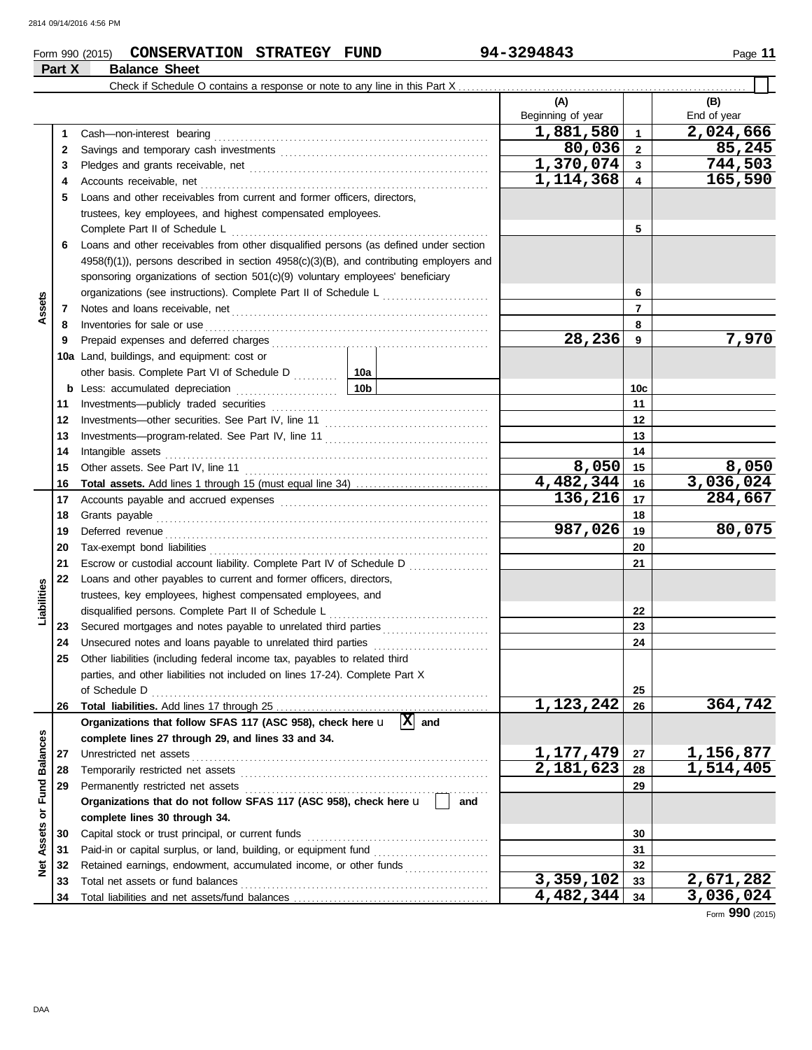#### **Form 990 (2015) CONSERVATION STRATEGY FUND** 94-3294843 Page 11 **Part X Balance Sheet**

 $\overline{\Box}$ 

|                 |          | Check if Schedule O contains a response or note to any line in this Part X.                                                                                               |                          |                |                    |
|-----------------|----------|---------------------------------------------------------------------------------------------------------------------------------------------------------------------------|--------------------------|----------------|--------------------|
|                 |          |                                                                                                                                                                           | (A)<br>Beginning of year |                | (B)<br>End of year |
|                 | 1        |                                                                                                                                                                           | 1,881,580                | $\mathbf{1}$   | 2,024,666          |
|                 | 2        |                                                                                                                                                                           | 80,036                   | $\overline{2}$ | 85,245             |
|                 | 3        |                                                                                                                                                                           | 1,370,074                | $\mathbf{3}$   | 744,503            |
|                 | 4        |                                                                                                                                                                           | 1,114,368                | 4              | 165,590            |
|                 | 5        | Loans and other receivables from current and former officers, directors,                                                                                                  |                          |                |                    |
|                 |          | trustees, key employees, and highest compensated employees.                                                                                                               |                          |                |                    |
|                 |          |                                                                                                                                                                           |                          | 5              |                    |
|                 | 6        | Loans and other receivables from other disqualified persons (as defined under section                                                                                     |                          |                |                    |
|                 |          | $4958(f)(1)$ , persons described in section $4958(c)(3)(B)$ , and contributing employers and                                                                              |                          |                |                    |
|                 |          | sponsoring organizations of section 501(c)(9) voluntary employees' beneficiary                                                                                            |                          |                |                    |
|                 |          | organizations (see instructions). Complete Part II of Schedule L                                                                                                          |                          | 6              |                    |
| Assets          | 7        |                                                                                                                                                                           |                          | 7              |                    |
|                 | 8        |                                                                                                                                                                           |                          | 8              |                    |
|                 | 9        |                                                                                                                                                                           | 28,236                   | 9              | 7,970              |
|                 |          | <b>10a</b> Land, buildings, and equipment: cost or                                                                                                                        |                          |                |                    |
|                 |          | other basis. Complete Part VI of Schedule D  10a                                                                                                                          |                          |                |                    |
|                 | b        |                                                                                                                                                                           |                          | 10c            |                    |
|                 | 11       |                                                                                                                                                                           |                          | 11             |                    |
|                 | 12       |                                                                                                                                                                           |                          | 12             |                    |
|                 | 13       |                                                                                                                                                                           |                          | 13             |                    |
|                 | 14       | Intangible assets                                                                                                                                                         |                          | 14             |                    |
|                 | 15       |                                                                                                                                                                           | 8,050                    | 15             | 8,050              |
|                 | 16       |                                                                                                                                                                           | 4,482,344                | 16             | 3,036,024          |
|                 | 17       |                                                                                                                                                                           | 136,216                  | 17             | 284,667            |
|                 | 18       |                                                                                                                                                                           |                          | 18             |                    |
|                 | 19       |                                                                                                                                                                           | 987,026                  | 19             | 80,075             |
|                 | 20       |                                                                                                                                                                           |                          | 20             |                    |
|                 | 21       | Escrow or custodial account liability. Complete Part IV of Schedule D                                                                                                     |                          | 21             |                    |
|                 | 22       | Loans and other payables to current and former officers, directors,                                                                                                       |                          |                |                    |
| Liabilities     |          | trustees, key employees, highest compensated employees, and                                                                                                               |                          |                |                    |
|                 |          | disqualified persons. Complete Part II of Schedule L                                                                                                                      |                          | 22             |                    |
|                 | 23       | Secured mortgages and notes payable to unrelated third parties                                                                                                            |                          | 23<br>24       |                    |
|                 | 24<br>25 | Unsecured notes and loans payable to unrelated third parties [[[[[[[[[[[[[[[[[[[[[[]]]]]]]]<br>Other liabilities (including federal income tax, payables to related third |                          |                |                    |
|                 |          | parties, and other liabilities not included on lines 17-24). Complete Part X                                                                                              |                          |                |                    |
|                 |          | of Schedule D                                                                                                                                                             |                          | 25             |                    |
|                 | 26       |                                                                                                                                                                           | 1,123,242                | 26             | 364,742            |
|                 |          | Organizations that follow SFAS 117 (ASC 958), check here $\mathbf{u}$ $\overline{X}$ and                                                                                  |                          |                |                    |
|                 |          | complete lines 27 through 29, and lines 33 and 34.                                                                                                                        |                          |                |                    |
|                 | 27       | Unrestricted net assets                                                                                                                                                   | 1,177,479                | 27             | 1,156,877          |
| <b>Balances</b> | 28       |                                                                                                                                                                           | 2,181,623                | 28             | 1,514,405          |
|                 | 29       | Permanently restricted net assets                                                                                                                                         |                          | 29             |                    |
|                 |          | Organizations that do not follow SFAS 117 (ASC 958), check here u<br>and                                                                                                  |                          |                |                    |
|                 |          | complete lines 30 through 34.                                                                                                                                             |                          |                |                    |
| Assets or Fund  | 30       | Capital stock or trust principal, or current funds                                                                                                                        |                          | 30             |                    |
|                 | 31       | Paid-in or capital surplus, or land, building, or equipment fund                                                                                                          |                          | 31             |                    |
| <b>Met</b>      | 32       | Retained earnings, endowment, accumulated income, or other funds                                                                                                          |                          | 32             |                    |
|                 | 33       | Total net assets or fund balances                                                                                                                                         | 3,359,102                | 33             | 2,671,282          |
|                 | 34       |                                                                                                                                                                           | 4,482,344                | 34             | 3,036,024          |

Form **990** (2015)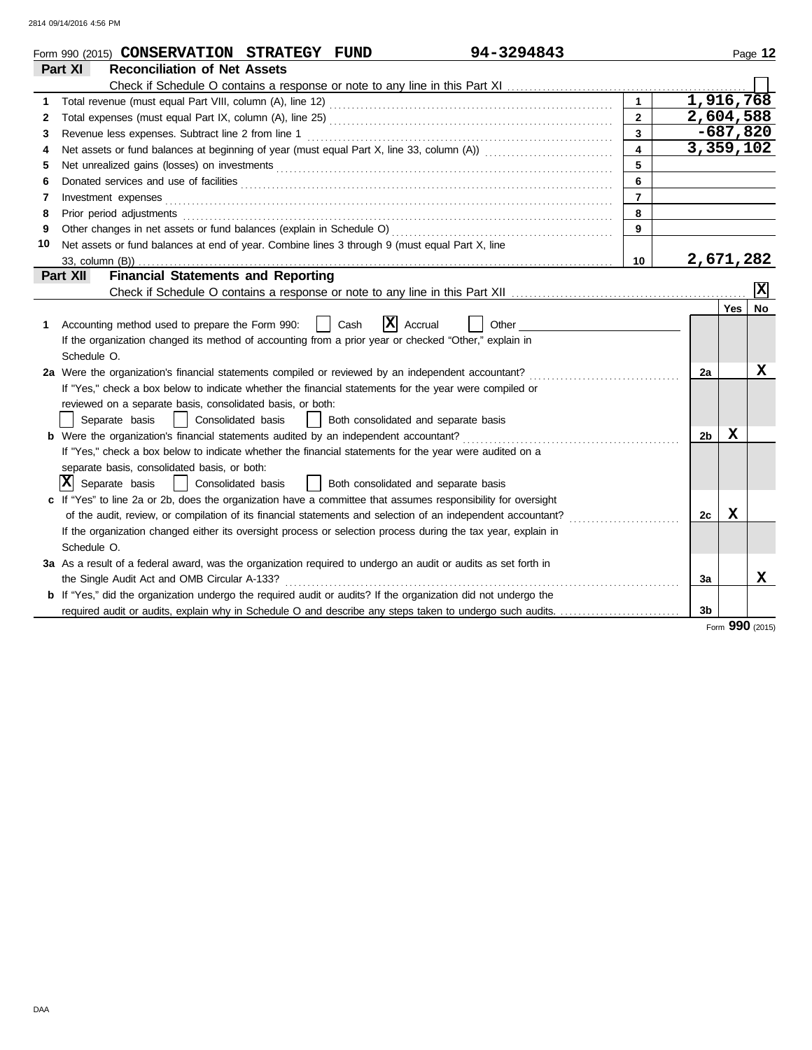|    | 94-3294843<br>Form 990 (2015) CONSERVATION STRATEGY FUND                                                                                                                                                                       |                         |                |            | Page 12         |
|----|--------------------------------------------------------------------------------------------------------------------------------------------------------------------------------------------------------------------------------|-------------------------|----------------|------------|-----------------|
|    | <b>Reconciliation of Net Assets</b><br>Part XI                                                                                                                                                                                 |                         |                |            |                 |
|    |                                                                                                                                                                                                                                |                         |                |            |                 |
| 1  |                                                                                                                                                                                                                                | $\mathbf{1}$            | 1,916,768      |            |                 |
| 2  |                                                                                                                                                                                                                                | $\overline{2}$          | 2,604,588      |            |                 |
| 3  | Revenue less expenses. Subtract line 2 from line 1                                                                                                                                                                             | $\overline{3}$          |                | $-687,820$ |                 |
| 4  |                                                                                                                                                                                                                                | $\overline{\mathbf{4}}$ | 3,359,102      |            |                 |
| 5  | Net unrealized gains (losses) on investments [11] match and the contract of the state of the state of the state of the state of the state of the state of the state of the state of the state of the state of the state of the | 5                       |                |            |                 |
| 6  |                                                                                                                                                                                                                                | 6                       |                |            |                 |
| 7  | Investment expenses                                                                                                                                                                                                            | $\overline{7}$          |                |            |                 |
| 8  | Prior period adjustments [11] production and an intervention of the contract of the contract of the contract of the contract of the contract of the contract of the contract of the contract of the contract of the contract o | 8                       |                |            |                 |
| 9  |                                                                                                                                                                                                                                | 9                       |                |            |                 |
| 10 | Net assets or fund balances at end of year. Combine lines 3 through 9 (must equal Part X, line                                                                                                                                 |                         |                |            |                 |
|    | 33, column (B))                                                                                                                                                                                                                | 10                      | 2,671,282      |            |                 |
|    | <b>Financial Statements and Reporting</b><br>Part XII                                                                                                                                                                          |                         |                |            |                 |
|    |                                                                                                                                                                                                                                |                         |                |            | x               |
|    |                                                                                                                                                                                                                                |                         |                | Yes        | No              |
| 1  | x<br>Cash<br>Accounting method used to prepare the Form 990:<br>Accrual<br>Other                                                                                                                                               |                         |                |            |                 |
|    | If the organization changed its method of accounting from a prior year or checked "Other," explain in                                                                                                                          |                         |                |            |                 |
|    | Schedule O.                                                                                                                                                                                                                    |                         |                |            |                 |
|    | 2a Were the organization's financial statements compiled or reviewed by an independent accountant?                                                                                                                             |                         | 2a             |            | х               |
|    | If "Yes," check a box below to indicate whether the financial statements for the year were compiled or                                                                                                                         |                         |                |            |                 |
|    | reviewed on a separate basis, consolidated basis, or both:                                                                                                                                                                     |                         |                |            |                 |
|    | Separate basis<br>Consolidated basis<br>Both consolidated and separate basis                                                                                                                                                   |                         |                |            |                 |
|    |                                                                                                                                                                                                                                |                         | 2b             | x          |                 |
|    | If "Yes," check a box below to indicate whether the financial statements for the year were audited on a                                                                                                                        |                         |                |            |                 |
|    | separate basis, consolidated basis, or both:                                                                                                                                                                                   |                         |                |            |                 |
|    | X<br>Separate basis<br>Both consolidated and separate basis<br>Consolidated basis                                                                                                                                              |                         |                |            |                 |
|    | c If "Yes" to line 2a or 2b, does the organization have a committee that assumes responsibility for oversight                                                                                                                  |                         |                |            |                 |
|    | of the audit, review, or compilation of its financial statements and selection of an independent accountant?                                                                                                                   |                         | 2c             | x          |                 |
|    | If the organization changed either its oversight process or selection process during the tax year, explain in                                                                                                                  |                         |                |            |                 |
|    | Schedule O.                                                                                                                                                                                                                    |                         |                |            |                 |
|    | 3a As a result of a federal award, was the organization required to undergo an audit or audits as set forth in                                                                                                                 |                         |                |            |                 |
|    | the Single Audit Act and OMB Circular A-133?                                                                                                                                                                                   |                         | За             |            | x               |
|    | b If "Yes," did the organization undergo the required audit or audits? If the organization did not undergo the                                                                                                                 |                         |                |            |                 |
|    | required audit or audits, explain why in Schedule O and describe any steps taken to undergo such audits.                                                                                                                       |                         | 3 <sub>b</sub> |            |                 |
|    |                                                                                                                                                                                                                                |                         |                |            | Form 990 (2015) |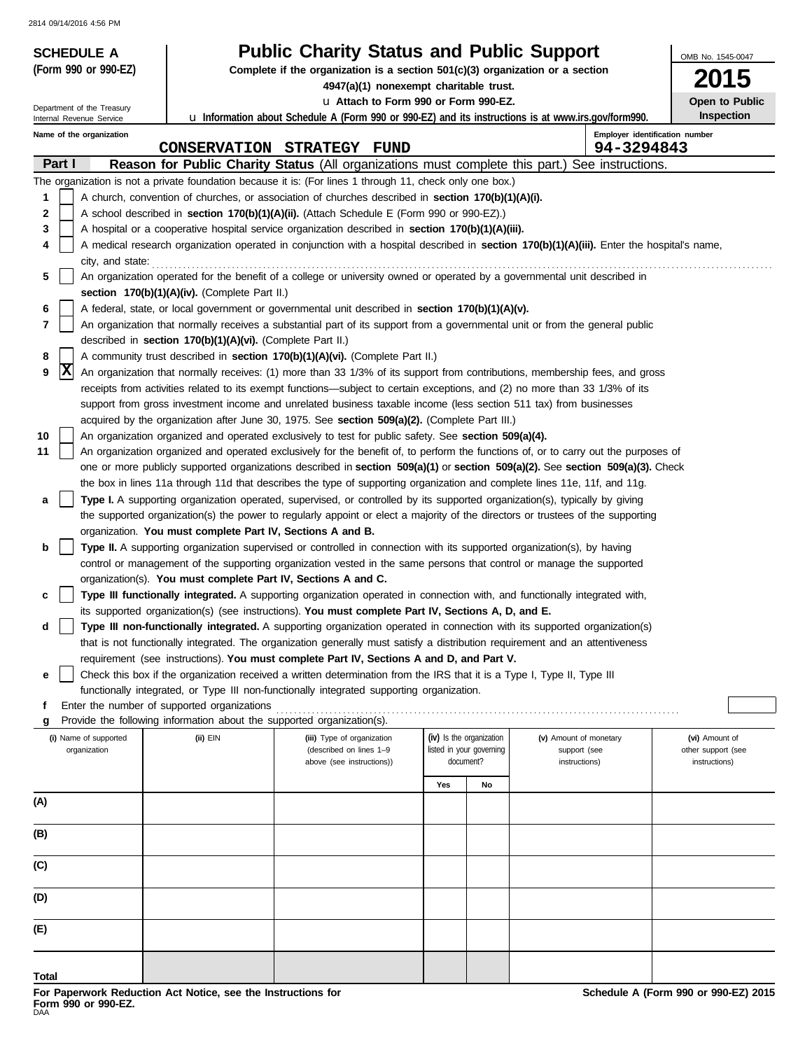| <b>SCHEDULE A</b><br>(Form 990 or 990-EZ) |                                                                        | <b>Public Charity Status and Public Support</b>                                                                              |     |                          |                                                                                                                                            | OMB No. 1545-0047              |  |
|-------------------------------------------|------------------------------------------------------------------------|------------------------------------------------------------------------------------------------------------------------------|-----|--------------------------|--------------------------------------------------------------------------------------------------------------------------------------------|--------------------------------|--|
|                                           |                                                                        | Complete if the organization is a section $501(c)(3)$ organization or a section<br>4947(a)(1) nonexempt charitable trust.    |     |                          |                                                                                                                                            | 5                              |  |
| Department of the Treasury                | La Attach to Form 990 or Form 990-EZ.                                  |                                                                                                                              |     |                          |                                                                                                                                            |                                |  |
| Internal Revenue Service                  |                                                                        | u Information about Schedule A (Form 990 or 990-EZ) and its instructions is at www.irs.gov/form990.                          |     |                          |                                                                                                                                            | Open to Public<br>Inspection   |  |
| Name of the organization                  |                                                                        |                                                                                                                              |     |                          |                                                                                                                                            | Employer identification number |  |
| Part I                                    |                                                                        | CONSERVATION STRATEGY FUND                                                                                                   |     |                          | 94-3294843<br>Reason for Public Charity Status (All organizations must complete this part.) See instructions.                              |                                |  |
|                                           |                                                                        | The organization is not a private foundation because it is: (For lines 1 through 11, check only one box.)                    |     |                          |                                                                                                                                            |                                |  |
| 1                                         |                                                                        | A church, convention of churches, or association of churches described in <b>section 170(b)(1)(A)(i).</b>                    |     |                          |                                                                                                                                            |                                |  |
| 2                                         |                                                                        | A school described in section 170(b)(1)(A)(ii). (Attach Schedule E (Form 990 or 990-EZ).)                                    |     |                          |                                                                                                                                            |                                |  |
| 3                                         |                                                                        | A hospital or a cooperative hospital service organization described in section 170(b)(1)(A)(iii).                            |     |                          |                                                                                                                                            |                                |  |
| 4                                         |                                                                        |                                                                                                                              |     |                          | A medical research organization operated in conjunction with a hospital described in section 170(b)(1)(A)(iii). Enter the hospital's name, |                                |  |
| city, and state:                          |                                                                        |                                                                                                                              |     |                          |                                                                                                                                            |                                |  |
| 5                                         |                                                                        | An organization operated for the benefit of a college or university owned or operated by a governmental unit described in    |     |                          |                                                                                                                                            |                                |  |
|                                           | section 170(b)(1)(A)(iv). (Complete Part II.)                          |                                                                                                                              |     |                          |                                                                                                                                            |                                |  |
| 6                                         |                                                                        | A federal, state, or local government or governmental unit described in section 170(b)(1)(A)(v).                             |     |                          |                                                                                                                                            |                                |  |
| 7                                         |                                                                        |                                                                                                                              |     |                          | An organization that normally receives a substantial part of its support from a governmental unit or from the general public               |                                |  |
| 8                                         | described in section 170(b)(1)(A)(vi). (Complete Part II.)             | A community trust described in section 170(b)(1)(A)(vi). (Complete Part II.)                                                 |     |                          |                                                                                                                                            |                                |  |
| X<br>9                                    |                                                                        |                                                                                                                              |     |                          | An organization that normally receives: (1) more than 33 1/3% of its support from contributions, membership fees, and gross                |                                |  |
|                                           |                                                                        |                                                                                                                              |     |                          | receipts from activities related to its exempt functions—subject to certain exceptions, and (2) no more than 33 1/3% of its                |                                |  |
|                                           |                                                                        | support from gross investment income and unrelated business taxable income (less section 511 tax) from businesses            |     |                          |                                                                                                                                            |                                |  |
|                                           |                                                                        | acquired by the organization after June 30, 1975. See section 509(a)(2). (Complete Part III.)                                |     |                          |                                                                                                                                            |                                |  |
| 10                                        |                                                                        | An organization organized and operated exclusively to test for public safety. See section 509(a)(4).                         |     |                          |                                                                                                                                            |                                |  |
| 11                                        |                                                                        |                                                                                                                              |     |                          | An organization organized and operated exclusively for the benefit of, to perform the functions of, or to carry out the purposes of        |                                |  |
|                                           |                                                                        |                                                                                                                              |     |                          | one or more publicly supported organizations described in section 509(a)(1) or section 509(a)(2). See section 509(a)(3). Check             |                                |  |
|                                           |                                                                        | the box in lines 11a through 11d that describes the type of supporting organization and complete lines 11e, 11f, and 11g.    |     |                          |                                                                                                                                            |                                |  |
| а                                         |                                                                        | Type I. A supporting organization operated, supervised, or controlled by its supported organization(s), typically by giving  |     |                          |                                                                                                                                            |                                |  |
|                                           |                                                                        |                                                                                                                              |     |                          | the supported organization(s) the power to regularly appoint or elect a majority of the directors or trustees of the supporting            |                                |  |
| b                                         | organization. You must complete Part IV, Sections A and B.             | Type II. A supporting organization supervised or controlled in connection with its supported organization(s), by having      |     |                          |                                                                                                                                            |                                |  |
|                                           |                                                                        | control or management of the supporting organization vested in the same persons that control or manage the supported         |     |                          |                                                                                                                                            |                                |  |
|                                           | organization(s). You must complete Part IV, Sections A and C.          |                                                                                                                              |     |                          |                                                                                                                                            |                                |  |
| c                                         |                                                                        | Type III functionally integrated. A supporting organization operated in connection with, and functionally integrated with,   |     |                          |                                                                                                                                            |                                |  |
|                                           |                                                                        | its supported organization(s) (see instructions). You must complete Part IV, Sections A, D, and E.                           |     |                          |                                                                                                                                            |                                |  |
| d                                         |                                                                        |                                                                                                                              |     |                          | Type III non-functionally integrated. A supporting organization operated in connection with its supported organization(s)                  |                                |  |
|                                           |                                                                        | that is not functionally integrated. The organization generally must satisfy a distribution requirement and an attentiveness |     |                          |                                                                                                                                            |                                |  |
|                                           |                                                                        | requirement (see instructions). You must complete Part IV, Sections A and D, and Part V.                                     |     |                          |                                                                                                                                            |                                |  |
| е                                         |                                                                        | Check this box if the organization received a written determination from the IRS that it is a Type I, Type II, Type III      |     |                          |                                                                                                                                            |                                |  |
| f                                         | Enter the number of supported organizations                            | functionally integrated, or Type III non-functionally integrated supporting organization.                                    |     |                          |                                                                                                                                            |                                |  |
| g                                         | Provide the following information about the supported organization(s). |                                                                                                                              |     |                          |                                                                                                                                            |                                |  |
| (i) Name of supported                     | (ii) EIN                                                               | (iii) Type of organization                                                                                                   |     | (iv) Is the organization | (v) Amount of monetary                                                                                                                     | (vi) Amount of                 |  |
| organization                              |                                                                        | (described on lines 1-9                                                                                                      |     | listed in your governing | support (see                                                                                                                               | other support (see             |  |
|                                           |                                                                        | above (see instructions))                                                                                                    |     | document?                | instructions)                                                                                                                              | instructions)                  |  |
|                                           |                                                                        |                                                                                                                              | Yes | No                       |                                                                                                                                            |                                |  |
| (A)                                       |                                                                        |                                                                                                                              |     |                          |                                                                                                                                            |                                |  |
| (B)                                       |                                                                        |                                                                                                                              |     |                          |                                                                                                                                            |                                |  |
|                                           |                                                                        |                                                                                                                              |     |                          |                                                                                                                                            |                                |  |
| (C)                                       |                                                                        |                                                                                                                              |     |                          |                                                                                                                                            |                                |  |
| (D)                                       |                                                                        |                                                                                                                              |     |                          |                                                                                                                                            |                                |  |
| (E)                                       |                                                                        |                                                                                                                              |     |                          |                                                                                                                                            |                                |  |
|                                           |                                                                        |                                                                                                                              |     |                          |                                                                                                                                            |                                |  |
| Total                                     |                                                                        |                                                                                                                              |     |                          |                                                                                                                                            |                                |  |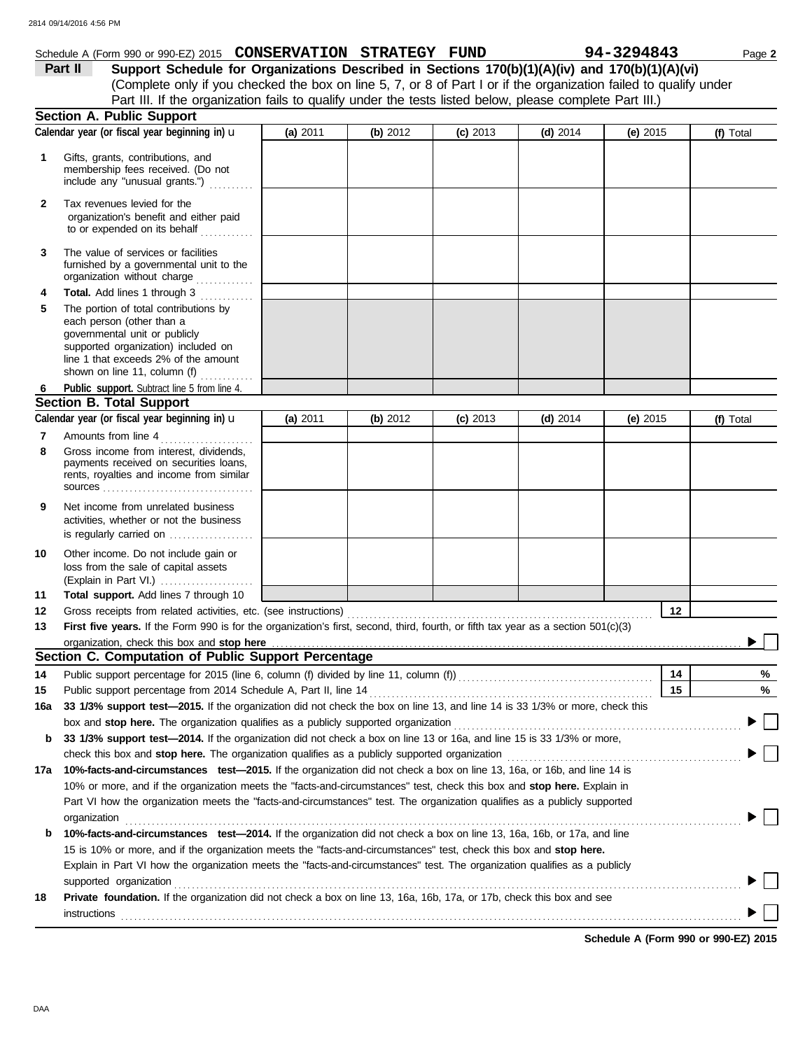|              | 2814 09/14/2016 4:56 PM                                                                                                                                                                                                                     |          |          |            |            |            |           |
|--------------|---------------------------------------------------------------------------------------------------------------------------------------------------------------------------------------------------------------------------------------------|----------|----------|------------|------------|------------|-----------|
|              | Schedule A (Form 990 or 990-EZ) 2015 CONSERVATION STRATEGY FUND                                                                                                                                                                             |          |          |            |            | 94-3294843 | Page 2    |
|              | Support Schedule for Organizations Described in Sections 170(b)(1)(A)(iv) and 170(b)(1)(A)(vi)<br>Part II                                                                                                                                   |          |          |            |            |            |           |
|              | (Complete only if you checked the box on line 5, 7, or 8 of Part I or if the organization failed to qualify under                                                                                                                           |          |          |            |            |            |           |
|              | Part III. If the organization fails to qualify under the tests listed below, please complete Part III.)                                                                                                                                     |          |          |            |            |            |           |
|              | <b>Section A. Public Support</b>                                                                                                                                                                                                            |          |          |            |            |            |           |
|              | Calendar year (or fiscal year beginning in) u                                                                                                                                                                                               | (a) 2011 | (b) 2012 | $(c)$ 2013 | (d) $2014$ | (e) $2015$ | (f) Total |
| 1            | Gifts, grants, contributions, and<br>membership fees received. (Do not<br>include any "unusual grants.")                                                                                                                                    |          |          |            |            |            |           |
| $\mathbf{2}$ | Tax revenues levied for the<br>organization's benefit and either paid<br>to or expended on its behalf                                                                                                                                       |          |          |            |            |            |           |
| 3            | The value of services or facilities<br>furnished by a governmental unit to the<br>organization without charge                                                                                                                               |          |          |            |            |            |           |
| 4            | Total. Add lines 1 through 3                                                                                                                                                                                                                |          |          |            |            |            |           |
| 5            | The portion of total contributions by<br>each person (other than a                                                                                                                                                                          |          |          |            |            |            |           |
|              | governmental unit or publicly<br>supported organization) included on<br>line 1 that exceeds 2% of the amount                                                                                                                                |          |          |            |            |            |           |
|              | shown on line 11, column (f) $\ldots$                                                                                                                                                                                                       |          |          |            |            |            |           |
|              | Public support. Subtract line 5 from line 4.<br><b>Section B. Total Support</b>                                                                                                                                                             |          |          |            |            |            |           |
|              | Calendar year (or fiscal year beginning in) u                                                                                                                                                                                               |          |          |            |            |            |           |
|              |                                                                                                                                                                                                                                             | (a) 2011 | (b) 2012 | $(c)$ 2013 | (d) $2014$ | (e) $2015$ | (f) Total |
| 7<br>8       | Amounts from line 4                                                                                                                                                                                                                         |          |          |            |            |            |           |
|              | Gross income from interest, dividends,<br>payments received on securities loans,<br>rents, royalties and income from similar                                                                                                                |          |          |            |            |            |           |
|              |                                                                                                                                                                                                                                             |          |          |            |            |            |           |
| 9            | Net income from unrelated business<br>activities, whether or not the business<br>is regularly carried on                                                                                                                                    |          |          |            |            |            |           |
| 10           | Other income. Do not include gain or                                                                                                                                                                                                        |          |          |            |            |            |           |
|              | loss from the sale of capital assets<br>(Explain in Part VI.)                                                                                                                                                                               |          |          |            |            |            |           |
| 11           | Total support. Add lines 7 through 10                                                                                                                                                                                                       |          |          |            |            |            |           |
| 12           |                                                                                                                                                                                                                                             |          |          |            |            | 12         |           |
| 13           | First five years. If the Form 990 is for the organization's first, second, third, fourth, or fifth tax year as a section 501(c)(3)                                                                                                          |          |          |            |            |            |           |
|              |                                                                                                                                                                                                                                             |          |          |            |            |            |           |
|              | Section C. Computation of Public Support Percentage                                                                                                                                                                                         |          |          |            |            |            |           |
| 14           | Public support percentage for 2015 (line 6, column (f) divided by line 11, column (f)) [[[[[[[[[[[[[[[[[[[[[[                                                                                                                               |          |          |            |            | 14         | %         |
| 15           |                                                                                                                                                                                                                                             |          |          |            |            | 15         | %         |
| 16a          | 33 1/3% support test-2015. If the organization did not check the box on line 13, and line 14 is 33 1/3% or more, check this                                                                                                                 |          |          |            |            |            |           |
|              |                                                                                                                                                                                                                                             |          |          |            |            |            |           |
| b            | 33 1/3% support test-2014. If the organization did not check a box on line 13 or 16a, and line 15 is 33 1/3% or more,                                                                                                                       |          |          |            |            |            |           |
|              |                                                                                                                                                                                                                                             |          |          |            |            |            |           |
|              | 17a 10%-facts-and-circumstances test-2015. If the organization did not check a box on line 13, 16a, or 16b, and line 14 is                                                                                                                  |          |          |            |            |            |           |
|              | 10% or more, and if the organization meets the "facts-and-circumstances" test, check this box and stop here. Explain in                                                                                                                     |          |          |            |            |            |           |
|              | Part VI how the organization meets the "facts-and-circumstances" test. The organization qualifies as a publicly supported                                                                                                                   |          |          |            |            |            |           |
|              | organization                                                                                                                                                                                                                                |          |          |            |            |            |           |
| b            | 10%-facts-and-circumstances test-2014. If the organization did not check a box on line 13, 16a, 16b, or 17a, and line<br>15 is 10% or more, and if the organization meets the "facts-and-circumstances" test, check this box and stop here. |          |          |            |            |            |           |

|    | supported organization                                                                                                       |
|----|------------------------------------------------------------------------------------------------------------------------------|
| 18 | <b>Private foundation.</b> If the organization did not check a box on line 13, 16a, 16b, 17a, or 17b, check this box and see |
|    | instructions                                                                                                                 |

Explain in Part VI how the organization meets the "facts-and-circumstances" test. The organization qualifies as a publicly

**Schedule A (Form 990 or 990-EZ) 2015**

DAA

 $\blacktriangleright \Box$ 

▶ 「

| Support Schedule for Organizations Described in Sections 170(b)(1)(A)(iv) and 170(b)(1)(A)(vi)                    |
|-------------------------------------------------------------------------------------------------------------------|
| (Complete only if you checked the box on line 5, 7, or 8 of Part I or if the organization failed to qualify under |
| Part III. If the organization fails to qualify under the tests listed below, please complete Part III.)           |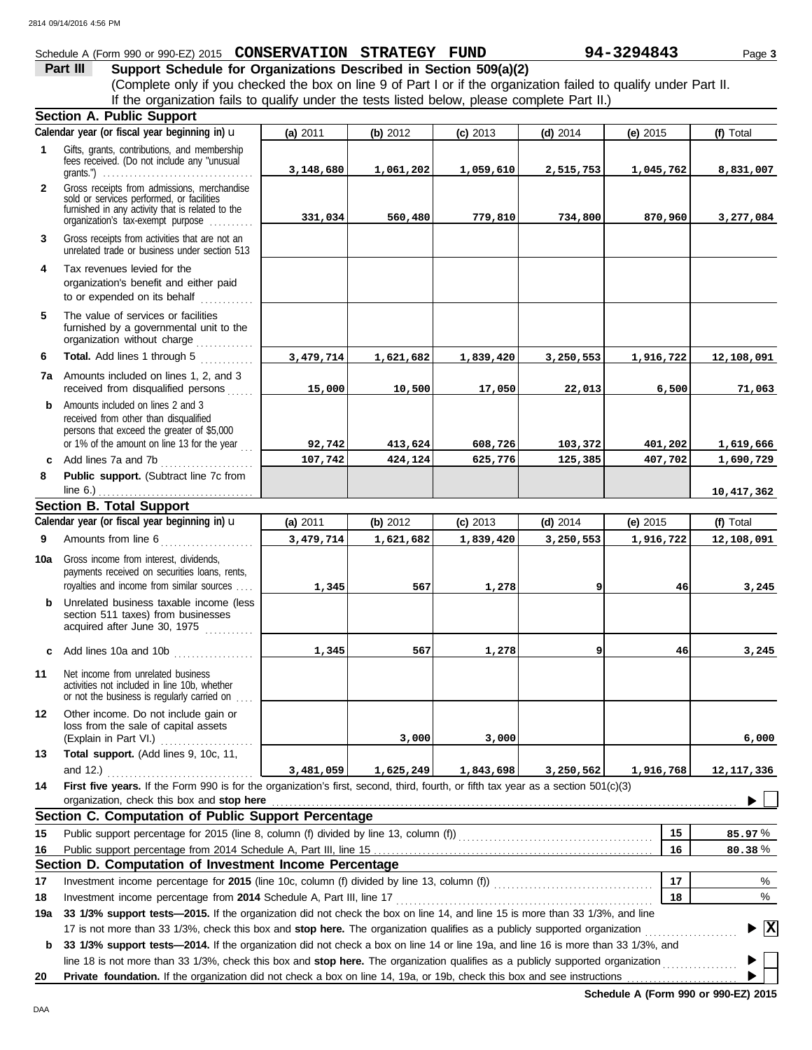### Schedule A (Form 990 or 990-EZ) 2015 **CONSERVATION STRATEGY FUND** 94-3294843 Page 3

**Part III** Support Schedule for Organizations Described in Section 509(a)(2) (Complete only if you checked the box on line 9 of Part I or if the organization failed to qualify under Part II. If the organization fails to qualify under the tests listed below, please complete Part II.)

|              | <b>Section A. Public Support</b>                                                                                                                                                                                                                                |             |                    |                    |                    |                    |                                |
|--------------|-----------------------------------------------------------------------------------------------------------------------------------------------------------------------------------------------------------------------------------------------------------------|-------------|--------------------|--------------------|--------------------|--------------------|--------------------------------|
|              | Calendar year (or fiscal year beginning in) u                                                                                                                                                                                                                   | (a) 2011    | (b) 2012           | $(c)$ 2013         | $(d)$ 2014         | (e) $2015$         | (f) Total                      |
| $\mathbf{1}$ | Gifts, grants, contributions, and membership<br>fees received. (Do not include any "unusual<br>grants.") $\ldots \ldots \ldots \ldots \ldots \ldots \ldots \ldots \ldots \ldots \ldots \ldots$                                                                  | 3,148,680   | 1,061,202          | 1,059,610          | 2,515,753          | 1,045,762          | 8,831,007                      |
| $\mathbf{2}$ | Gross receipts from admissions, merchandise<br>sold or services performed, or facilities<br>furnished in any activity that is related to the<br>organization's tax-exempt purpose                                                                               | 331,034     | 560,480            | 779,810            | 734,800            | 870,960            | 3,277,084                      |
| 3            | Gross receipts from activities that are not an<br>unrelated trade or business under section 513                                                                                                                                                                 |             |                    |                    |                    |                    |                                |
| 4            | Tax revenues levied for the<br>organization's benefit and either paid<br>to or expended on its behalf<br>.                                                                                                                                                      |             |                    |                    |                    |                    |                                |
| 5            | The value of services or facilities<br>furnished by a governmental unit to the<br>organization without charge                                                                                                                                                   |             |                    |                    |                    |                    |                                |
| 6            | Total. Add lines 1 through 5<br>.                                                                                                                                                                                                                               | 3, 479, 714 | 1,621,682          | 1,839,420          | 3,250,553          | 1,916,722          | 12,108,091                     |
|              | <b>7a</b> Amounts included on lines 1, 2, and 3<br>received from disqualified persons                                                                                                                                                                           | 15,000      | 10,500             | 17,050             | 22,013             | 6,500              | 71,063                         |
| b            | Amounts included on lines 2 and 3<br>received from other than disqualified<br>persons that exceed the greater of \$5,000<br>or 1% of the amount on line 13 for the year $\ldots$                                                                                | 92,742      |                    |                    |                    |                    |                                |
|              | c Add lines 7a and 7b                                                                                                                                                                                                                                           | 107,742     | 413,624<br>424,124 | 608,726<br>625,776 | 103,372<br>125,385 | 401,202<br>407,702 | 1,619,666<br>1,690,729         |
| 8            | Public support. (Subtract line 7c from                                                                                                                                                                                                                          |             |                    |                    |                    |                    |                                |
|              | line 6.) $\ldots$ $\ldots$ $\ldots$ $\ldots$ $\ldots$ $\ldots$ $\ldots$ $\ldots$ $\ldots$                                                                                                                                                                       |             |                    |                    |                    |                    | 10,417,362                     |
|              | <b>Section B. Total Support</b>                                                                                                                                                                                                                                 |             |                    |                    |                    |                    |                                |
|              | Calendar year (or fiscal year beginning in) u                                                                                                                                                                                                                   | (a) 2011    | (b) 2012           | $(c)$ 2013         | $(d)$ 2014         | (e) 2015           | (f) Total                      |
| 9            | Amounts from line 6                                                                                                                                                                                                                                             | 3, 479, 714 | 1,621,682          | 1,839,420          | 3,250,553          | 1,916,722          | 12,108,091                     |
| 10a          | Gross income from interest, dividends,<br>payments received on securities loans, rents,<br>royalties and income from similar sources                                                                                                                            | 1,345       | 567                | 1,278              | ا 9                | 46                 | 3,245                          |
|              | <b>b</b> Unrelated business taxable income (less<br>section 511 taxes) from businesses<br>acquired after June 30, 1975                                                                                                                                          |             |                    |                    |                    |                    |                                |
|              | c Add lines 10a and 10b                                                                                                                                                                                                                                         | 1,345       | 567                | 1,278              | او                 | 46                 | 3,245                          |
| 11           | Net income from unrelated business<br>activities not included in line 10b, whether<br>or not the business is regularly carried on                                                                                                                               |             |                    |                    |                    |                    |                                |
| 12           | Other income. Do not include gain or<br>loss from the sale of capital assets<br>(Explain in Part VI.)<br>.                                                                                                                                                      |             | 3,000              | 3,000              |                    |                    | 6,000                          |
| 13           | Total support. (Add lines 9, 10c, 11,<br>and 12.) $\ldots$                                                                                                                                                                                                      | 3,481,059   | 1,625,249          | 1,843,698          | 3,250,562          | 1,916,768          | 12, 117, 336                   |
| 14           | First five years. If the Form 990 is for the organization's first, second, third, fourth, or fifth tax year as a section 501(c)(3)<br>organization, check this box and stop here                                                                                |             |                    |                    |                    |                    |                                |
|              | Section C. Computation of Public Support Percentage                                                                                                                                                                                                             |             |                    |                    |                    |                    |                                |
| 15           | Public support percentage for 2015 (line 8, column (f) divided by line 13, column (f)) [[[[[[[[[[[[[[[[[[[[[[                                                                                                                                                   |             |                    |                    |                    | 15                 | 85.97%                         |
| 16           |                                                                                                                                                                                                                                                                 |             |                    |                    |                    | 16                 | 80.38%                         |
|              | Section D. Computation of Investment Income Percentage                                                                                                                                                                                                          |             |                    |                    |                    |                    |                                |
| 17           |                                                                                                                                                                                                                                                                 |             |                    |                    |                    | 17                 | %                              |
| 18           |                                                                                                                                                                                                                                                                 |             |                    |                    |                    | 18                 | %                              |
| 19a          | 33 1/3% support tests-2015. If the organization did not check the box on line 14, and line 15 is more than 33 1/3%, and line                                                                                                                                    |             |                    |                    |                    |                    |                                |
| b            | 17 is not more than 33 1/3%, check this box and stop here. The organization qualifies as a publicly supported organization<br>33 1/3% support tests-2014. If the organization did not check a box on line 14 or line 19a, and line 16 is more than 33 1/3%, and |             |                    |                    |                    |                    | $\blacktriangleright$ $\mid$ X |
|              | line 18 is not more than 33 1/3%, check this box and stop here. The organization qualifies as a publicly supported organization                                                                                                                                 |             |                    |                    |                    |                    |                                |
| 20           | Private foundation. If the organization did not check a box on line 14, 19a, or 19b, check this box and see instructions                                                                                                                                        |             |                    |                    |                    |                    |                                |

**Schedule A (Form 990 or 990-EZ) 2015**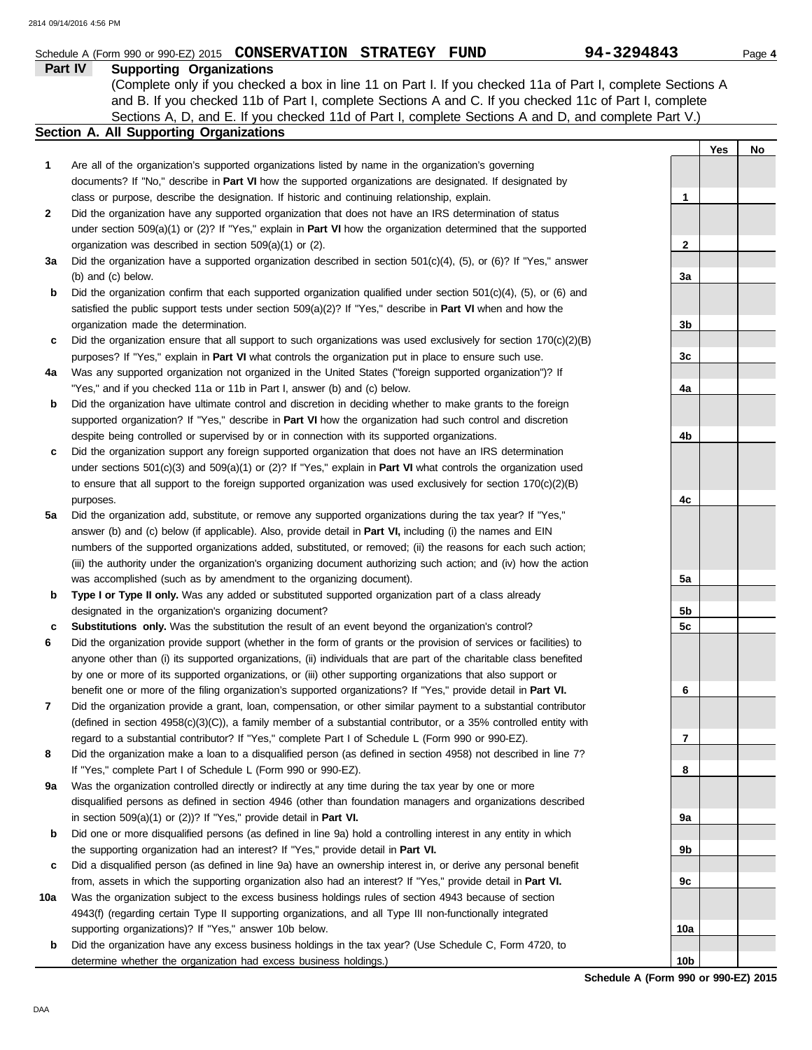|              | Schedule A (Form 990 or 990-EZ) 2015 CONSERVATION STRATEGY FUND                                                                                                                                                             | 94-3294843     |     | Page 4 |
|--------------|-----------------------------------------------------------------------------------------------------------------------------------------------------------------------------------------------------------------------------|----------------|-----|--------|
|              | Part IV<br><b>Supporting Organizations</b>                                                                                                                                                                                  |                |     |        |
|              | (Complete only if you checked a box in line 11 on Part I. If you checked 11a of Part I, complete Sections A                                                                                                                 |                |     |        |
|              | and B. If you checked 11b of Part I, complete Sections A and C. If you checked 11c of Part I, complete<br>Sections A, D, and E. If you checked 11d of Part I, complete Sections A and D, and complete Part V.)              |                |     |        |
|              | Section A. All Supporting Organizations                                                                                                                                                                                     |                |     |        |
|              |                                                                                                                                                                                                                             |                | Yes | No     |
| 1            | Are all of the organization's supported organizations listed by name in the organization's governing                                                                                                                        |                |     |        |
|              | documents? If "No," describe in Part VI how the supported organizations are designated. If designated by                                                                                                                    |                |     |        |
|              | class or purpose, describe the designation. If historic and continuing relationship, explain.                                                                                                                               | 1              |     |        |
| $\mathbf{2}$ | Did the organization have any supported organization that does not have an IRS determination of status                                                                                                                      |                |     |        |
|              | under section $509(a)(1)$ or (2)? If "Yes," explain in <b>Part VI</b> how the organization determined that the supported                                                                                                    |                |     |        |
|              | organization was described in section 509(a)(1) or (2).                                                                                                                                                                     | 2              |     |        |
| За           | Did the organization have a supported organization described in section $501(c)(4)$ , $(5)$ , or $(6)$ ? If "Yes," answer                                                                                                   |                |     |        |
|              | (b) and (c) below.                                                                                                                                                                                                          | 3a             |     |        |
| b            | Did the organization confirm that each supported organization qualified under section $501(c)(4)$ , $(5)$ , or $(6)$ and                                                                                                    |                |     |        |
|              | satisfied the public support tests under section $509(a)(2)?$ If "Yes," describe in <b>Part VI</b> when and how the                                                                                                         |                |     |        |
|              | organization made the determination.<br>Did the organization ensure that all support to such organizations was used exclusively for section $170(c)(2)(B)$                                                                  | 3b             |     |        |
| c            | purposes? If "Yes," explain in Part VI what controls the organization put in place to ensure such use.                                                                                                                      | 3c             |     |        |
| 4a           | Was any supported organization not organized in the United States ("foreign supported organization")? If                                                                                                                    |                |     |        |
|              | "Yes," and if you checked 11a or 11b in Part I, answer (b) and (c) below.                                                                                                                                                   | 4a             |     |        |
| b            | Did the organization have ultimate control and discretion in deciding whether to make grants to the foreign                                                                                                                 |                |     |        |
|              | supported organization? If "Yes," describe in Part VI how the organization had such control and discretion                                                                                                                  |                |     |        |
|              | despite being controlled or supervised by or in connection with its supported organizations.                                                                                                                                | 4b             |     |        |
| c            | Did the organization support any foreign supported organization that does not have an IRS determination                                                                                                                     |                |     |        |
|              | under sections $501(c)(3)$ and $509(a)(1)$ or (2)? If "Yes," explain in <b>Part VI</b> what controls the organization used                                                                                                  |                |     |        |
|              | to ensure that all support to the foreign supported organization was used exclusively for section $170(c)(2)(B)$                                                                                                            |                |     |        |
|              | purposes.                                                                                                                                                                                                                   | 4c             |     |        |
| 5a           | Did the organization add, substitute, or remove any supported organizations during the tax year? If "Yes,"                                                                                                                  |                |     |        |
|              | answer (b) and (c) below (if applicable). Also, provide detail in Part VI, including (i) the names and EIN<br>numbers of the supported organizations added, substituted, or removed; (ii) the reasons for each such action; |                |     |        |
|              | (iii) the authority under the organization's organizing document authorizing such action; and (iv) how the action                                                                                                           |                |     |        |
|              | was accomplished (such as by amendment to the organizing document).                                                                                                                                                         | 5а             |     |        |
| b            | Type I or Type II only. Was any added or substituted supported organization part of a class already                                                                                                                         |                |     |        |
|              | designated in the organization's organizing document?                                                                                                                                                                       | 5b             |     |        |
| c            | <b>Substitutions only.</b> Was the substitution the result of an event beyond the organization's control?                                                                                                                   | 5 <sub>c</sub> |     |        |
| 6            | Did the organization provide support (whether in the form of grants or the provision of services or facilities) to                                                                                                          |                |     |        |
|              | anyone other than (i) its supported organizations, (ii) individuals that are part of the charitable class benefited                                                                                                         |                |     |        |
|              | by one or more of its supported organizations, or (iii) other supporting organizations that also support or                                                                                                                 |                |     |        |
|              | benefit one or more of the filing organization's supported organizations? If "Yes," provide detail in Part VI.                                                                                                              | 6              |     |        |
| 7            | Did the organization provide a grant, loan, compensation, or other similar payment to a substantial contributor                                                                                                             |                |     |        |
|              | (defined in section $4958(c)(3)(C)$ ), a family member of a substantial contributor, or a 35% controlled entity with                                                                                                        |                |     |        |
|              | regard to a substantial contributor? If "Yes," complete Part I of Schedule L (Form 990 or 990-EZ).                                                                                                                          | 7              |     |        |
| 8            | Did the organization make a loan to a disqualified person (as defined in section 4958) not described in line 7?                                                                                                             | 8              |     |        |
| 9а           | If "Yes," complete Part I of Schedule L (Form 990 or 990-EZ).<br>Was the organization controlled directly or indirectly at any time during the tax year by one or more                                                      |                |     |        |
|              | disqualified persons as defined in section 4946 (other than foundation managers and organizations described                                                                                                                 |                |     |        |
|              | in section $509(a)(1)$ or $(2)$ ? If "Yes," provide detail in Part VI.                                                                                                                                                      | 9а             |     |        |
| b            | Did one or more disqualified persons (as defined in line 9a) hold a controlling interest in any entity in which                                                                                                             |                |     |        |
|              | the supporting organization had an interest? If "Yes," provide detail in Part VI.                                                                                                                                           | 9b             |     |        |
| c            | Did a disqualified person (as defined in line 9a) have an ownership interest in, or derive any personal benefit                                                                                                             |                |     |        |
|              | from, assets in which the supporting organization also had an interest? If "Yes," provide detail in Part VI.                                                                                                                | 9c             |     |        |

- **10a** Was the organization subject to the excess business holdings rules of section 4943 because of section 4943(f) (regarding certain Type II supporting organizations, and all Type III non-functionally integrated supporting organizations)? If "Yes," answer 10b below.
	- **b** Did the organization have any excess business holdings in the tax year? (Use Schedule C, Form 4720, to determine whether the organization had excess business holdings.)

**Schedule A (Form 990 or 990-EZ) 2015 10b**

**10a**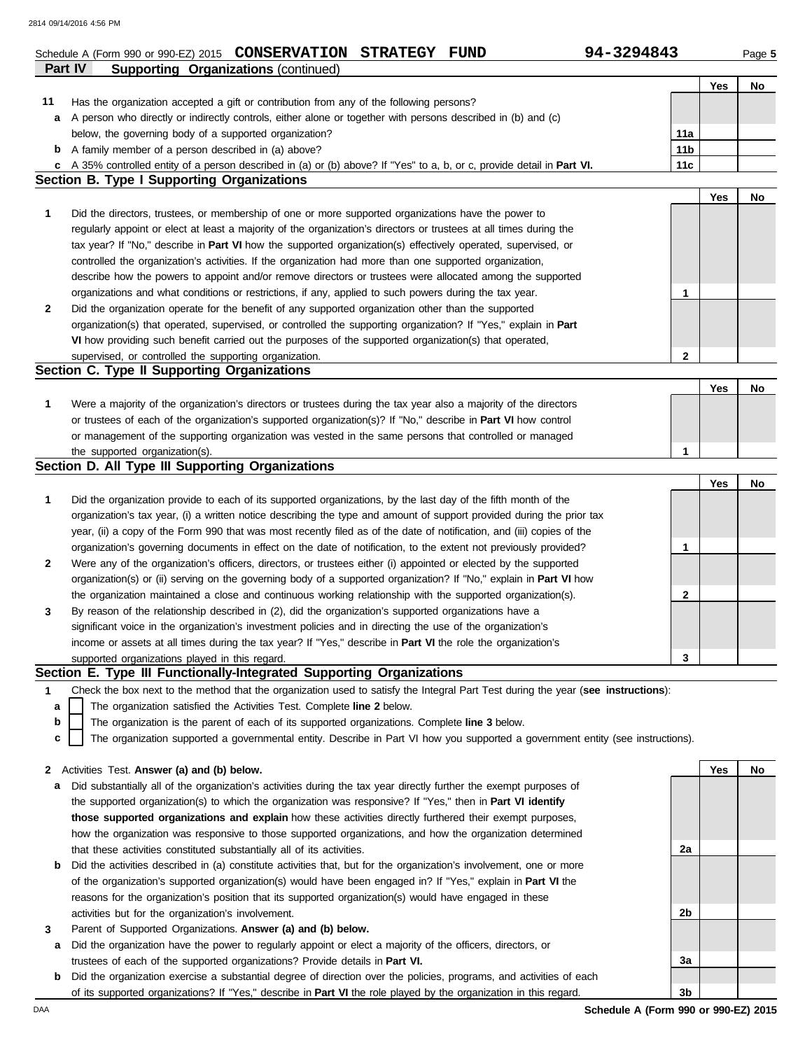|              | Schedule A (Form 990 or 990-EZ) 2015 CONSERVATION STRATEGY FUND                                                                          | 94-3294843      |     | Page 5 |
|--------------|------------------------------------------------------------------------------------------------------------------------------------------|-----------------|-----|--------|
|              | Part IV<br><b>Supporting Organizations (continued)</b>                                                                                   |                 |     |        |
|              |                                                                                                                                          |                 | Yes | No     |
| 11           | Has the organization accepted a gift or contribution from any of the following persons?                                                  |                 |     |        |
| a            | A person who directly or indirectly controls, either alone or together with persons described in (b) and (c)                             |                 |     |        |
|              | below, the governing body of a supported organization?                                                                                   | 11a             |     |        |
|              | <b>b</b> A family member of a person described in (a) above?                                                                             | 11 <sub>b</sub> |     |        |
|              | c A 35% controlled entity of a person described in (a) or (b) above? If "Yes" to a, b, or c, provide detail in Part VI.                  | 11c             |     |        |
|              | <b>Section B. Type I Supporting Organizations</b>                                                                                        |                 |     |        |
|              |                                                                                                                                          |                 | Yes | No     |
| 1            | Did the directors, trustees, or membership of one or more supported organizations have the power to                                      |                 |     |        |
|              | regularly appoint or elect at least a majority of the organization's directors or trustees at all times during the                       |                 |     |        |
|              | tax year? If "No," describe in Part VI how the supported organization(s) effectively operated, supervised, or                            |                 |     |        |
|              | controlled the organization's activities. If the organization had more than one supported organization,                                  |                 |     |        |
|              | describe how the powers to appoint and/or remove directors or trustees were allocated among the supported                                |                 |     |        |
|              | organizations and what conditions or restrictions, if any, applied to such powers during the tax year.                                   | 1               |     |        |
| $\mathbf{2}$ | Did the organization operate for the benefit of any supported organization other than the supported                                      |                 |     |        |
|              | organization(s) that operated, supervised, or controlled the supporting organization? If "Yes," explain in Part                          |                 |     |        |
|              | VI how providing such benefit carried out the purposes of the supported organization(s) that operated,                                   |                 |     |        |
|              | supervised, or controlled the supporting organization.                                                                                   | $\mathbf{2}$    |     |        |
|              | Section C. Type II Supporting Organizations                                                                                              |                 |     |        |
|              | Were a majority of the organization's directors or trustees during the tax year also a majority of the directors                         |                 | Yes | No     |
| 1            |                                                                                                                                          |                 |     |        |
|              | or trustees of each of the organization's supported organization(s)? If "No," describe in Part VI how control                            |                 |     |        |
|              | or management of the supporting organization was vested in the same persons that controlled or managed<br>the supported organization(s). | 1               |     |        |
|              | Section D. All Type III Supporting Organizations                                                                                         |                 |     |        |
|              |                                                                                                                                          |                 | Yes | No     |
| 1            | Did the organization provide to each of its supported organizations, by the last day of the fifth month of the                           |                 |     |        |
|              | organization's tax year, (i) a written notice describing the type and amount of support provided during the prior tax                    |                 |     |        |
|              | year, (ii) a copy of the Form 990 that was most recently filed as of the date of notification, and (iii) copies of the                   |                 |     |        |
|              | organization's governing documents in effect on the date of notification, to the extent not previously provided?                         | 1               |     |        |
| $\mathbf{2}$ | Were any of the organization's officers, directors, or trustees either (i) appointed or elected by the supported                         |                 |     |        |
|              | organization(s) or (ii) serving on the governing body of a supported organization? If "No," explain in Part VI how                       |                 |     |        |
|              | the organization maintained a close and continuous working relationship with the supported organization(s).                              | 2               |     |        |
| 3            | By reason of the relationship described in (2), did the organization's supported organizations have a                                    |                 |     |        |
|              | significant voice in the organization's investment policies and in directing the use of the organization's                               |                 |     |        |
|              | income or assets at all times during the tax year? If "Yes," describe in Part VI the role the organization's                             |                 |     |        |
|              | supported organizations played in this regard.                                                                                           | 3               |     |        |
|              | Section E. Type III Functionally-Integrated Supporting Organizations                                                                     |                 |     |        |
| 1            | Check the box next to the method that the organization used to satisfy the Integral Part Test during the year (see instructions):        |                 |     |        |
| a            | The organization satisfied the Activities Test. Complete line 2 below.                                                                   |                 |     |        |
| b            | The organization is the parent of each of its supported organizations. Complete line 3 below.                                            |                 |     |        |
| с            | The organization supported a governmental entity. Describe in Part VI how you supported a government entity (see instructions).          |                 |     |        |
|              |                                                                                                                                          |                 |     |        |
| $\mathbf{2}$ | Activities Test. Answer (a) and (b) below.                                                                                               |                 | Yes | No     |
| a            | Did substantially all of the organization's activities during the tax year directly further the exempt purposes of                       |                 |     |        |
|              | the supported organization(s) to which the organization was responsive? If "Yes," then in Part VI identify                               |                 |     |        |
|              | those supported organizations and explain how these activities directly furthered their exempt purposes,                                 |                 |     |        |
|              | how the organization was responsive to those supported organizations, and how the organization determined                                |                 |     |        |
|              | that these activities constituted substantially all of its activities.                                                                   | 2a              |     |        |
| b            | Did the activities described in (a) constitute activities that, but for the organization's involvement, one or more                      |                 |     |        |
|              | of the organization's supported organization(s) would have been engaged in? If "Yes," explain in Part VI the                             |                 |     |        |
|              | reasons for the organization's position that its supported organization(s) would have engaged in these                                   |                 |     |        |
|              | activities but for the organization's involvement.                                                                                       | 2b              |     |        |
| 3            | Parent of Supported Organizations. Answer (a) and (b) below.                                                                             |                 |     |        |
| а            | Did the organization have the power to regularly appoint or elect a majority of the officers, directors, or                              |                 |     |        |
|              | trustees of each of the supported organizations? Provide details in Part VI.                                                             | 3a              |     |        |

**b** Did the organization exercise a substantial degree of direction over the policies, programs, and activities of each of its supported organizations? If "Yes," describe in **Part VI** the role played by the organization in this regard.

DAA **Schedule A (Form 990 or 990-EZ) 2015 3b**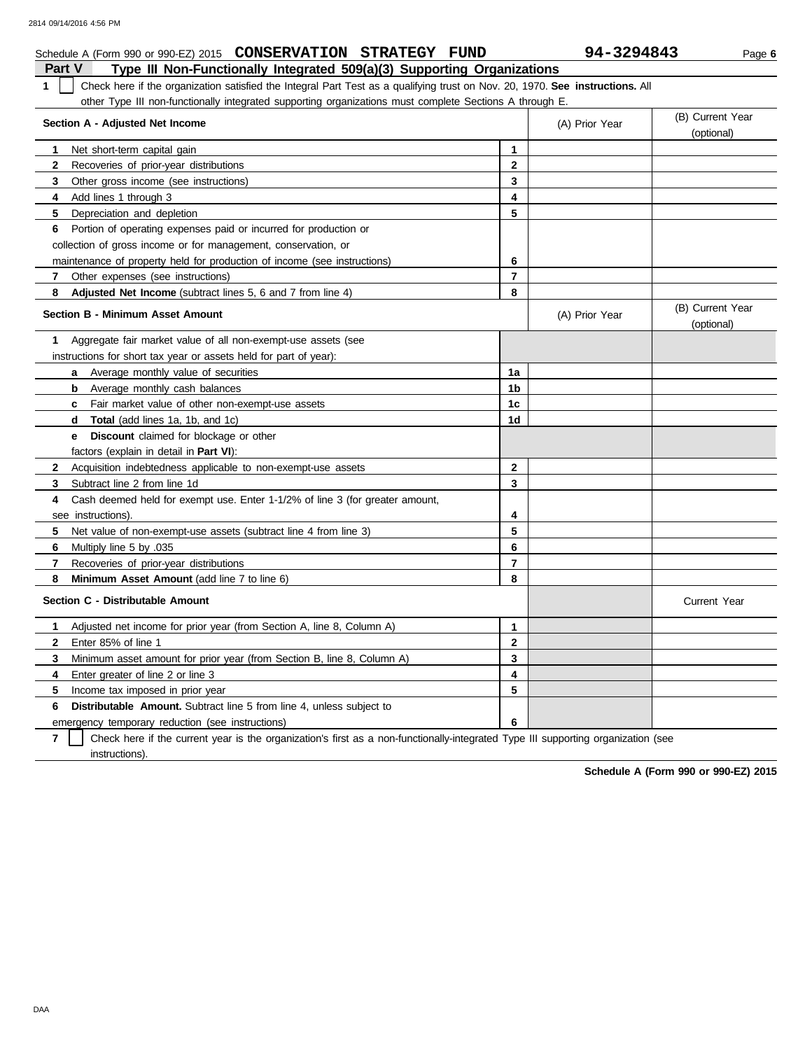| 94-3294843<br>Schedule A (Form 990 or 990-EZ) 2015 CONSERVATION STRATEGY FUND<br>Page 6                                            |                                                                                                         |                |                |                                |  |  |  |  |
|------------------------------------------------------------------------------------------------------------------------------------|---------------------------------------------------------------------------------------------------------|----------------|----------------|--------------------------------|--|--|--|--|
| <b>Part V</b>                                                                                                                      | Type III Non-Functionally Integrated 509(a)(3) Supporting Organizations                                 |                |                |                                |  |  |  |  |
| Check here if the organization satisfied the Integral Part Test as a qualifying trust on Nov. 20, 1970. See instructions. All<br>1 |                                                                                                         |                |                |                                |  |  |  |  |
|                                                                                                                                    | other Type III non-functionally integrated supporting organizations must complete Sections A through E. |                |                |                                |  |  |  |  |
| Section A - Adjusted Net Income                                                                                                    |                                                                                                         |                | (A) Prior Year | (B) Current Year<br>(optional) |  |  |  |  |
| Net short-term capital gain<br>1                                                                                                   |                                                                                                         | 1              |                |                                |  |  |  |  |
| 2<br>Recoveries of prior-year distributions                                                                                        |                                                                                                         | $\mathbf{2}$   |                |                                |  |  |  |  |
| 3 <sup>1</sup><br>Other gross income (see instructions)                                                                            |                                                                                                         | 3              |                |                                |  |  |  |  |
| 4<br>Add lines 1 through 3                                                                                                         |                                                                                                         | 4              |                |                                |  |  |  |  |
| 5<br>Depreciation and depletion                                                                                                    |                                                                                                         | 5              |                |                                |  |  |  |  |
|                                                                                                                                    | 6 Portion of operating expenses paid or incurred for production or                                      |                |                |                                |  |  |  |  |
|                                                                                                                                    | collection of gross income or for management, conservation, or                                          |                |                |                                |  |  |  |  |
|                                                                                                                                    | maintenance of property held for production of income (see instructions)                                | 6              |                |                                |  |  |  |  |
| 7<br>Other expenses (see instructions)                                                                                             |                                                                                                         | $\overline{7}$ |                |                                |  |  |  |  |
| 8                                                                                                                                  | Adjusted Net Income (subtract lines 5, 6 and 7 from line 4)                                             | 8              |                |                                |  |  |  |  |
| <b>Section B - Minimum Asset Amount</b>                                                                                            |                                                                                                         |                | (A) Prior Year | (B) Current Year<br>(optional) |  |  |  |  |
| 1                                                                                                                                  | Aggregate fair market value of all non-exempt-use assets (see                                           |                |                |                                |  |  |  |  |
|                                                                                                                                    | instructions for short tax year or assets held for part of year):                                       |                |                |                                |  |  |  |  |
| a                                                                                                                                  | Average monthly value of securities                                                                     | 1a             |                |                                |  |  |  |  |
| <b>b</b> Average monthly cash balances                                                                                             |                                                                                                         | 1 <sub>b</sub> |                |                                |  |  |  |  |
|                                                                                                                                    | c Fair market value of other non-exempt-use assets                                                      | 1 <sub>c</sub> |                |                                |  |  |  |  |
| <b>d</b> Total (add lines 1a, 1b, and 1c)                                                                                          |                                                                                                         | 1d             |                |                                |  |  |  |  |
| e –                                                                                                                                | <b>Discount</b> claimed for blockage or other                                                           |                |                |                                |  |  |  |  |
| factors (explain in detail in Part VI):                                                                                            |                                                                                                         |                |                |                                |  |  |  |  |
| $\mathbf{2}$                                                                                                                       | Acquisition indebtedness applicable to non-exempt-use assets                                            | $\mathbf{2}$   |                |                                |  |  |  |  |
| 3<br>Subtract line 2 from line 1d                                                                                                  |                                                                                                         | 3              |                |                                |  |  |  |  |
| 4                                                                                                                                  | Cash deemed held for exempt use. Enter 1-1/2% of line 3 (for greater amount,                            |                |                |                                |  |  |  |  |
| see instructions).                                                                                                                 |                                                                                                         | 4              |                |                                |  |  |  |  |
| 5.                                                                                                                                 | Net value of non-exempt-use assets (subtract line 4 from line 3)                                        | 5              |                |                                |  |  |  |  |
| 6<br>Multiply line 5 by .035                                                                                                       |                                                                                                         | 6              |                |                                |  |  |  |  |
| $\mathbf{7}$<br>Recoveries of prior-year distributions                                                                             |                                                                                                         | $\overline{7}$ |                |                                |  |  |  |  |
| 8                                                                                                                                  | Minimum Asset Amount (add line 7 to line 6)                                                             | 8              |                |                                |  |  |  |  |
| Section C - Distributable Amount                                                                                                   |                                                                                                         |                |                | <b>Current Year</b>            |  |  |  |  |
| 1                                                                                                                                  | Adjusted net income for prior year (from Section A, line 8, Column A)                                   | $\mathbf{1}$   |                |                                |  |  |  |  |
| $\mathbf{2}$<br>Enter 85% of line 1                                                                                                |                                                                                                         | $\mathbf{2}$   |                |                                |  |  |  |  |
| 3                                                                                                                                  | Minimum asset amount for prior year (from Section B, line 8, Column A)                                  | 3              |                |                                |  |  |  |  |
| 4<br>Enter greater of line 2 or line 3                                                                                             |                                                                                                         | 4              |                |                                |  |  |  |  |
| 5<br>Income tax imposed in prior year                                                                                              |                                                                                                         | 5              |                |                                |  |  |  |  |
| 6                                                                                                                                  | <b>Distributable Amount.</b> Subtract line 5 from line 4, unless subject to                             |                |                |                                |  |  |  |  |
|                                                                                                                                    | emergency temporary reduction (see instructions)                                                        | 6              |                |                                |  |  |  |  |

**7** Check here if the current year is the organization's first as a non-functionally-integrated Type III supporting organization (see instructions).

**Schedule A (Form 990 or 990-EZ) 2015**

DAA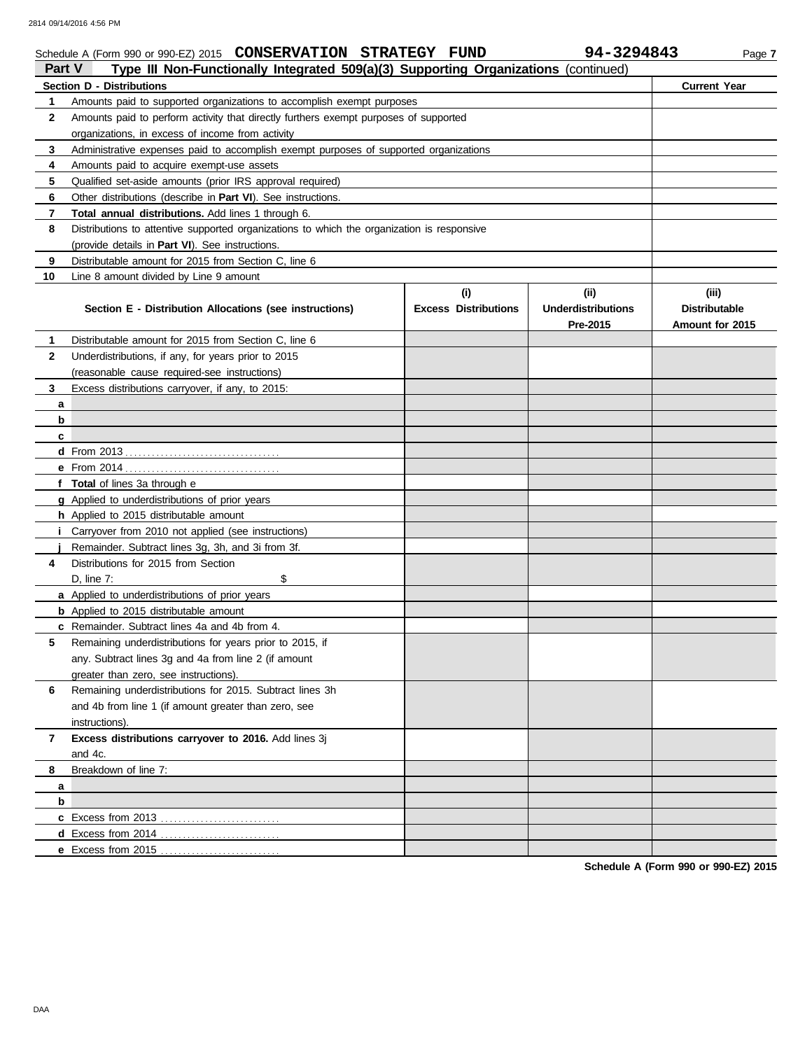| <b>Part V</b> | Type III Non-Functionally Integrated 509(a)(3) Supporting Organizations (continued)        |                             |                                       |                                         |
|---------------|--------------------------------------------------------------------------------------------|-----------------------------|---------------------------------------|-----------------------------------------|
|               | Section D - Distributions                                                                  |                             |                                       | <b>Current Year</b>                     |
| 1             | Amounts paid to supported organizations to accomplish exempt purposes                      |                             |                                       |                                         |
| $\mathbf{2}$  | Amounts paid to perform activity that directly furthers exempt purposes of supported       |                             |                                       |                                         |
|               | organizations, in excess of income from activity                                           |                             |                                       |                                         |
| 3             | Administrative expenses paid to accomplish exempt purposes of supported organizations      |                             |                                       |                                         |
| 4             | Amounts paid to acquire exempt-use assets                                                  |                             |                                       |                                         |
| 5             | Qualified set-aside amounts (prior IRS approval required)                                  |                             |                                       |                                         |
| 6             | Other distributions (describe in Part VI). See instructions.                               |                             |                                       |                                         |
| 7             | Total annual distributions. Add lines 1 through 6.                                         |                             |                                       |                                         |
| 8             | Distributions to attentive supported organizations to which the organization is responsive |                             |                                       |                                         |
|               | (provide details in Part VI). See instructions.                                            |                             |                                       |                                         |
| 9             | Distributable amount for 2015 from Section C, line 6                                       |                             |                                       |                                         |
| 10            | Line 8 amount divided by Line 9 amount                                                     |                             |                                       |                                         |
|               |                                                                                            | (i)                         | (ii)                                  | (iii)                                   |
|               | Section E - Distribution Allocations (see instructions)                                    | <b>Excess Distributions</b> | <b>Underdistributions</b><br>Pre-2015 | <b>Distributable</b><br>Amount for 2015 |
| 1             | Distributable amount for 2015 from Section C, line 6                                       |                             |                                       |                                         |
| $\mathbf{2}$  | Underdistributions, if any, for years prior to 2015                                        |                             |                                       |                                         |
|               | (reasonable cause required-see instructions)                                               |                             |                                       |                                         |
| 3             | Excess distributions carryover, if any, to 2015:                                           |                             |                                       |                                         |
| a             |                                                                                            |                             |                                       |                                         |
| b             |                                                                                            |                             |                                       |                                         |
| c             |                                                                                            |                             |                                       |                                         |
|               |                                                                                            |                             |                                       |                                         |
|               |                                                                                            |                             |                                       |                                         |
|               | f Total of lines 3a through e                                                              |                             |                                       |                                         |
|               | g Applied to underdistributions of prior years                                             |                             |                                       |                                         |
|               | <b>h</b> Applied to 2015 distributable amount                                              |                             |                                       |                                         |
|               | Carryover from 2010 not applied (see instructions)                                         |                             |                                       |                                         |
|               | Remainder. Subtract lines 3g, 3h, and 3i from 3f.                                          |                             |                                       |                                         |
| 4             | Distributions for 2015 from Section                                                        |                             |                                       |                                         |
|               | \$<br>D, line 7:                                                                           |                             |                                       |                                         |
|               | a Applied to underdistributions of prior years                                             |                             |                                       |                                         |
|               | <b>b</b> Applied to 2015 distributable amount                                              |                             |                                       |                                         |
|               | c Remainder. Subtract lines 4a and 4b from 4.                                              |                             |                                       |                                         |
| 5             | Remaining underdistributions for years prior to 2015, if                                   |                             |                                       |                                         |
|               | any. Subtract lines 3g and 4a from line 2 (if amount                                       |                             |                                       |                                         |
|               | greater than zero, see instructions).                                                      |                             |                                       |                                         |
| 6             | Remaining underdistributions for 2015. Subtract lines 3h                                   |                             |                                       |                                         |
|               | and 4b from line 1 (if amount greater than zero, see                                       |                             |                                       |                                         |
|               | instructions).                                                                             |                             |                                       |                                         |
| 7             | Excess distributions carryover to 2016. Add lines 3j                                       |                             |                                       |                                         |
|               | and 4c.                                                                                    |                             |                                       |                                         |
| 8             | Breakdown of line 7:                                                                       |                             |                                       |                                         |
| a             |                                                                                            |                             |                                       |                                         |
| b             |                                                                                            |                             |                                       |                                         |
|               |                                                                                            |                             |                                       |                                         |
|               |                                                                                            |                             |                                       |                                         |
|               |                                                                                            |                             |                                       |                                         |
|               |                                                                                            |                             |                                       |                                         |

Schedule A (Form 990 or 990-EZ) 2015 **CONSERVATION STRATEGY FUND** 94-3294843 Page 7

**CONSERVATION STRATEGY FUND 94-3294843**

**Schedule A (Form 990 or 990-EZ) 2015**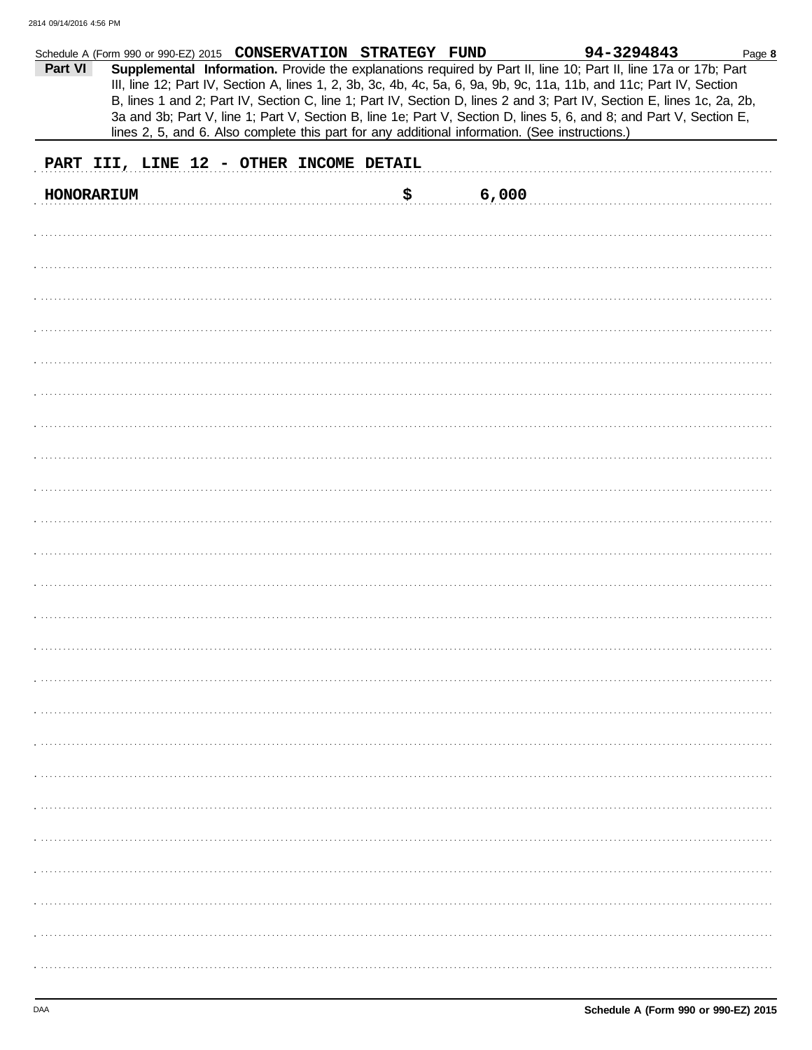| Part VI    | Schedule A (Form 990 or 990-EZ) 2015 CONSERVATION STRATEGY FUND | lines 2, 5, and 6. Also complete this part for any additional information. (See instructions.) |    |       | 94-3294843<br>Supplemental Information. Provide the explanations required by Part II, line 10; Part II, line 17a or 17b; Part<br>III, line 12; Part IV, Section A, lines 1, 2, 3b, 3c, 4b, 4c, 5a, 6, 9a, 9b, 9c, 11a, 11b, and 11c; Part IV, Section<br>B, lines 1 and 2; Part IV, Section C, line 1; Part IV, Section D, lines 2 and 3; Part IV, Section E, lines 1c, 2a, 2b,<br>3a and 3b; Part V, line 1; Part V, Section B, line 1e; Part V, Section D, lines 5, 6, and 8; and Part V, Section E, | Page 8 |  |  |  |  |  |
|------------|-----------------------------------------------------------------|------------------------------------------------------------------------------------------------|----|-------|--------------------------------------------------------------------------------------------------------------------------------------------------------------------------------------------------------------------------------------------------------------------------------------------------------------------------------------------------------------------------------------------------------------------------------------------------------------------------------------------------------|--------|--|--|--|--|--|
|            | PART III, LINE 12 - OTHER INCOME DETAIL                         |                                                                                                |    |       |                                                                                                                                                                                                                                                                                                                                                                                                                                                                                                        |        |  |  |  |  |  |
| HONORARIUM |                                                                 |                                                                                                | \$ | 6,000 |                                                                                                                                                                                                                                                                                                                                                                                                                                                                                                        |        |  |  |  |  |  |
|            |                                                                 |                                                                                                |    |       |                                                                                                                                                                                                                                                                                                                                                                                                                                                                                                        |        |  |  |  |  |  |
|            |                                                                 |                                                                                                |    |       |                                                                                                                                                                                                                                                                                                                                                                                                                                                                                                        |        |  |  |  |  |  |
|            |                                                                 |                                                                                                |    |       |                                                                                                                                                                                                                                                                                                                                                                                                                                                                                                        |        |  |  |  |  |  |
|            |                                                                 |                                                                                                |    |       |                                                                                                                                                                                                                                                                                                                                                                                                                                                                                                        |        |  |  |  |  |  |
|            |                                                                 |                                                                                                |    |       |                                                                                                                                                                                                                                                                                                                                                                                                                                                                                                        |        |  |  |  |  |  |
|            |                                                                 |                                                                                                |    |       |                                                                                                                                                                                                                                                                                                                                                                                                                                                                                                        |        |  |  |  |  |  |
|            |                                                                 |                                                                                                |    |       |                                                                                                                                                                                                                                                                                                                                                                                                                                                                                                        |        |  |  |  |  |  |
|            |                                                                 |                                                                                                |    |       |                                                                                                                                                                                                                                                                                                                                                                                                                                                                                                        |        |  |  |  |  |  |
|            |                                                                 |                                                                                                |    |       |                                                                                                                                                                                                                                                                                                                                                                                                                                                                                                        |        |  |  |  |  |  |
|            |                                                                 |                                                                                                |    |       |                                                                                                                                                                                                                                                                                                                                                                                                                                                                                                        |        |  |  |  |  |  |
|            |                                                                 |                                                                                                |    |       |                                                                                                                                                                                                                                                                                                                                                                                                                                                                                                        |        |  |  |  |  |  |
|            |                                                                 |                                                                                                |    |       |                                                                                                                                                                                                                                                                                                                                                                                                                                                                                                        |        |  |  |  |  |  |
|            |                                                                 |                                                                                                |    |       |                                                                                                                                                                                                                                                                                                                                                                                                                                                                                                        |        |  |  |  |  |  |
|            |                                                                 |                                                                                                |    |       |                                                                                                                                                                                                                                                                                                                                                                                                                                                                                                        |        |  |  |  |  |  |
|            |                                                                 |                                                                                                |    |       |                                                                                                                                                                                                                                                                                                                                                                                                                                                                                                        |        |  |  |  |  |  |
|            |                                                                 |                                                                                                |    |       |                                                                                                                                                                                                                                                                                                                                                                                                                                                                                                        |        |  |  |  |  |  |
|            |                                                                 |                                                                                                |    |       |                                                                                                                                                                                                                                                                                                                                                                                                                                                                                                        |        |  |  |  |  |  |
|            |                                                                 |                                                                                                |    |       |                                                                                                                                                                                                                                                                                                                                                                                                                                                                                                        |        |  |  |  |  |  |
|            |                                                                 |                                                                                                |    |       |                                                                                                                                                                                                                                                                                                                                                                                                                                                                                                        |        |  |  |  |  |  |
|            |                                                                 |                                                                                                |    |       |                                                                                                                                                                                                                                                                                                                                                                                                                                                                                                        |        |  |  |  |  |  |
|            |                                                                 |                                                                                                |    |       |                                                                                                                                                                                                                                                                                                                                                                                                                                                                                                        |        |  |  |  |  |  |
|            |                                                                 |                                                                                                |    |       |                                                                                                                                                                                                                                                                                                                                                                                                                                                                                                        |        |  |  |  |  |  |
|            |                                                                 |                                                                                                |    |       |                                                                                                                                                                                                                                                                                                                                                                                                                                                                                                        |        |  |  |  |  |  |
|            |                                                                 |                                                                                                |    |       |                                                                                                                                                                                                                                                                                                                                                                                                                                                                                                        |        |  |  |  |  |  |
|            |                                                                 |                                                                                                |    |       |                                                                                                                                                                                                                                                                                                                                                                                                                                                                                                        |        |  |  |  |  |  |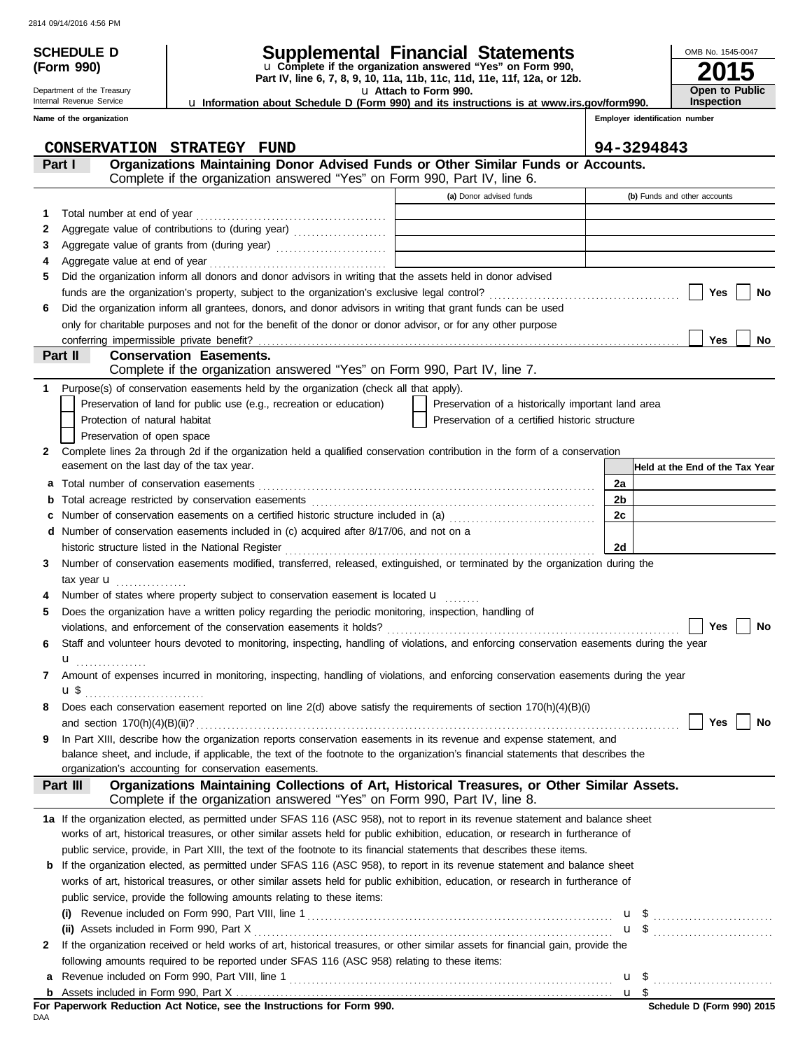**(Form 990)**

Department of the Treasury Internal Revenue Service

# **SCHEDULE D Supplemental Financial Statements**

u **Attach to Form 990. Part IV, line 6, 7, 8, 9, 10, 11a, 11b, 11c, 11d, 11e, 11f, 12a, or 12b.** u **Complete if the organization answered "Yes" on Form 990,**

**2015** OMB No. 1545-0047 **Open to Public Inspection**

u **Information about Schedule D (Form 990) and its instructions is at www.irs.gov/form990.**

|    | Name of the organization                                                                                                                                                 | Employer identification number                     |    |                                 |     |    |
|----|--------------------------------------------------------------------------------------------------------------------------------------------------------------------------|----------------------------------------------------|----|---------------------------------|-----|----|
|    | CONSERVATION STRATEGY FUND                                                                                                                                               |                                                    |    | 94-3294843                      |     |    |
|    | Organizations Maintaining Donor Advised Funds or Other Similar Funds or Accounts.<br>Part I<br>Complete if the organization answered "Yes" on Form 990, Part IV, line 6. |                                                    |    |                                 |     |    |
|    |                                                                                                                                                                          | (a) Donor advised funds                            |    | (b) Funds and other accounts    |     |    |
|    |                                                                                                                                                                          |                                                    |    |                                 |     |    |
| 1. |                                                                                                                                                                          |                                                    |    |                                 |     |    |
| 2  | Aggregate value of contributions to (during year)                                                                                                                        | the control of the control of the control of       |    |                                 |     |    |
| 3  |                                                                                                                                                                          |                                                    |    |                                 |     |    |
| 5  | Did the organization inform all donors and donor advisors in writing that the assets held in donor advised                                                               |                                                    |    |                                 |     |    |
|    |                                                                                                                                                                          |                                                    |    |                                 | Yes | No |
| 6  | Did the organization inform all grantees, donors, and donor advisors in writing that grant funds can be used                                                             |                                                    |    |                                 |     |    |
|    | only for charitable purposes and not for the benefit of the donor or donor advisor, or for any other purpose                                                             |                                                    |    |                                 |     |    |
|    |                                                                                                                                                                          |                                                    |    |                                 | Yes | No |
|    | Part II<br><b>Conservation Easements.</b>                                                                                                                                |                                                    |    |                                 |     |    |
|    | Complete if the organization answered "Yes" on Form 990, Part IV, line 7.                                                                                                |                                                    |    |                                 |     |    |
|    | Purpose(s) of conservation easements held by the organization (check all that apply).                                                                                    |                                                    |    |                                 |     |    |
|    | Preservation of land for public use (e.g., recreation or education)                                                                                                      | Preservation of a historically important land area |    |                                 |     |    |
|    | Protection of natural habitat                                                                                                                                            | Preservation of a certified historic structure     |    |                                 |     |    |
|    | Preservation of open space                                                                                                                                               |                                                    |    |                                 |     |    |
| 2  | Complete lines 2a through 2d if the organization held a qualified conservation contribution in the form of a conservation                                                |                                                    |    |                                 |     |    |
|    | easement on the last day of the tax year.                                                                                                                                |                                                    |    | Held at the End of the Tax Year |     |    |
| а  |                                                                                                                                                                          |                                                    | 2a |                                 |     |    |
|    |                                                                                                                                                                          |                                                    | 2b |                                 |     |    |
| с  | Number of conservation easements on a certified historic structure included in (a) [[[[[[[[[[[[[[[[[[[[[[[[[]]]]]]]                                                      |                                                    | 2c |                                 |     |    |
| d  | Number of conservation easements included in (c) acquired after 8/17/06, and not on a                                                                                    |                                                    |    |                                 |     |    |
|    | historic structure listed in the National Register                                                                                                                       |                                                    | 2d |                                 |     |    |
| 3  | Number of conservation easements modified, transferred, released, extinguished, or terminated by the organization during the                                             |                                                    |    |                                 |     |    |
|    | tax year $\mathbf{u}$                                                                                                                                                    |                                                    |    |                                 |     |    |
|    | Number of states where property subject to conservation easement is located u                                                                                            |                                                    |    |                                 |     |    |
| 5  | Does the organization have a written policy regarding the periodic monitoring, inspection, handling of                                                                   |                                                    |    |                                 |     |    |
|    |                                                                                                                                                                          |                                                    |    |                                 | Yes | No |
| 6  | Staff and volunteer hours devoted to monitoring, inspecting, handling of violations, and enforcing conservation easements during the year                                |                                                    |    |                                 |     |    |
|    | u<br>.                                                                                                                                                                   |                                                    |    |                                 |     |    |
| 7  | Amount of expenses incurred in monitoring, inspecting, handling of violations, and enforcing conservation easements during the year                                      |                                                    |    |                                 |     |    |
|    | u\$                                                                                                                                                                      |                                                    |    |                                 |     |    |
|    | Does each conservation easement reported on line 2(d) above satisfy the requirements of section 170(h)(4)(B)(i)                                                          |                                                    |    |                                 |     |    |
|    | and section $170(h)(4)(B)(ii)?$                                                                                                                                          |                                                    |    |                                 | Yes | No |
| 9  | In Part XIII, describe how the organization reports conservation easements in its revenue and expense statement, and                                                     |                                                    |    |                                 |     |    |
|    | balance sheet, and include, if applicable, the text of the footnote to the organization's financial statements that describes the                                        |                                                    |    |                                 |     |    |
|    | organization's accounting for conservation easements.                                                                                                                    |                                                    |    |                                 |     |    |
|    | Organizations Maintaining Collections of Art, Historical Treasures, or Other Similar Assets.<br>Part III                                                                 |                                                    |    |                                 |     |    |
|    | Complete if the organization answered "Yes" on Form 990, Part IV, line 8.                                                                                                |                                                    |    |                                 |     |    |
|    | 1a If the organization elected, as permitted under SFAS 116 (ASC 958), not to report in its revenue statement and balance sheet                                          |                                                    |    |                                 |     |    |
|    | works of art, historical treasures, or other similar assets held for public exhibition, education, or research in furtherance of                                         |                                                    |    |                                 |     |    |
|    | public service, provide, in Part XIII, the text of the footnote to its financial statements that describes these items.                                                  |                                                    |    |                                 |     |    |
| b  | If the organization elected, as permitted under SFAS 116 (ASC 958), to report in its revenue statement and balance sheet                                                 |                                                    |    |                                 |     |    |
|    | works of art, historical treasures, or other similar assets held for public exhibition, education, or research in furtherance of                                         |                                                    |    |                                 |     |    |
|    | public service, provide the following amounts relating to these items:                                                                                                   |                                                    |    |                                 |     |    |
|    |                                                                                                                                                                          |                                                    |    |                                 |     |    |
|    |                                                                                                                                                                          |                                                    |    | <b>u</b> \$                     |     |    |
| 2  | If the organization received or held works of art, historical treasures, or other similar assets for financial gain, provide the                                         |                                                    |    |                                 |     |    |
|    | following amounts required to be reported under SFAS 116 (ASC 958) relating to these items:                                                                              |                                                    |    |                                 |     |    |
| а  |                                                                                                                                                                          |                                                    |    |                                 |     |    |
|    |                                                                                                                                                                          |                                                    |    |                                 |     |    |

DAA **For Paperwork Reduction Act Notice, see the Instructions for Form 990.**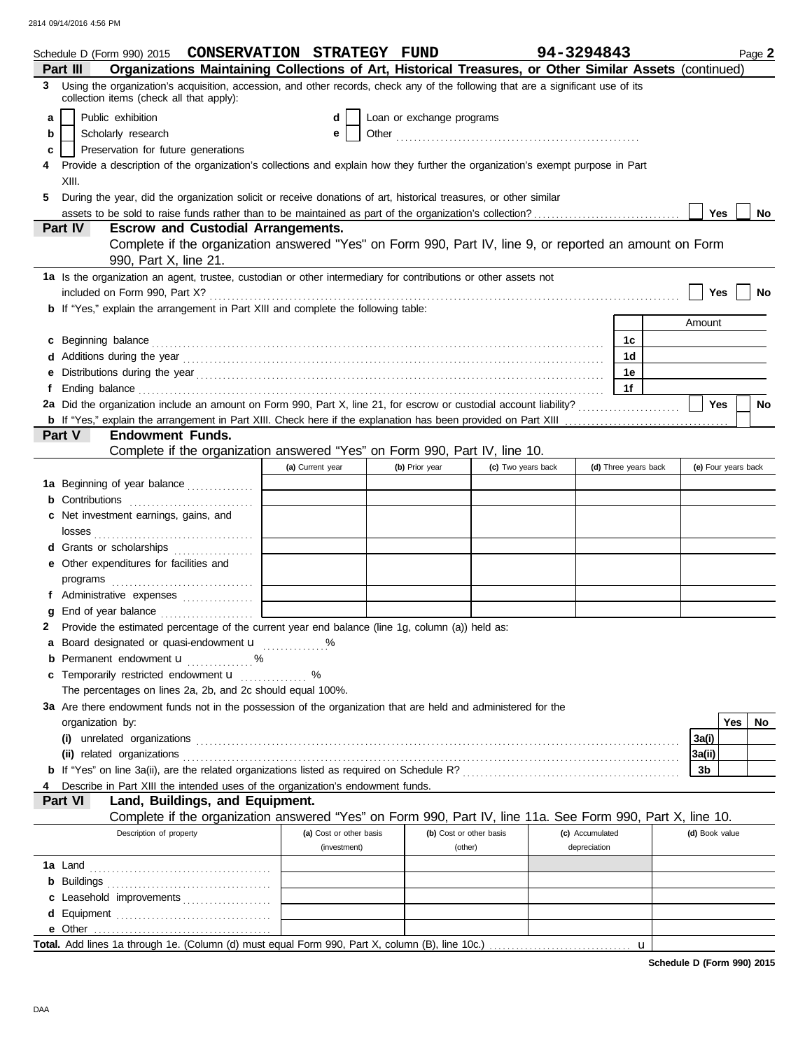|    | Schedule D (Form 990) 2015 CONSERVATION STRATEGY FUND                                                                                                                                                                                |                         |                           |                    | 94-3294843      |                      |   |                     |     | Page 2    |
|----|--------------------------------------------------------------------------------------------------------------------------------------------------------------------------------------------------------------------------------------|-------------------------|---------------------------|--------------------|-----------------|----------------------|---|---------------------|-----|-----------|
|    | Organizations Maintaining Collections of Art, Historical Treasures, or Other Similar Assets (continued)<br>Part III                                                                                                                  |                         |                           |                    |                 |                      |   |                     |     |           |
|    | 3 Using the organization's acquisition, accession, and other records, check any of the following that are a significant use of its<br>collection items (check all that apply):                                                       |                         |                           |                    |                 |                      |   |                     |     |           |
| a  | Public exhibition                                                                                                                                                                                                                    | d                       | Loan or exchange programs |                    |                 |                      |   |                     |     |           |
| b  | Scholarly research                                                                                                                                                                                                                   | е                       |                           |                    |                 |                      |   |                     |     |           |
| c  | Preservation for future generations                                                                                                                                                                                                  |                         |                           |                    |                 |                      |   |                     |     |           |
|    | Provide a description of the organization's collections and explain how they further the organization's exempt purpose in Part                                                                                                       |                         |                           |                    |                 |                      |   |                     |     |           |
|    | XIII.                                                                                                                                                                                                                                |                         |                           |                    |                 |                      |   |                     |     |           |
| 5. | During the year, did the organization solicit or receive donations of art, historical treasures, or other similar                                                                                                                    |                         |                           |                    |                 |                      |   |                     |     |           |
|    | assets to be sold to raise funds rather than to be maintained as part of the organization's collection?                                                                                                                              |                         |                           |                    |                 |                      |   | Yes                 |     | No        |
|    | <b>Part IV</b><br><b>Escrow and Custodial Arrangements.</b>                                                                                                                                                                          |                         |                           |                    |                 |                      |   |                     |     |           |
|    | Complete if the organization answered "Yes" on Form 990, Part IV, line 9, or reported an amount on Form                                                                                                                              |                         |                           |                    |                 |                      |   |                     |     |           |
|    | 990, Part X, line 21.                                                                                                                                                                                                                |                         |                           |                    |                 |                      |   |                     |     |           |
|    | 1a Is the organization an agent, trustee, custodian or other intermediary for contributions or other assets not                                                                                                                      |                         |                           |                    |                 |                      |   |                     |     |           |
|    |                                                                                                                                                                                                                                      |                         |                           |                    |                 |                      |   | Yes                 |     | No        |
|    | <b>b</b> If "Yes," explain the arrangement in Part XIII and complete the following table:                                                                                                                                            |                         |                           |                    |                 |                      |   |                     |     |           |
|    |                                                                                                                                                                                                                                      |                         |                           |                    |                 |                      |   | Amount              |     |           |
|    | c Beginning balance <b>contract to the contract of the set of the contract of the contract of the contract of the contract of the contract of the contract of the contract of the contract of the contract of the contract of th</b> |                         |                           |                    |                 | 1с                   |   |                     |     |           |
|    |                                                                                                                                                                                                                                      |                         |                           |                    |                 | 1d                   |   |                     |     |           |
|    |                                                                                                                                                                                                                                      |                         |                           |                    |                 | 1е                   |   |                     |     |           |
| f  | Ending balance <i>communical contract contract contract contract contract contract contract contract contract contract contract contract contract contract contract contract contract contract contract contract contract contra</i> |                         |                           |                    |                 | 1f                   |   |                     |     |           |
|    |                                                                                                                                                                                                                                      |                         |                           |                    |                 |                      |   | <b>Yes</b>          |     | <b>No</b> |
|    |                                                                                                                                                                                                                                      |                         |                           |                    |                 |                      |   |                     |     |           |
|    | Part V<br><b>Endowment Funds.</b>                                                                                                                                                                                                    |                         |                           |                    |                 |                      |   |                     |     |           |
|    | Complete if the organization answered "Yes" on Form 990, Part IV, line 10.                                                                                                                                                           |                         |                           |                    |                 |                      |   |                     |     |           |
|    |                                                                                                                                                                                                                                      | (a) Current year        | (b) Prior year            | (c) Two years back |                 | (d) Three years back |   | (e) Four years back |     |           |
|    | 1a Beginning of year balance                                                                                                                                                                                                         |                         |                           |                    |                 |                      |   |                     |     |           |
|    | <b>b</b> Contributions <b>contributions</b>                                                                                                                                                                                          |                         |                           |                    |                 |                      |   |                     |     |           |
|    | c Net investment earnings, gains, and                                                                                                                                                                                                |                         |                           |                    |                 |                      |   |                     |     |           |
|    |                                                                                                                                                                                                                                      |                         |                           |                    |                 |                      |   |                     |     |           |
|    | d Grants or scholarships                                                                                                                                                                                                             |                         |                           |                    |                 |                      |   |                     |     |           |
|    | e Other expenditures for facilities and                                                                                                                                                                                              |                         |                           |                    |                 |                      |   |                     |     |           |
|    |                                                                                                                                                                                                                                      |                         |                           |                    |                 |                      |   |                     |     |           |
|    | f Administrative expenses                                                                                                                                                                                                            |                         |                           |                    |                 |                      |   |                     |     |           |
|    |                                                                                                                                                                                                                                      |                         |                           |                    |                 |                      |   |                     |     |           |
|    | 2 Provide the estimated percentage of the current year end balance (line 1g, column (a)) held as:                                                                                                                                    |                         |                           |                    |                 |                      |   |                     |     |           |
|    | a Board designated or quasi-endowment <b>u</b> %                                                                                                                                                                                     |                         |                           |                    |                 |                      |   |                     |     |           |
|    | <b>b</b> Permanent endowment <b>u</b> %                                                                                                                                                                                              |                         |                           |                    |                 |                      |   |                     |     |           |
|    | c Temporarily restricted endowment <b>u</b> %                                                                                                                                                                                        |                         |                           |                    |                 |                      |   |                     |     |           |
|    | The percentages on lines 2a, 2b, and 2c should equal 100%.                                                                                                                                                                           |                         |                           |                    |                 |                      |   |                     |     |           |
|    | 3a Are there endowment funds not in the possession of the organization that are held and administered for the                                                                                                                        |                         |                           |                    |                 |                      |   |                     |     |           |
|    | organization by:                                                                                                                                                                                                                     |                         |                           |                    |                 |                      |   |                     | Yes | No        |
|    |                                                                                                                                                                                                                                      |                         |                           |                    |                 |                      |   | 3a(i)               |     |           |
|    |                                                                                                                                                                                                                                      |                         |                           |                    |                 |                      |   | 3a(ii)              |     |           |
|    |                                                                                                                                                                                                                                      |                         |                           |                    |                 |                      |   | 3b                  |     |           |
|    | Describe in Part XIII the intended uses of the organization's endowment funds.                                                                                                                                                       |                         |                           |                    |                 |                      |   |                     |     |           |
|    | Land, Buildings, and Equipment.<br>Part VI                                                                                                                                                                                           |                         |                           |                    |                 |                      |   |                     |     |           |
|    | Complete if the organization answered "Yes" on Form 990, Part IV, line 11a. See Form 990, Part X, line 10.<br>Description of property                                                                                                | (a) Cost or other basis | (b) Cost or other basis   |                    | (c) Accumulated |                      |   |                     |     |           |
|    |                                                                                                                                                                                                                                      | (investment)            | (other)                   |                    | depreciation    |                      |   | (d) Book value      |     |           |
|    |                                                                                                                                                                                                                                      |                         |                           |                    |                 |                      |   |                     |     |           |
|    |                                                                                                                                                                                                                                      |                         |                           |                    |                 |                      |   |                     |     |           |
|    |                                                                                                                                                                                                                                      |                         |                           |                    |                 |                      |   |                     |     |           |
|    | c Leasehold improvements                                                                                                                                                                                                             |                         |                           |                    |                 |                      |   |                     |     |           |
|    |                                                                                                                                                                                                                                      |                         |                           |                    |                 |                      |   |                     |     |           |
|    | Total. Add lines 1a through 1e. (Column (d) must equal Form 990, Part X, column (B), line 10c.)                                                                                                                                      |                         |                           |                    |                 |                      |   |                     |     |           |
|    |                                                                                                                                                                                                                                      |                         |                           |                    |                 |                      | u |                     |     |           |

**Schedule D (Form 990) 2015**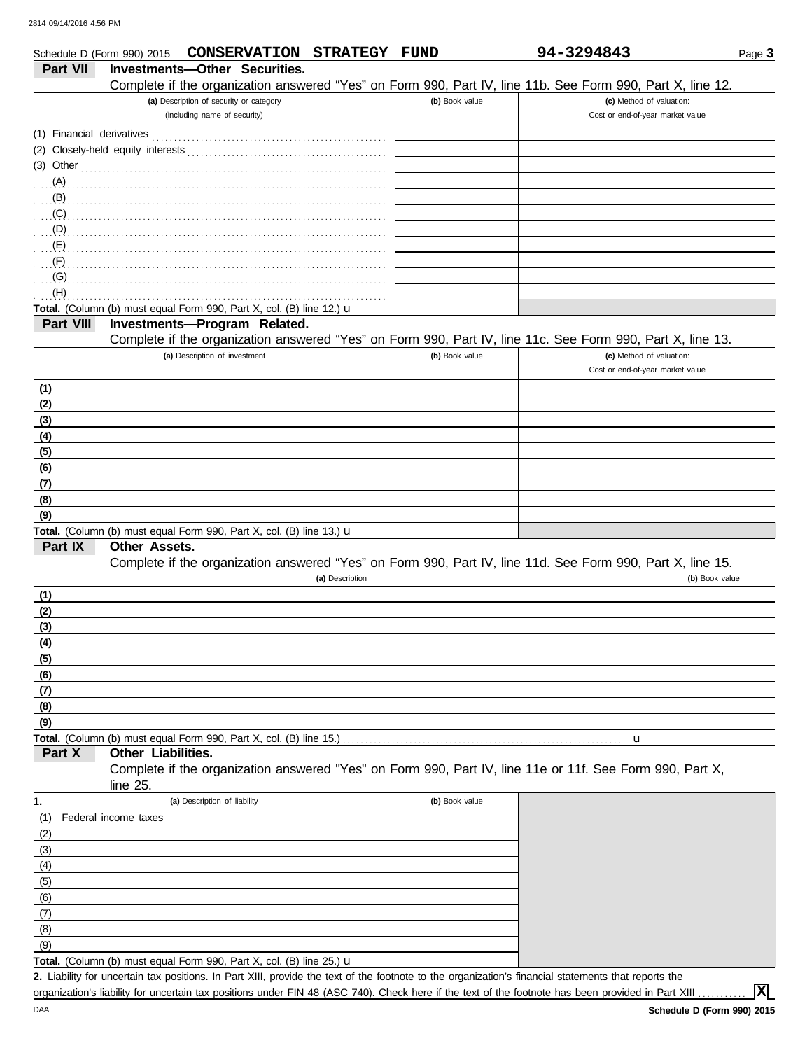|                           | CONSERVATION STRATEGY FUND<br>Schedule D (Form 990) 2015                                                             |                | 94-3294843                       | Page 3         |
|---------------------------|----------------------------------------------------------------------------------------------------------------------|----------------|----------------------------------|----------------|
| Part VII                  | Investments-Other Securities.                                                                                        |                |                                  |                |
|                           | Complete if the organization answered "Yes" on Form 990, Part IV, line 11b. See Form 990, Part X, line 12.           |                |                                  |                |
|                           | (a) Description of security or category                                                                              | (b) Book value | (c) Method of valuation:         |                |
|                           | (including name of security)                                                                                         |                | Cost or end-of-year market value |                |
|                           |                                                                                                                      |                |                                  |                |
|                           |                                                                                                                      |                |                                  |                |
|                           | $(3)$ Other                                                                                                          |                |                                  |                |
|                           |                                                                                                                      |                |                                  |                |
| $\mathbf{B}$              |                                                                                                                      |                |                                  |                |
| (C)                       |                                                                                                                      |                |                                  |                |
| $\Box$ (D)                |                                                                                                                      |                |                                  |                |
| (E)                       |                                                                                                                      |                |                                  |                |
| $\mathcal{F}(\mathsf{F})$ |                                                                                                                      |                |                                  |                |
| (G)                       |                                                                                                                      |                |                                  |                |
| (H)                       |                                                                                                                      |                |                                  |                |
|                           | Total. (Column (b) must equal Form 990, Part X, col. (B) line 12.) u                                                 |                |                                  |                |
| Part VIII                 | Investments-Program Related.                                                                                         |                |                                  |                |
|                           | Complete if the organization answered "Yes" on Form 990, Part IV, line 11c. See Form 990, Part X, line 13.           |                |                                  |                |
|                           | (a) Description of investment                                                                                        | (b) Book value | (c) Method of valuation:         |                |
|                           |                                                                                                                      |                | Cost or end-of-year market value |                |
| (1)                       |                                                                                                                      |                |                                  |                |
| (2)                       |                                                                                                                      |                |                                  |                |
| (3)                       |                                                                                                                      |                |                                  |                |
| (4)                       |                                                                                                                      |                |                                  |                |
| (5)                       |                                                                                                                      |                |                                  |                |
| (6)                       |                                                                                                                      |                |                                  |                |
| (7)                       |                                                                                                                      |                |                                  |                |
| (8)                       |                                                                                                                      |                |                                  |                |
| (9)                       |                                                                                                                      |                |                                  |                |
|                           | Total. (Column (b) must equal Form 990, Part X, col. (B) line 13.) u                                                 |                |                                  |                |
| Part IX                   | <b>Other Assets.</b>                                                                                                 |                |                                  |                |
|                           | Complete if the organization answered "Yes" on Form 990, Part IV, line 11d. See Form 990, Part X, line 15.           |                |                                  |                |
|                           | (a) Description                                                                                                      |                |                                  | (b) Book value |
| (1)                       |                                                                                                                      |                |                                  |                |
| (2)                       |                                                                                                                      |                |                                  |                |
| (3)                       |                                                                                                                      |                |                                  |                |
| (4)                       |                                                                                                                      |                |                                  |                |
| (5)                       |                                                                                                                      |                |                                  |                |
| (6)                       |                                                                                                                      |                |                                  |                |
| (7)                       |                                                                                                                      |                |                                  |                |
| (8)                       |                                                                                                                      |                |                                  |                |
| (9)                       |                                                                                                                      |                |                                  |                |
|                           |                                                                                                                      |                | u                                |                |
| Part X                    | Other Liabilities.                                                                                                   |                |                                  |                |
|                           | Complete if the organization answered "Yes" on Form 990, Part IV, line 11e or 11f. See Form 990, Part X,<br>line 25. |                |                                  |                |
| 1.                        | (a) Description of liability                                                                                         | (b) Book value |                                  |                |
| (1)                       | Federal income taxes                                                                                                 |                |                                  |                |
| (2)                       |                                                                                                                      |                |                                  |                |
| (3)                       |                                                                                                                      |                |                                  |                |
| (4)                       |                                                                                                                      |                |                                  |                |
| (5)                       |                                                                                                                      |                |                                  |                |
| (6)                       |                                                                                                                      |                |                                  |                |
| (7)                       |                                                                                                                      |                |                                  |                |
| (8)                       |                                                                                                                      |                |                                  |                |

Liability for uncertain tax positions. In Part XIII, provide the text of the footnote to the organization's financial statements that reports the **2.** organization's liability for uncertain tax positions under FIN 48 (ASC 740). Check here if the text of the footnote has been provided in Part XIII . Total. (Column (b) must equal Form 990, Part X, col. (B) line 25.) u

**X**

 $(9)$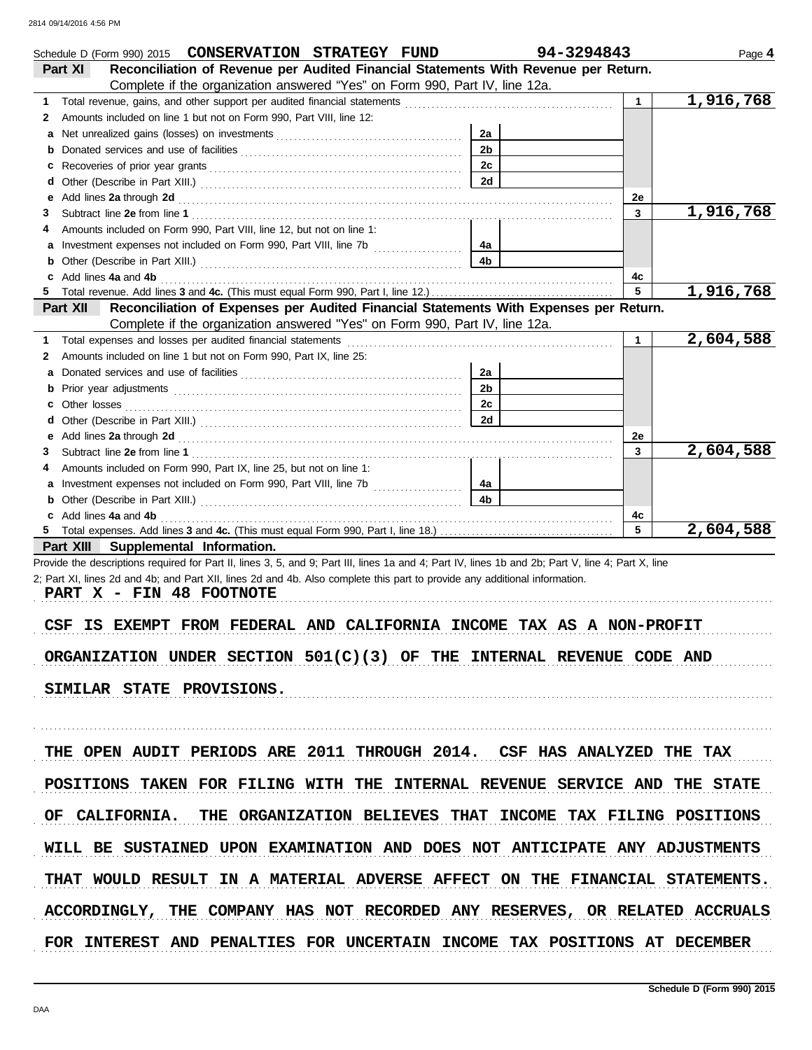|    | Schedule D (Form 990) 2015 CONSERVATION STRATEGY FUND                                                                                                                                                                          |                | 94-3294843 |              | Page 4    |
|----|--------------------------------------------------------------------------------------------------------------------------------------------------------------------------------------------------------------------------------|----------------|------------|--------------|-----------|
|    | Reconciliation of Revenue per Audited Financial Statements With Revenue per Return.<br>Part XI                                                                                                                                 |                |            |              |           |
|    | Complete if the organization answered "Yes" on Form 990, Part IV, line 12a.                                                                                                                                                    |                |            |              |           |
| 1. | Total revenue, gains, and other support per audited financial statements <i>communically contained</i> and other support                                                                                                       |                |            | $\mathbf{1}$ | 1,916,768 |
| 2  | Amounts included on line 1 but not on Form 990, Part VIII, line 12:                                                                                                                                                            |                |            |              |           |
| а  |                                                                                                                                                                                                                                | 2a             |            |              |           |
| b  |                                                                                                                                                                                                                                | 2 <sub>b</sub> |            |              |           |
| c  |                                                                                                                                                                                                                                | 2c             |            |              |           |
|    |                                                                                                                                                                                                                                | 2d             |            |              |           |
| е  | Add lines 2a through 2d [11] results and the contract of the contract of the contract of the contract of the contract of the contract of the contract of the contract of the contract of the contract of the contract of the c |                |            | 2e           |           |
| З  |                                                                                                                                                                                                                                |                |            | 3            | 1,916,768 |
| 4  | Amounts included on Form 990, Part VIII, line 12, but not on line 1:                                                                                                                                                           |                |            |              |           |
| a  |                                                                                                                                                                                                                                | 4a             |            |              |           |
| b  |                                                                                                                                                                                                                                | 4b             |            |              |           |
|    | c Add lines 4a and 4b                                                                                                                                                                                                          |                |            | 4c           |           |
| 5. |                                                                                                                                                                                                                                |                |            | 5            | 1,916,768 |
|    | Reconciliation of Expenses per Audited Financial Statements With Expenses per Return.<br><b>Part XII</b>                                                                                                                       |                |            |              |           |
|    | Complete if the organization answered "Yes" on Form 990, Part IV, line 12a.                                                                                                                                                    |                |            |              |           |
| 1  |                                                                                                                                                                                                                                |                |            | 1            | 2,604,588 |
| 2  | Amounts included on line 1 but not on Form 990, Part IX, line 25:                                                                                                                                                              |                |            |              |           |
| а  |                                                                                                                                                                                                                                | 2a             |            |              |           |
| b  |                                                                                                                                                                                                                                | 2 <sub>b</sub> |            |              |           |
| c  |                                                                                                                                                                                                                                | 2c             |            |              |           |
|    |                                                                                                                                                                                                                                | 2d             |            |              |           |
|    |                                                                                                                                                                                                                                |                |            | 2e           |           |
| З  |                                                                                                                                                                                                                                |                |            | 3            | 2,604,588 |
| 4  | Amounts included on Form 990, Part IX, line 25, but not on line 1:                                                                                                                                                             |                |            |              |           |
| а  | Investment expenses not included on Form 990, Part VIII, line 7b [                                                                                                                                                             | 4a             |            |              |           |
| b  |                                                                                                                                                                                                                                | 4b             |            |              |           |
|    | c Add lines 4a and 4b                                                                                                                                                                                                          |                |            | 4с           |           |
|    |                                                                                                                                                                                                                                |                |            | 5            | 2,604,588 |
|    | Part XIII Supplemental Information.                                                                                                                                                                                            |                |            |              |           |
|    | Provide the descriptions required for Part II, lines 3, 5, and 9; Part III, lines 1a and 4; Part IV, lines 1b and 2b; Part V, line 4; Part X, line                                                                             |                |            |              |           |
|    | 2; Part XI, lines 2d and 4b; and Part XII, lines 2d and 4b. Also complete this part to provide any additional information.                                                                                                     |                |            |              |           |
|    | PART X - FIN 48 FOOTNOTE                                                                                                                                                                                                       |                |            |              |           |
|    |                                                                                                                                                                                                                                |                |            |              |           |
|    | IS EXEMPT FROM FEDERAL AND CALIFORNIA INCOME TAX AS A NON-PROFIT<br>CSF                                                                                                                                                        |                |            |              |           |
|    |                                                                                                                                                                                                                                |                |            |              |           |
|    | ORGANIZATION UNDER SECTION $501(C)(3)$ OF THE INTERNAL REVENUE CODE AND                                                                                                                                                        |                |            |              |           |
|    |                                                                                                                                                                                                                                |                |            |              |           |
|    | SIMILAR STATE PROVISIONS.                                                                                                                                                                                                      |                |            |              |           |
|    |                                                                                                                                                                                                                                |                |            |              |           |
|    |                                                                                                                                                                                                                                |                |            |              |           |
|    |                                                                                                                                                                                                                                |                |            |              |           |
|    | THE OPEN AUDIT PERIODS ARE 2011 THROUGH 2014. CSF HAS ANALYZED THE TAX                                                                                                                                                         |                |            |              |           |
|    |                                                                                                                                                                                                                                |                |            |              |           |
|    | POSITIONS TAKEN FOR FILING WITH THE INTERNAL REVENUE SERVICE AND THE STATE                                                                                                                                                     |                |            |              |           |
|    |                                                                                                                                                                                                                                |                |            |              |           |
|    | OF CALIFORNIA. THE ORGANIZATION BELIEVES THAT INCOME TAX FILING POSITIONS                                                                                                                                                      |                |            |              |           |
|    |                                                                                                                                                                                                                                |                |            |              |           |
|    | WILL BE SUSTAINED UPON EXAMINATION AND DOES NOT ANTICIPATE ANY ADJUSTMENTS                                                                                                                                                     |                |            |              |           |
|    |                                                                                                                                                                                                                                |                |            |              |           |
|    |                                                                                                                                                                                                                                |                |            |              |           |
|    | THAT WOULD RESULT IN A MATERIAL ADVERSE AFFECT ON THE FINANCIAL STATEMENTS.                                                                                                                                                    |                |            |              |           |
|    |                                                                                                                                                                                                                                |                |            |              |           |
|    | ACCORDINGLY, THE COMPANY HAS NOT RECORDED ANY RESERVES, OR RELATED ACCRUALS                                                                                                                                                    |                |            |              |           |
|    |                                                                                                                                                                                                                                |                |            |              |           |
|    | FOR INTEREST AND PENALTIES FOR UNCERTAIN INCOME TAX POSITIONS AT DECEMBER                                                                                                                                                      |                |            |              |           |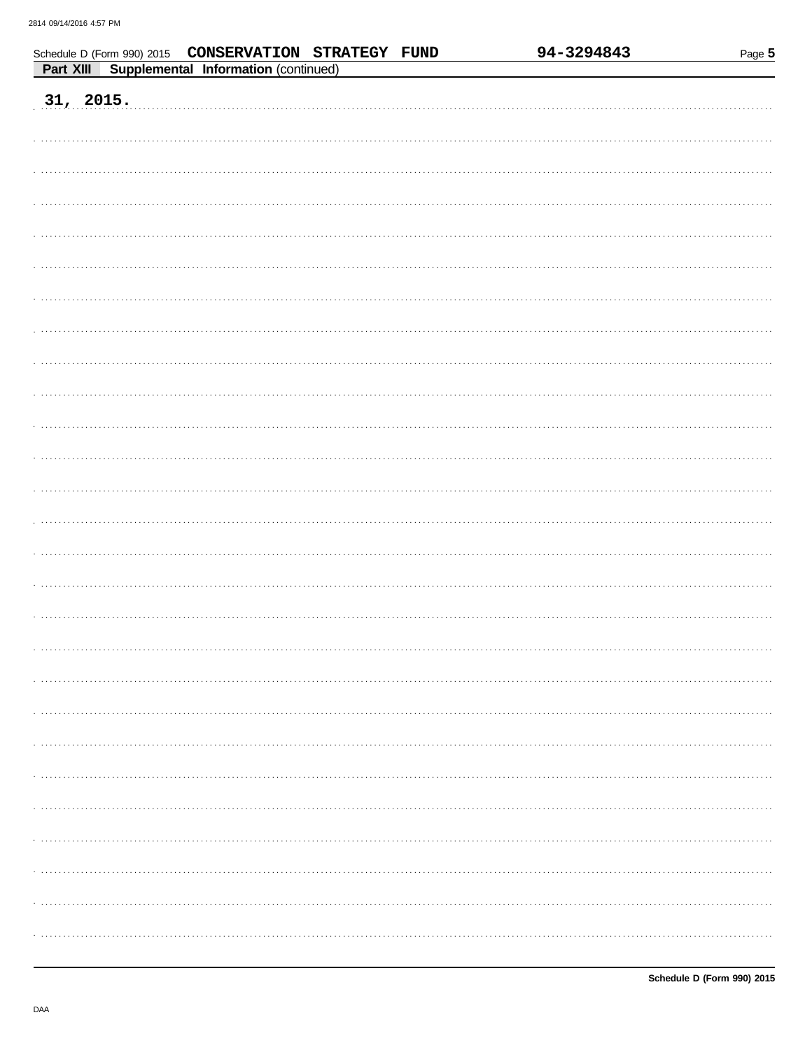|           |                                      | Schedule D (Form 990) 2015 CONSERVATION STRATEGY FUND | 94-3294843 | Page 5 |
|-----------|--------------------------------------|-------------------------------------------------------|------------|--------|
| Part XIII | Supplemental Information (continued) |                                                       |            |        |
|           |                                      |                                                       |            |        |
| 31, 2015. |                                      |                                                       |            |        |
|           |                                      |                                                       |            |        |
|           |                                      |                                                       |            |        |
|           |                                      |                                                       |            |        |
|           |                                      |                                                       |            |        |
|           |                                      |                                                       |            |        |
|           |                                      |                                                       |            |        |
|           |                                      |                                                       |            |        |
|           |                                      |                                                       |            |        |
|           |                                      |                                                       |            |        |
|           |                                      |                                                       |            |        |
|           |                                      |                                                       |            |        |
|           |                                      |                                                       |            |        |
|           |                                      |                                                       |            |        |
|           |                                      |                                                       |            |        |
|           |                                      |                                                       |            |        |
|           |                                      |                                                       |            |        |
|           |                                      |                                                       |            |        |
|           |                                      |                                                       |            |        |
|           |                                      |                                                       |            |        |
|           |                                      |                                                       |            |        |
|           |                                      |                                                       |            |        |
|           |                                      |                                                       |            |        |
|           |                                      |                                                       |            |        |
|           |                                      |                                                       |            |        |
|           |                                      |                                                       |            |        |
|           |                                      |                                                       |            |        |
|           |                                      |                                                       |            |        |
|           |                                      |                                                       |            |        |
|           |                                      |                                                       |            |        |
|           |                                      |                                                       |            |        |
|           |                                      |                                                       |            |        |
|           |                                      |                                                       |            |        |
|           |                                      |                                                       |            |        |
|           |                                      |                                                       |            |        |
|           |                                      |                                                       |            |        |
|           |                                      |                                                       |            |        |
|           |                                      |                                                       |            |        |
|           |                                      |                                                       |            |        |
|           |                                      |                                                       |            |        |
|           |                                      |                                                       |            |        |
|           |                                      |                                                       |            |        |
|           |                                      |                                                       |            |        |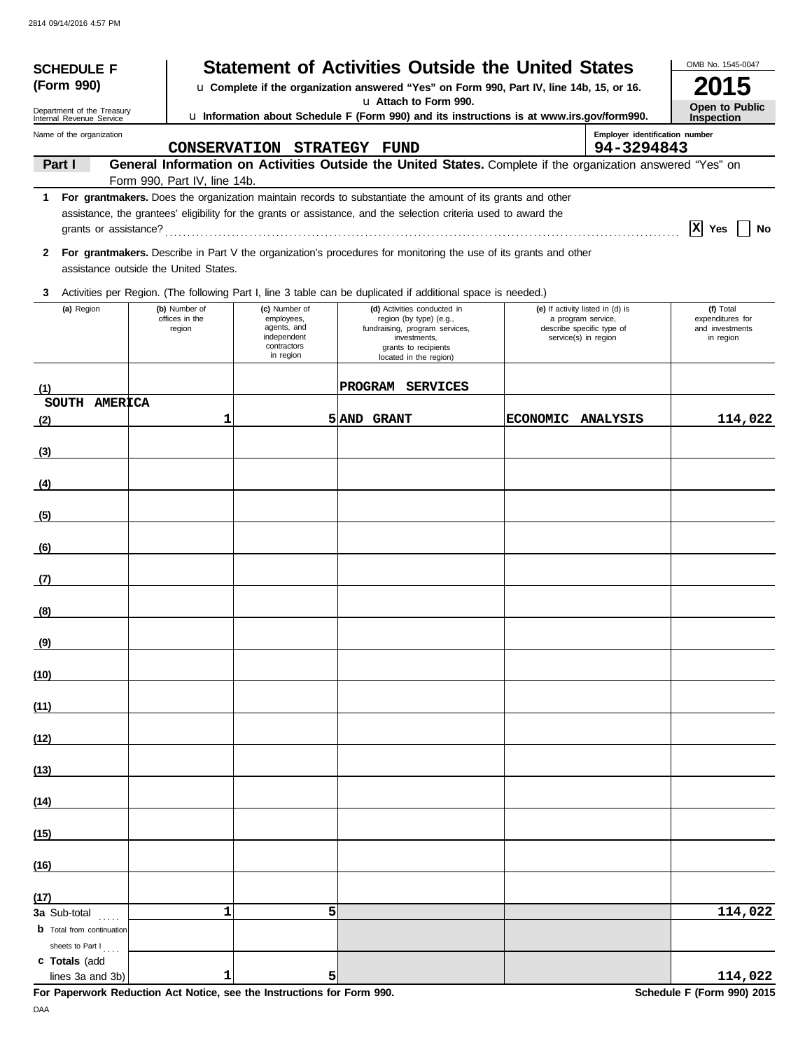| <b>SCHEDULE F</b><br>(Form 990)                                             |  |                                           |                                                                                       | <b>Statement of Activities Outside the United States</b><br>u Complete if the organization answered "Yes" on Form 990, Part IV, line 14b, 15, or 16.                                                                           |                 |                                                                                                             | OMB No. 1545-0047<br>015                                      |
|-----------------------------------------------------------------------------|--|-------------------------------------------|---------------------------------------------------------------------------------------|--------------------------------------------------------------------------------------------------------------------------------------------------------------------------------------------------------------------------------|-----------------|-------------------------------------------------------------------------------------------------------------|---------------------------------------------------------------|
| Department of the Treasury                                                  |  |                                           |                                                                                       | u Attach to Form 990.                                                                                                                                                                                                          |                 |                                                                                                             | Open to Public                                                |
| Internal Revenue Service<br>Name of the organization                        |  |                                           | CONSERVATION STRATEGY FUND                                                            | u Information about Schedule F (Form 990) and its instructions is at www.irs.gov/form990.                                                                                                                                      |                 | Employer identification number<br>94-3294843                                                                | Inspection                                                    |
| Part I                                                                      |  |                                           |                                                                                       | General Information on Activities Outside the United States. Complete if the organization answered "Yes" on                                                                                                                    |                 |                                                                                                             |                                                               |
| $1 \quad$                                                                   |  | Form 990, Part IV, line 14b.              |                                                                                       | For grantmakers. Does the organization maintain records to substantiate the amount of its grants and other<br>assistance, the grantees' eligibility for the grants or assistance, and the selection criteria used to award the |                 |                                                                                                             | $ X $ Yes<br>No                                               |
| 2                                                                           |  | assistance outside the United States.     |                                                                                       | For grantmakers. Describe in Part V the organization's procedures for monitoring the use of its grants and other                                                                                                               |                 |                                                                                                             |                                                               |
| 3                                                                           |  |                                           |                                                                                       | Activities per Region. (The following Part I, line 3 table can be duplicated if additional space is needed.)                                                                                                                   |                 |                                                                                                             |                                                               |
| (a) Region                                                                  |  | (b) Number of<br>offices in the<br>region | (c) Number of<br>employees,<br>agents, and<br>independent<br>contractors<br>in region | (d) Activities conducted in<br>region (by type) (e.g.,<br>fundraising, program services,<br>investments,<br>grants to recipients<br>located in the region)                                                                     |                 | (e) If activity listed in (d) is<br>a program service,<br>describe specific type of<br>service(s) in region | (f) Total<br>expenditures for<br>and investments<br>in region |
| (1)                                                                         |  |                                           |                                                                                       | PROGRAM SERVICES                                                                                                                                                                                                               |                 |                                                                                                             |                                                               |
| SOUTH AMERICA<br>(2)                                                        |  | 1                                         |                                                                                       | 5 AND GRANT                                                                                                                                                                                                                    | <b>ECONOMIC</b> | <b>ANALYSIS</b>                                                                                             | 114,022                                                       |
| (3)                                                                         |  |                                           |                                                                                       |                                                                                                                                                                                                                                |                 |                                                                                                             |                                                               |
|                                                                             |  |                                           |                                                                                       |                                                                                                                                                                                                                                |                 |                                                                                                             |                                                               |
| (4)                                                                         |  |                                           |                                                                                       |                                                                                                                                                                                                                                |                 |                                                                                                             |                                                               |
| (5)                                                                         |  |                                           |                                                                                       |                                                                                                                                                                                                                                |                 |                                                                                                             |                                                               |
| (6)                                                                         |  |                                           |                                                                                       |                                                                                                                                                                                                                                |                 |                                                                                                             |                                                               |
| (7)                                                                         |  |                                           |                                                                                       |                                                                                                                                                                                                                                |                 |                                                                                                             |                                                               |
| (8)                                                                         |  |                                           |                                                                                       |                                                                                                                                                                                                                                |                 |                                                                                                             |                                                               |
| (9)                                                                         |  |                                           |                                                                                       |                                                                                                                                                                                                                                |                 |                                                                                                             |                                                               |
| (10)                                                                        |  |                                           |                                                                                       |                                                                                                                                                                                                                                |                 |                                                                                                             |                                                               |
| (11)                                                                        |  |                                           |                                                                                       |                                                                                                                                                                                                                                |                 |                                                                                                             |                                                               |
| (12)                                                                        |  |                                           |                                                                                       |                                                                                                                                                                                                                                |                 |                                                                                                             |                                                               |
| (13)                                                                        |  |                                           |                                                                                       |                                                                                                                                                                                                                                |                 |                                                                                                             |                                                               |
| (14)                                                                        |  |                                           |                                                                                       |                                                                                                                                                                                                                                |                 |                                                                                                             |                                                               |
| (15)                                                                        |  |                                           |                                                                                       |                                                                                                                                                                                                                                |                 |                                                                                                             |                                                               |
| (16)                                                                        |  |                                           |                                                                                       |                                                                                                                                                                                                                                |                 |                                                                                                             |                                                               |
| (17)                                                                        |  |                                           |                                                                                       |                                                                                                                                                                                                                                |                 |                                                                                                             |                                                               |
| <b>3a</b> Sub-total<br><b>b</b> Total from continuation<br>sheets to Part I |  | 1                                         | 5                                                                                     |                                                                                                                                                                                                                                |                 |                                                                                                             | 114,022                                                       |
| c Totals (add<br>lines 3a and 3b)                                           |  | 1                                         | 5                                                                                     |                                                                                                                                                                                                                                |                 |                                                                                                             | 114,022                                                       |
|                                                                             |  |                                           | For Paperwork Reduction Act Notice, see the Instructions for Form 990.                |                                                                                                                                                                                                                                |                 |                                                                                                             | Schedule F (Form 990) 2015                                    |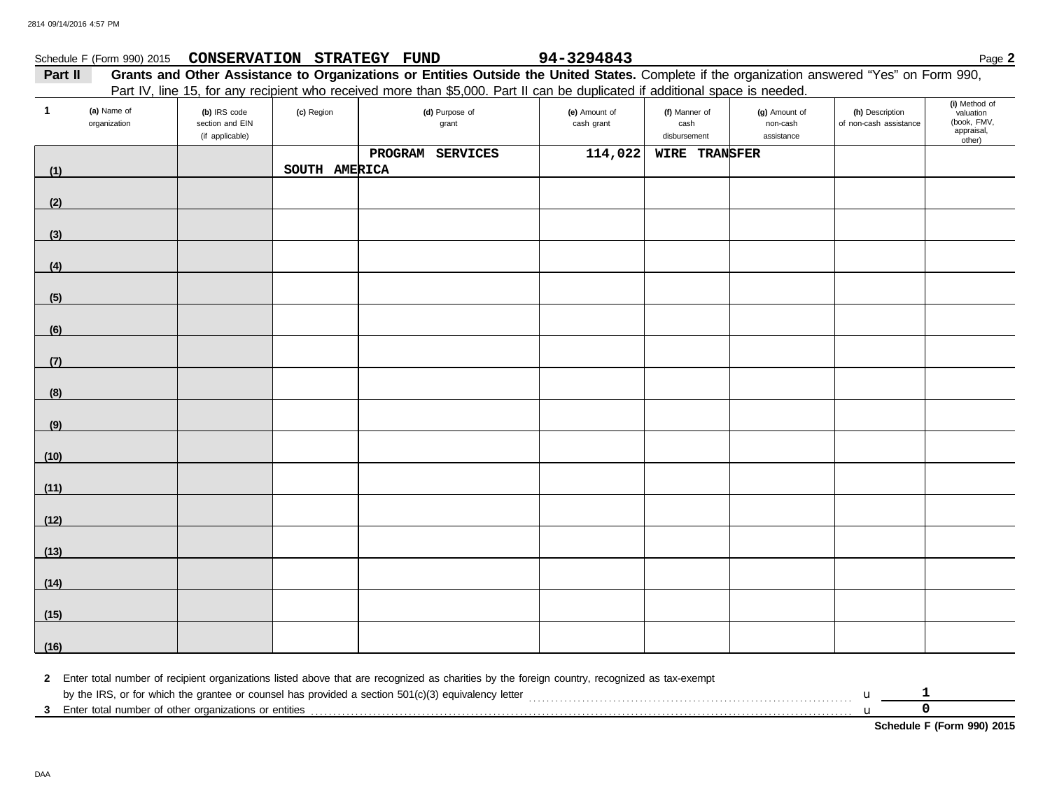|         | Schedule F (Form 990) 2015 CONSERVATION STRATEGY FUND |  | 94-3294843 | Page 2                                                                                                                                       |
|---------|-------------------------------------------------------|--|------------|----------------------------------------------------------------------------------------------------------------------------------------------|
| Part II |                                                       |  |            | Grants and Other Assistance to Organizations or Entities Outside the United States. Complete if the organization answered "Yes" on Form 990, |
|         |                                                       |  |            | Part IV, line 15, for any recipient who received more than \$5,000. Part II can be duplicated if additional space is needed.                 |

| $\mathbf{1}$ | (a) Name of<br>organization | (b) IRS code<br>section and EIN<br>(if applicable) | (c) Region    | (d) Purpose of<br>grant | (e) Amount of<br>cash grant | (f) Manner of<br>cash<br>disbursement | (g) Amount of<br>non-cash<br>assistance | (h) Description<br>of non-cash assistance | (i) Method of<br>valuation<br>(book, FMV,<br>appraisal,<br>other) |
|--------------|-----------------------------|----------------------------------------------------|---------------|-------------------------|-----------------------------|---------------------------------------|-----------------------------------------|-------------------------------------------|-------------------------------------------------------------------|
|              |                             |                                                    |               | PROGRAM SERVICES        | 114,022                     | WIRE TRANSFER                         |                                         |                                           |                                                                   |
| (1)          |                             |                                                    | SOUTH AMERICA |                         |                             |                                       |                                         |                                           |                                                                   |
| (2)          |                             |                                                    |               |                         |                             |                                       |                                         |                                           |                                                                   |
| (3)          |                             |                                                    |               |                         |                             |                                       |                                         |                                           |                                                                   |
| (4)          |                             |                                                    |               |                         |                             |                                       |                                         |                                           |                                                                   |
| (5)          |                             |                                                    |               |                         |                             |                                       |                                         |                                           |                                                                   |
| (6)          |                             |                                                    |               |                         |                             |                                       |                                         |                                           |                                                                   |
| (7)          |                             |                                                    |               |                         |                             |                                       |                                         |                                           |                                                                   |
| (8)          |                             |                                                    |               |                         |                             |                                       |                                         |                                           |                                                                   |
| (9)          |                             |                                                    |               |                         |                             |                                       |                                         |                                           |                                                                   |
| (10)         |                             |                                                    |               |                         |                             |                                       |                                         |                                           |                                                                   |
| (11)         |                             |                                                    |               |                         |                             |                                       |                                         |                                           |                                                                   |
| (12)         |                             |                                                    |               |                         |                             |                                       |                                         |                                           |                                                                   |
| (13)         |                             |                                                    |               |                         |                             |                                       |                                         |                                           |                                                                   |
| (14)         |                             |                                                    |               |                         |                             |                                       |                                         |                                           |                                                                   |
| (15)         |                             |                                                    |               |                         |                             |                                       |                                         |                                           |                                                                   |
| (16)         |                             |                                                    |               |                         |                             |                                       |                                         |                                           |                                                                   |

**2** Enter total number of recipient organizations listed above that are recognized as charities by the foreign country, recognized as tax-exempt by the IRS, or for which the grantee or counsel has provided a section 501(c)(3) equivalency letter . . . . . . . . . . . . . . . . . . . . . . . . . . . . . . . . . . . . . . . . . . . . . . . . . . . . . . . . . . . . . . . . . . . . . . . . . u

**3** Enter total number of other organizations or entities . . . . . . . . . . . . . . . . . . . . . . . . . . . . . . . . . . . . . . . . . . . . . . . . . . . . . . . . . . . . . . . . . . . . . . . . . . . . . . . . . . . . . . . . . . . . . . . . . . . . . . . . . . . . . . . . . . . . . . . . . . u **0**

| <b>Schedule F (Form 990) 2015</b> |  |  |
|-----------------------------------|--|--|
|-----------------------------------|--|--|

**1**

DAA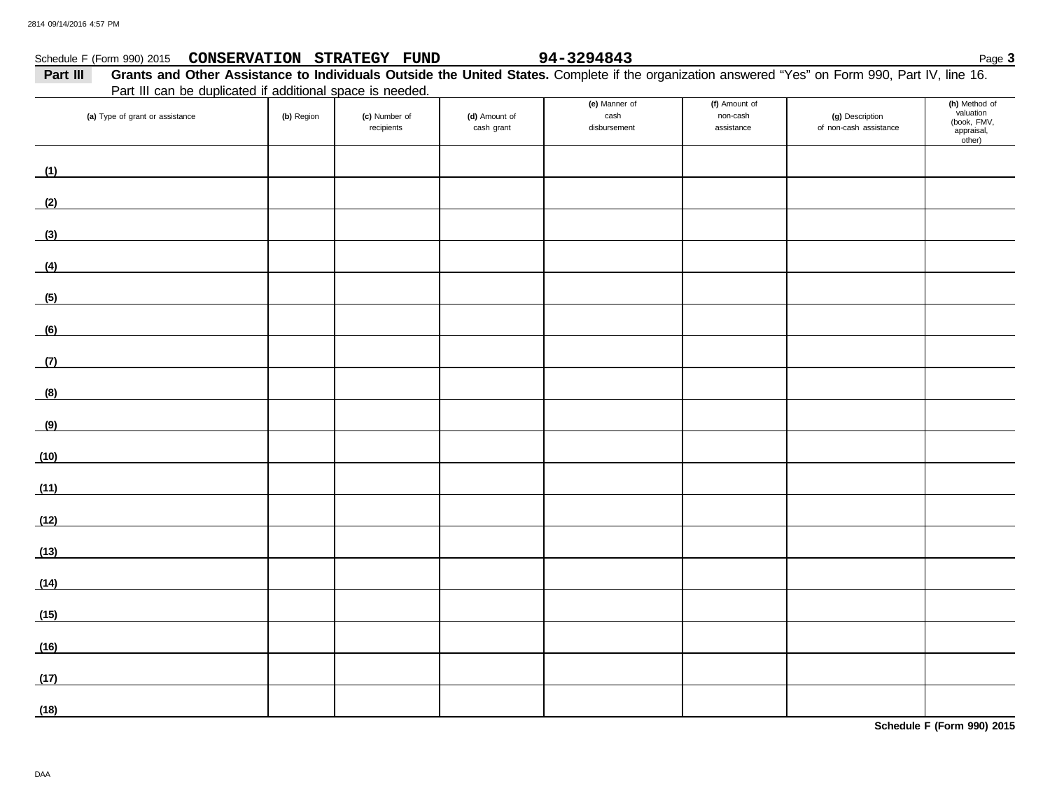### Schedule F (Form 990) 2015 Page **3 CONSERVATION STRATEGY FUND 94-3294843**

| Part III | Grants and Other Assistance to Individuals Outside the United States. Complete if the organization answered "Yes" on Form 990, Part IV, line 16. |  |  |  |  |
|----------|--------------------------------------------------------------------------------------------------------------------------------------------------|--|--|--|--|
|          | Part III can be duplicated if additional space is needed.                                                                                        |  |  |  |  |
|          |                                                                                                                                                  |  |  |  |  |

|                                                |            | <b>Early the barrists advisored in additional operations</b> increased. |                             |                                       |                                         |                                           |                                                                   |
|------------------------------------------------|------------|-------------------------------------------------------------------------|-----------------------------|---------------------------------------|-----------------------------------------|-------------------------------------------|-------------------------------------------------------------------|
| (a) Type of grant or assistance                | (b) Region | (c) Number of<br>recipients                                             | (d) Amount of<br>cash grant | (e) Manner of<br>cash<br>disbursement | (f) Amount of<br>non-cash<br>assistance | (g) Description<br>of non-cash assistance | (h) Method of<br>valuation<br>(book, FMV,<br>appraisal,<br>other) |
| (1)<br><u> 1980 - Johann Barbara, martxa a</u> |            |                                                                         |                             |                                       |                                         |                                           |                                                                   |
| (2)                                            |            |                                                                         |                             |                                       |                                         |                                           |                                                                   |
| (3)                                            |            |                                                                         |                             |                                       |                                         |                                           |                                                                   |
| (4)                                            |            |                                                                         |                             |                                       |                                         |                                           |                                                                   |
| (5)                                            |            |                                                                         |                             |                                       |                                         |                                           |                                                                   |
| (6)                                            |            |                                                                         |                             |                                       |                                         |                                           |                                                                   |
| (7)                                            |            |                                                                         |                             |                                       |                                         |                                           |                                                                   |
| (8)                                            |            |                                                                         |                             |                                       |                                         |                                           |                                                                   |
| (9)                                            |            |                                                                         |                             |                                       |                                         |                                           |                                                                   |
| (10)                                           |            |                                                                         |                             |                                       |                                         |                                           |                                                                   |
| (11)                                           |            |                                                                         |                             |                                       |                                         |                                           |                                                                   |
| (12)                                           |            |                                                                         |                             |                                       |                                         |                                           |                                                                   |
| (13)                                           |            |                                                                         |                             |                                       |                                         |                                           |                                                                   |
| (14)                                           |            |                                                                         |                             |                                       |                                         |                                           |                                                                   |
| (15)                                           |            |                                                                         |                             |                                       |                                         |                                           |                                                                   |
| (16)                                           |            |                                                                         |                             |                                       |                                         |                                           |                                                                   |
| (17)                                           |            |                                                                         |                             |                                       |                                         |                                           |                                                                   |
| (18)                                           |            |                                                                         |                             |                                       |                                         |                                           |                                                                   |

**Schedule F (Form 990) 2015**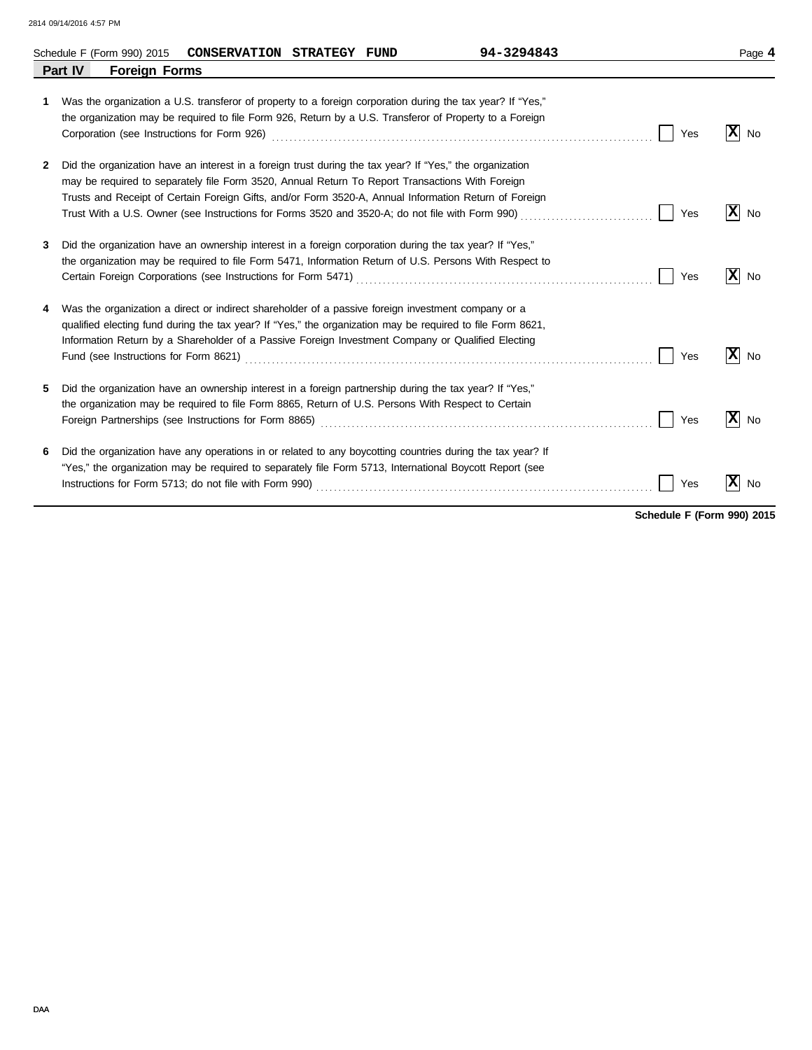|   | 94-3294843<br>Schedule F (Form 990) 2015<br>CONSERVATION STRATEGY FUND                                                                                                                                                                                                                                                                                                                                                                    |     | Page 4               |
|---|-------------------------------------------------------------------------------------------------------------------------------------------------------------------------------------------------------------------------------------------------------------------------------------------------------------------------------------------------------------------------------------------------------------------------------------------|-----|----------------------|
|   | Part IV<br><b>Foreign Forms</b>                                                                                                                                                                                                                                                                                                                                                                                                           |     |                      |
| 1 | Was the organization a U.S. transferor of property to a foreign corporation during the tax year? If "Yes,"<br>the organization may be required to file Form 926, Return by a U.S. Transferor of Property to a Foreign                                                                                                                                                                                                                     | Yes | $ \mathbf{x} $<br>No |
| 2 | Did the organization have an interest in a foreign trust during the tax year? If "Yes," the organization<br>may be required to separately file Form 3520, Annual Return To Report Transactions With Foreign<br>Trusts and Receipt of Certain Foreign Gifts, and/or Form 3520-A, Annual Information Return of Foreign                                                                                                                      | Yes | x <br>No             |
| 3 | Did the organization have an ownership interest in a foreign corporation during the tax year? If "Yes,"<br>the organization may be required to file Form 5471, Information Return of U.S. Persons With Respect to                                                                                                                                                                                                                         | Yes | $ X $ No             |
|   | Was the organization a direct or indirect shareholder of a passive foreign investment company or a<br>qualified electing fund during the tax year? If "Yes," the organization may be required to file Form 8621,<br>Information Return by a Shareholder of a Passive Foreign Investment Company or Qualified Electing<br>Fund (see Instructions for Form 8621) Matter Construction (Section 2010) and the USA construction of Section 201 | Yes | x <br>No             |
| 5 | Did the organization have an ownership interest in a foreign partnership during the tax year? If "Yes,"<br>the organization may be required to file Form 8865, Return of U.S. Persons With Respect to Certain                                                                                                                                                                                                                             | Yes | $ \mathbf{X} $ No    |
| 6 | Did the organization have any operations in or related to any boycotting countries during the tax year? If<br>"Yes," the organization may be required to separately file Form 5713, International Boycott Report (see                                                                                                                                                                                                                     | Yes | x <br>No             |

**Schedule F (Form 990) 2015**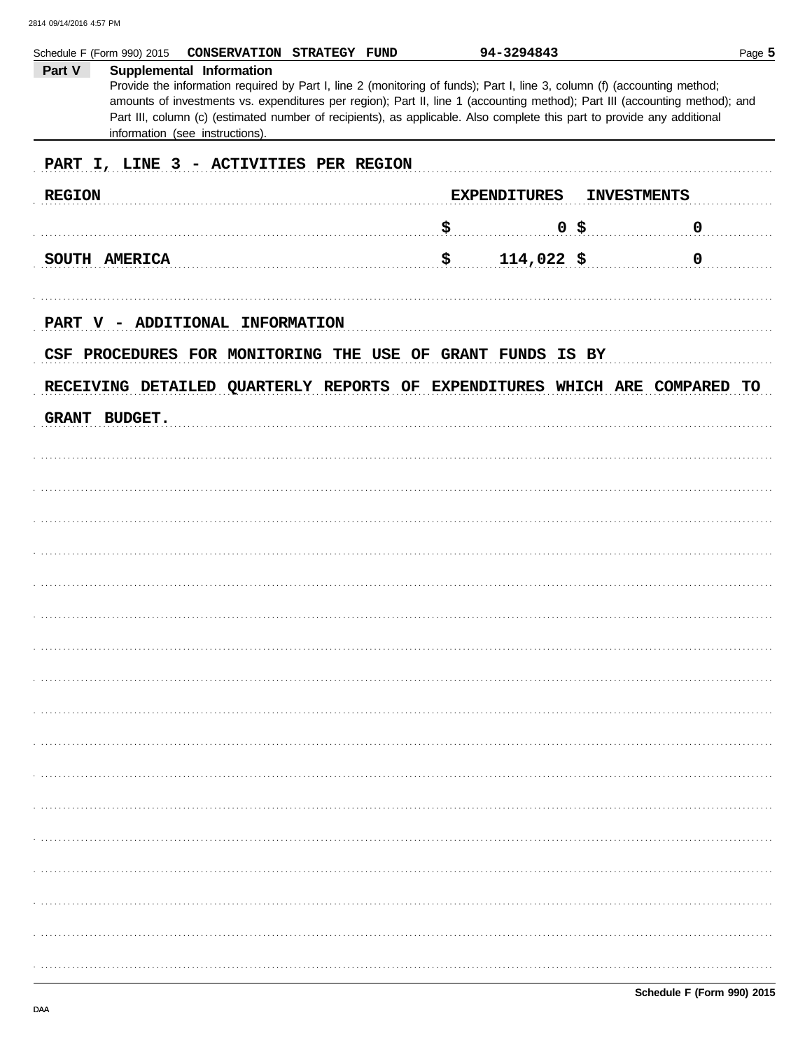| Part V           | Schedule F (Form 990) 2015<br>CONSERVATION STRATEGY FUND<br><b>Supplemental Information</b><br>Provide the information required by Part I, line 2 (monitoring of funds); Part I, line 3, column (f) (accounting method;<br>amounts of investments vs. expenditures per region); Part II, line 1 (accounting method); Part III (accounting method); and<br>Part III, column (c) (estimated number of recipients), as applicable. Also complete this part to provide any additional<br>information (see instructions). | 94-3294843               | Page 5             |
|------------------|----------------------------------------------------------------------------------------------------------------------------------------------------------------------------------------------------------------------------------------------------------------------------------------------------------------------------------------------------------------------------------------------------------------------------------------------------------------------------------------------------------------------|--------------------------|--------------------|
|                  | PART I, LINE 3 - ACTIVITIES PER REGION                                                                                                                                                                                                                                                                                                                                                                                                                                                                               |                          |                    |
| <b>REGION</b>    |                                                                                                                                                                                                                                                                                                                                                                                                                                                                                                                      | <b>EXPENDITURES</b>      | <b>INVESTMENTS</b> |
|                  |                                                                                                                                                                                                                                                                                                                                                                                                                                                                                                                      | \$<br>$0$ \$             | $\mathbf 0$        |
|                  | SOUTH AMERICA                                                                                                                                                                                                                                                                                                                                                                                                                                                                                                        | \$<br>$114,022$ \$       | 0                  |
| <b>PART</b><br>V | <b>ADDITIONAL</b><br><b>INFORMATION</b><br>CSF PROCEDURES FOR MONITORING THE USE OF<br>RECEIVING DETAILED QUARTERLY REPORTS OF EXPENDITURES WHICH ARE COMPARED                                                                                                                                                                                                                                                                                                                                                       | <b>GRANT FUNDS IS BY</b> | TO                 |
|                  |                                                                                                                                                                                                                                                                                                                                                                                                                                                                                                                      |                          |                    |
| <b>GRANT</b>     | <b>BUDGET.</b>                                                                                                                                                                                                                                                                                                                                                                                                                                                                                                       |                          |                    |
|                  |                                                                                                                                                                                                                                                                                                                                                                                                                                                                                                                      |                          |                    |
|                  |                                                                                                                                                                                                                                                                                                                                                                                                                                                                                                                      |                          |                    |
|                  |                                                                                                                                                                                                                                                                                                                                                                                                                                                                                                                      |                          |                    |
|                  |                                                                                                                                                                                                                                                                                                                                                                                                                                                                                                                      |                          |                    |
|                  |                                                                                                                                                                                                                                                                                                                                                                                                                                                                                                                      |                          |                    |
|                  |                                                                                                                                                                                                                                                                                                                                                                                                                                                                                                                      |                          |                    |
|                  |                                                                                                                                                                                                                                                                                                                                                                                                                                                                                                                      |                          |                    |
|                  |                                                                                                                                                                                                                                                                                                                                                                                                                                                                                                                      |                          |                    |
|                  |                                                                                                                                                                                                                                                                                                                                                                                                                                                                                                                      |                          |                    |
|                  |                                                                                                                                                                                                                                                                                                                                                                                                                                                                                                                      |                          |                    |
|                  |                                                                                                                                                                                                                                                                                                                                                                                                                                                                                                                      |                          |                    |
|                  |                                                                                                                                                                                                                                                                                                                                                                                                                                                                                                                      |                          |                    |
|                  |                                                                                                                                                                                                                                                                                                                                                                                                                                                                                                                      |                          |                    |
|                  |                                                                                                                                                                                                                                                                                                                                                                                                                                                                                                                      |                          |                    |
|                  |                                                                                                                                                                                                                                                                                                                                                                                                                                                                                                                      |                          |                    |
|                  |                                                                                                                                                                                                                                                                                                                                                                                                                                                                                                                      |                          |                    |
|                  |                                                                                                                                                                                                                                                                                                                                                                                                                                                                                                                      |                          |                    |
|                  |                                                                                                                                                                                                                                                                                                                                                                                                                                                                                                                      |                          |                    |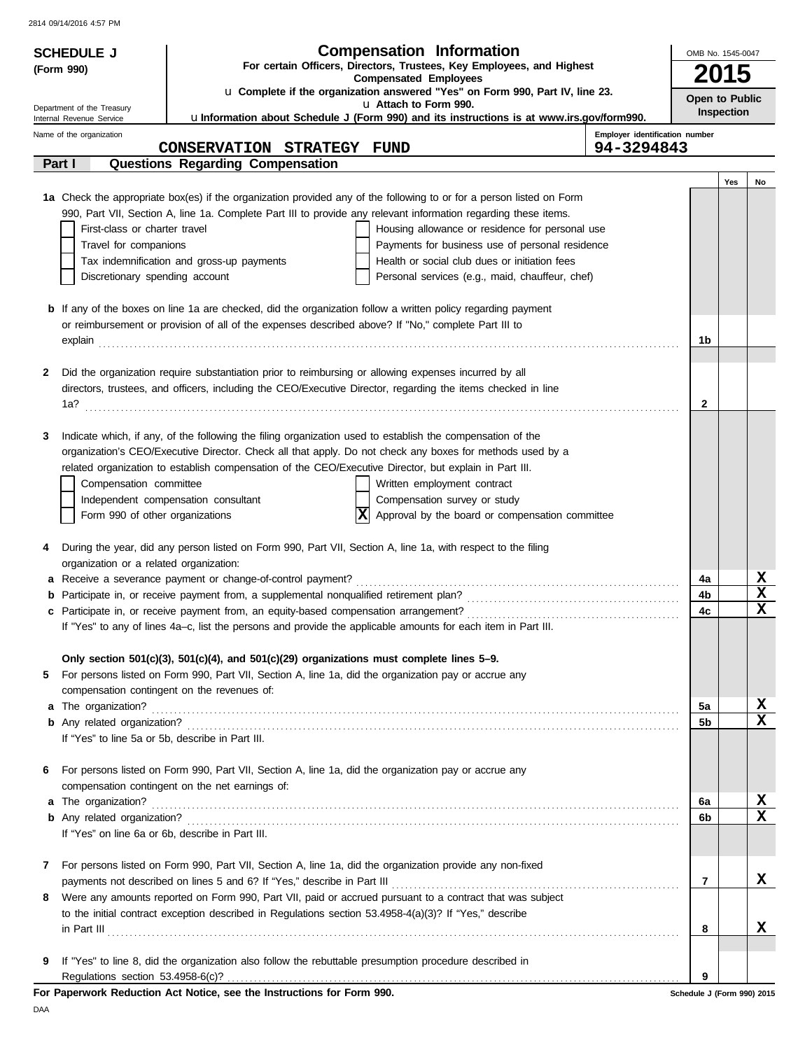|   | <b>SCHEDULE J</b>                                                                   |                                                                                                                                                     | <b>Compensation Information</b>                                                                                                                                                                                                         |                                | OMB No. 1545-0047 |                            |
|---|-------------------------------------------------------------------------------------|-----------------------------------------------------------------------------------------------------------------------------------------------------|-----------------------------------------------------------------------------------------------------------------------------------------------------------------------------------------------------------------------------------------|--------------------------------|-------------------|----------------------------|
|   | For certain Officers, Directors, Trustees, Key Employees, and Highest<br>(Form 990) |                                                                                                                                                     |                                                                                                                                                                                                                                         |                                |                   |                            |
|   |                                                                                     |                                                                                                                                                     | <b>Compensated Employees</b>                                                                                                                                                                                                            |                                |                   | <b>2015</b>                |
|   | Department of the Treasury                                                          |                                                                                                                                                     | u Complete if the organization answered "Yes" on Form 990, Part IV, line 23.<br>u Attach to Form 990.                                                                                                                                   |                                |                   | Open to Public             |
|   | Internal Revenue Service                                                            |                                                                                                                                                     | ulnformation about Schedule J (Form 990) and its instructions is at www.irs.gov/form990.                                                                                                                                                |                                |                   | Inspection                 |
|   | Name of the organization                                                            |                                                                                                                                                     |                                                                                                                                                                                                                                         | Employer identification number |                   |                            |
|   |                                                                                     | CONSERVATION STRATEGY FUND                                                                                                                          |                                                                                                                                                                                                                                         | 94-3294843                     |                   |                            |
|   | Part I                                                                              | <b>Questions Regarding Compensation</b>                                                                                                             |                                                                                                                                                                                                                                         |                                |                   |                            |
|   |                                                                                     |                                                                                                                                                     |                                                                                                                                                                                                                                         |                                |                   | Yes<br>No                  |
|   |                                                                                     |                                                                                                                                                     | 1a Check the appropriate box(es) if the organization provided any of the following to or for a person listed on Form<br>990, Part VII, Section A, line 1a. Complete Part III to provide any relevant information regarding these items. |                                |                   |                            |
|   | First-class or charter travel                                                       |                                                                                                                                                     | Housing allowance or residence for personal use                                                                                                                                                                                         |                                |                   |                            |
|   | Travel for companions                                                               |                                                                                                                                                     | Payments for business use of personal residence                                                                                                                                                                                         |                                |                   |                            |
|   |                                                                                     | Tax indemnification and gross-up payments                                                                                                           | Health or social club dues or initiation fees                                                                                                                                                                                           |                                |                   |                            |
|   | Discretionary spending account                                                      |                                                                                                                                                     | Personal services (e.g., maid, chauffeur, chef)                                                                                                                                                                                         |                                |                   |                            |
|   |                                                                                     |                                                                                                                                                     |                                                                                                                                                                                                                                         |                                |                   |                            |
|   |                                                                                     |                                                                                                                                                     | <b>b</b> If any of the boxes on line 1a are checked, did the organization follow a written policy regarding payment                                                                                                                     |                                |                   |                            |
|   |                                                                                     | or reimbursement or provision of all of the expenses described above? If "No," complete Part III to                                                 |                                                                                                                                                                                                                                         |                                |                   |                            |
|   |                                                                                     |                                                                                                                                                     |                                                                                                                                                                                                                                         |                                | 1b                |                            |
|   |                                                                                     |                                                                                                                                                     |                                                                                                                                                                                                                                         |                                |                   |                            |
| 2 |                                                                                     | Did the organization require substantiation prior to reimbursing or allowing expenses incurred by all                                               |                                                                                                                                                                                                                                         |                                |                   |                            |
|   |                                                                                     |                                                                                                                                                     | directors, trustees, and officers, including the CEO/Executive Director, regarding the items checked in line                                                                                                                            |                                |                   |                            |
|   |                                                                                     |                                                                                                                                                     |                                                                                                                                                                                                                                         |                                | $\mathbf{2}$      |                            |
|   |                                                                                     |                                                                                                                                                     |                                                                                                                                                                                                                                         |                                |                   |                            |
| 3 |                                                                                     |                                                                                                                                                     | Indicate which, if any, of the following the filing organization used to establish the compensation of the                                                                                                                              |                                |                   |                            |
|   |                                                                                     |                                                                                                                                                     | organization's CEO/Executive Director. Check all that apply. Do not check any boxes for methods used by a<br>related organization to establish compensation of the CEO/Executive Director, but explain in Part III.                     |                                |                   |                            |
|   | Compensation committee                                                              |                                                                                                                                                     | Written employment contract                                                                                                                                                                                                             |                                |                   |                            |
|   |                                                                                     | Independent compensation consultant                                                                                                                 | Compensation survey or study                                                                                                                                                                                                            |                                |                   |                            |
|   | Form 990 of other organizations                                                     |                                                                                                                                                     | ΙxΙ<br>Approval by the board or compensation committee                                                                                                                                                                                  |                                |                   |                            |
|   |                                                                                     |                                                                                                                                                     |                                                                                                                                                                                                                                         |                                |                   |                            |
| 4 |                                                                                     |                                                                                                                                                     | During the year, did any person listed on Form 990, Part VII, Section A, line 1a, with respect to the filing                                                                                                                            |                                |                   |                            |
|   | organization or a related organization:                                             |                                                                                                                                                     |                                                                                                                                                                                                                                         |                                |                   |                            |
|   |                                                                                     | a Receive a severance payment or change-of-control payment?                                                                                         |                                                                                                                                                                                                                                         |                                | 4a                | X                          |
|   |                                                                                     |                                                                                                                                                     |                                                                                                                                                                                                                                         |                                | 4b                | X                          |
|   |                                                                                     |                                                                                                                                                     |                                                                                                                                                                                                                                         |                                | 4c                | $\mathbf x$                |
|   |                                                                                     |                                                                                                                                                     | If "Yes" to any of lines 4a-c, list the persons and provide the applicable amounts for each item in Part III.                                                                                                                           |                                |                   |                            |
|   |                                                                                     |                                                                                                                                                     |                                                                                                                                                                                                                                         |                                |                   |                            |
| 5 |                                                                                     | Only section $501(c)(3)$ , $501(c)(4)$ , and $501(c)(29)$ organizations must complete lines 5-9.                                                    |                                                                                                                                                                                                                                         |                                |                   |                            |
|   |                                                                                     | For persons listed on Form 990, Part VII, Section A, line 1a, did the organization pay or accrue any<br>compensation contingent on the revenues of: |                                                                                                                                                                                                                                         |                                |                   |                            |
|   |                                                                                     |                                                                                                                                                     |                                                                                                                                                                                                                                         |                                | 5a                | X                          |
|   |                                                                                     |                                                                                                                                                     |                                                                                                                                                                                                                                         |                                | 5b                | X                          |
|   | If "Yes" to line 5a or 5b, describe in Part III.                                    |                                                                                                                                                     |                                                                                                                                                                                                                                         |                                |                   |                            |
|   |                                                                                     |                                                                                                                                                     |                                                                                                                                                                                                                                         |                                |                   |                            |
| 6 |                                                                                     | For persons listed on Form 990, Part VII, Section A, line 1a, did the organization pay or accrue any                                                |                                                                                                                                                                                                                                         |                                |                   |                            |
|   |                                                                                     | compensation contingent on the net earnings of:                                                                                                     |                                                                                                                                                                                                                                         |                                |                   |                            |
|   |                                                                                     |                                                                                                                                                     |                                                                                                                                                                                                                                         |                                | 6а                | X                          |
|   |                                                                                     |                                                                                                                                                     |                                                                                                                                                                                                                                         |                                | 6b                | $\mathbf x$                |
|   |                                                                                     | If "Yes" on line 6a or 6b, describe in Part III.                                                                                                    |                                                                                                                                                                                                                                         |                                |                   |                            |
|   |                                                                                     |                                                                                                                                                     |                                                                                                                                                                                                                                         |                                |                   |                            |
| 7 |                                                                                     |                                                                                                                                                     | For persons listed on Form 990, Part VII, Section A, line 1a, did the organization provide any non-fixed                                                                                                                                |                                |                   |                            |
|   |                                                                                     |                                                                                                                                                     |                                                                                                                                                                                                                                         |                                | 7                 | x                          |
| 8 |                                                                                     |                                                                                                                                                     | Were any amounts reported on Form 990, Part VII, paid or accrued pursuant to a contract that was subject                                                                                                                                |                                |                   |                            |
|   |                                                                                     | to the initial contract exception described in Regulations section $53.4958-4(a)(3)$ ? If "Yes," describe                                           |                                                                                                                                                                                                                                         |                                | 8                 | х                          |
|   |                                                                                     |                                                                                                                                                     | $\ $ n Part III $\ $                                                                                                                                                                                                                    |                                |                   |                            |
| 9 |                                                                                     | If "Yes" to line 8, did the organization also follow the rebuttable presumption procedure described in                                              |                                                                                                                                                                                                                                         |                                |                   |                            |
|   |                                                                                     |                                                                                                                                                     |                                                                                                                                                                                                                                         |                                | 9                 |                            |
|   |                                                                                     | For Paperwork Reduction Act Notice, see the Instructions for Form 990.                                                                              |                                                                                                                                                                                                                                         |                                |                   | Schedule J (Form 990) 2015 |

DAA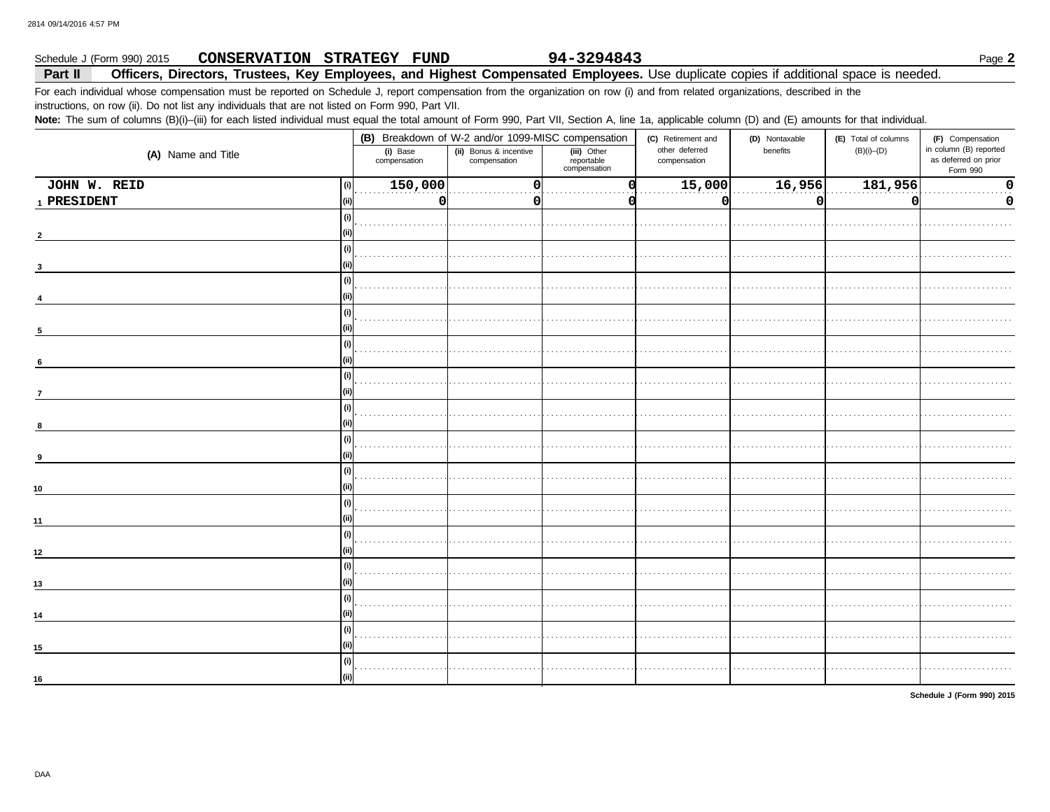#### 94-3294843 Schedule J (Form 990) 2015 CONSERVATION STRATEGY FUND Part II Officers, Directors, Trustees, Key Employees, and Highest Compensated Employees. Use duplicate copies if additional space is needed.

For each individual whose compensation must be reported on Schedule J, report compensation from the organization on row (i) and from related organizations, described in the

instructions, on row (ii). Do not list any individuals that are not listed on Form 990, Part VII.

Note: The sum of columns (B)(i)-(iii) for each listed individual must equal the total amount of Form 990, Part VII, Section A, line 1a, applicable column (D) and (E) amounts for that individual.

|                     |                          | (B) Breakdown of W-2 and/or 1099-MISC compensation |                                           |                                | (D) Nontaxable | (E) Total of columns | (F) Compensation                                           |
|---------------------|--------------------------|----------------------------------------------------|-------------------------------------------|--------------------------------|----------------|----------------------|------------------------------------------------------------|
| (A) Name and Title  | (i) Base<br>compensation | (ii) Bonus & incentive<br>compensation             | (iii) Other<br>reportable<br>compensation | other deferred<br>compensation | benefits       | $(B)(i)$ – $(D)$     | in column (B) reported<br>as deferred on prior<br>Form 990 |
| JOHN W. REID<br>(i) | 150,000                  | $\Omega$                                           |                                           | 15,000                         | 16,956         | 181,956              | $\mathbf 0$                                                |
| 1 PRESIDENT         | 0                        |                                                    |                                           | $\Omega$                       | 0              | n                    | 0                                                          |
| (i)                 |                          |                                                    |                                           |                                |                |                      |                                                            |
|                     |                          |                                                    |                                           |                                |                |                      |                                                            |
| (i)                 |                          |                                                    |                                           |                                |                |                      |                                                            |
|                     |                          |                                                    |                                           |                                |                |                      |                                                            |
| (i)                 |                          |                                                    |                                           |                                |                |                      |                                                            |
|                     |                          |                                                    |                                           |                                |                |                      |                                                            |
|                     | (i)                      |                                                    |                                           |                                |                |                      |                                                            |
| 5                   |                          |                                                    |                                           |                                |                |                      |                                                            |
| (i)                 |                          |                                                    |                                           |                                |                |                      |                                                            |
| 6                   |                          |                                                    |                                           |                                |                |                      |                                                            |
| (i)                 |                          |                                                    |                                           |                                |                |                      |                                                            |
|                     |                          |                                                    |                                           |                                |                |                      |                                                            |
|                     |                          |                                                    |                                           |                                |                |                      |                                                            |
|                     |                          |                                                    |                                           |                                |                |                      |                                                            |
|                     |                          |                                                    |                                           |                                |                |                      |                                                            |
|                     |                          |                                                    |                                           |                                |                |                      |                                                            |
| (i)                 |                          |                                                    |                                           |                                |                |                      |                                                            |
|                     |                          |                                                    |                                           |                                |                |                      |                                                            |
| 10<br>(i)           |                          |                                                    |                                           |                                |                |                      |                                                            |
|                     |                          |                                                    |                                           |                                |                |                      |                                                            |
| 11                  |                          |                                                    |                                           |                                |                |                      |                                                            |
| (i)                 |                          |                                                    |                                           |                                |                |                      |                                                            |
| 12                  |                          |                                                    |                                           |                                |                |                      |                                                            |
|                     | (i)                      |                                                    |                                           |                                |                |                      |                                                            |
| 13                  |                          |                                                    |                                           |                                |                |                      |                                                            |
|                     | (i)                      |                                                    |                                           |                                |                |                      |                                                            |
| 14                  |                          |                                                    |                                           |                                |                |                      |                                                            |
|                     |                          |                                                    |                                           |                                |                |                      |                                                            |
| 15                  |                          |                                                    |                                           |                                |                |                      |                                                            |
|                     |                          |                                                    |                                           |                                |                |                      |                                                            |
| 16                  |                          |                                                    |                                           |                                |                |                      |                                                            |

Schedule J (Form 990) 2015

Page 2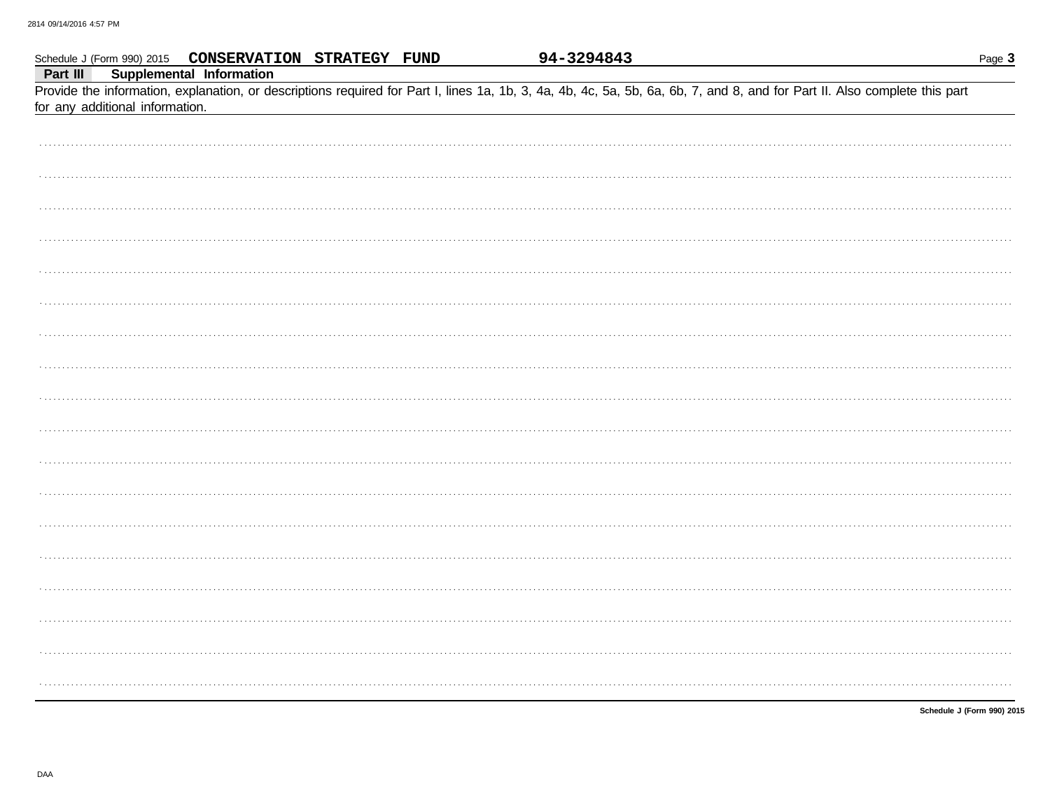| Part III |                                 | Schedule J (Form 990) 2015 CONSERVATION STRATEGY FUND |  | 94-3294843 |                                                                                                                                                                            | Page 3 |
|----------|---------------------------------|-------------------------------------------------------|--|------------|----------------------------------------------------------------------------------------------------------------------------------------------------------------------------|--------|
|          | for any additional information. | <b>Supplemental Information</b>                       |  |            | Provide the information, explanation, or descriptions required for Part I, lines 1a, 1b, 3, 4a, 4b, 4c, 5a, 5b, 6a, 6b, 7, and 8, and for Part II. Also complete this part |        |
|          |                                 |                                                       |  |            |                                                                                                                                                                            |        |
|          |                                 |                                                       |  |            |                                                                                                                                                                            |        |
|          |                                 |                                                       |  |            |                                                                                                                                                                            |        |
|          |                                 |                                                       |  |            |                                                                                                                                                                            |        |
|          |                                 |                                                       |  |            |                                                                                                                                                                            |        |
|          |                                 |                                                       |  |            |                                                                                                                                                                            |        |
|          |                                 |                                                       |  |            |                                                                                                                                                                            |        |
|          |                                 |                                                       |  |            |                                                                                                                                                                            |        |
|          |                                 |                                                       |  |            |                                                                                                                                                                            |        |
|          |                                 |                                                       |  |            |                                                                                                                                                                            |        |
|          |                                 |                                                       |  |            |                                                                                                                                                                            |        |
|          |                                 |                                                       |  |            |                                                                                                                                                                            |        |
|          |                                 |                                                       |  |            |                                                                                                                                                                            |        |
|          |                                 |                                                       |  |            |                                                                                                                                                                            |        |
|          |                                 |                                                       |  |            |                                                                                                                                                                            |        |
|          |                                 |                                                       |  |            |                                                                                                                                                                            |        |
|          |                                 |                                                       |  |            |                                                                                                                                                                            |        |
|          |                                 |                                                       |  |            |                                                                                                                                                                            |        |

Schedule J (Form 990) 2015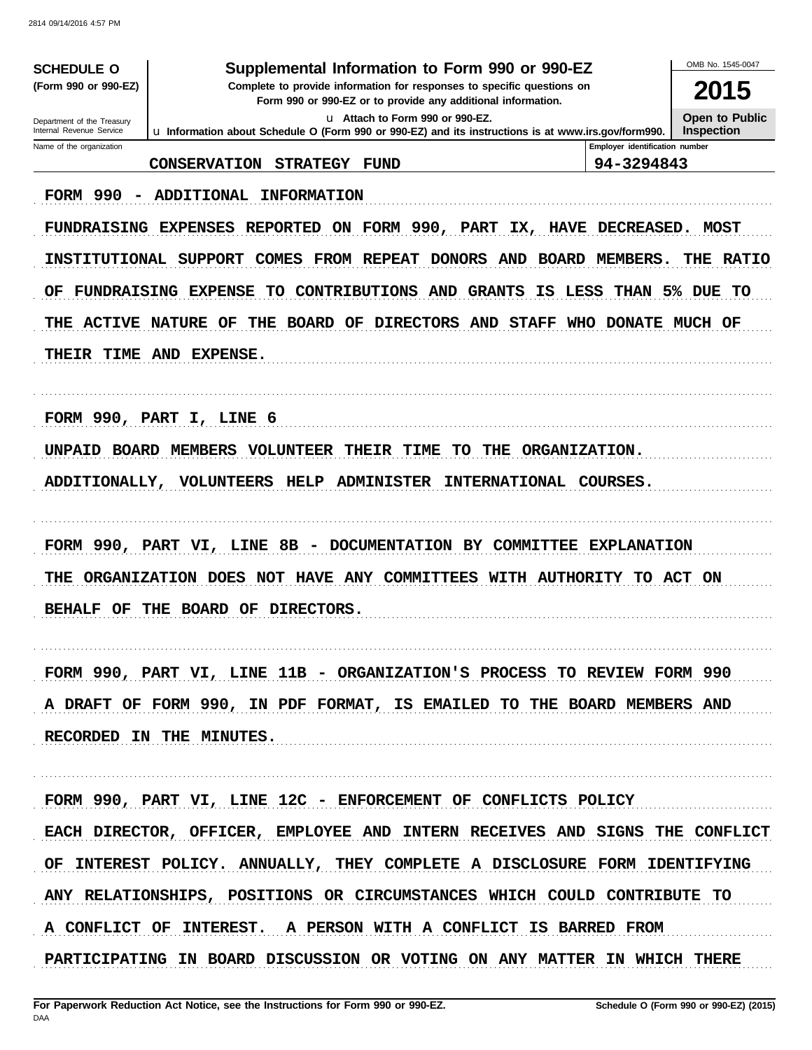| <b>SCHEDULE O</b><br>(Form 990 or 990-EZ)              | Supplemental Information to Form 990 or 990-EZ<br>Complete to provide information for responses to specific questions on |                                              | OMB No. 1545-0047<br>2015 |  |  |  |  |  |
|--------------------------------------------------------|--------------------------------------------------------------------------------------------------------------------------|----------------------------------------------|---------------------------|--|--|--|--|--|
|                                                        | Form 990 or 990-EZ or to provide any additional information.<br>u Attach to Form 990 or 990-EZ.                          |                                              | <b>Open to Public</b>     |  |  |  |  |  |
| Department of the Treasury<br>Internal Revenue Service | Lu Information about Schedule O (Form 990 or 990-EZ) and its instructions is at www.irs.gov/form990.                     |                                              | <b>Inspection</b>         |  |  |  |  |  |
| Name of the organization                               | <b>CONSERVATION STRATEGY</b><br><b>FUND</b>                                                                              | Employer identification number<br>94-3294843 |                           |  |  |  |  |  |
|                                                        |                                                                                                                          |                                              |                           |  |  |  |  |  |
|                                                        | FORM 990 - ADDITIONAL<br><b>INFORMATION</b>                                                                              |                                              |                           |  |  |  |  |  |
|                                                        | FUNDRAISING EXPENSES REPORTED ON FORM 990, PART IX, HAVE DECREASED. MOST                                                 |                                              |                           |  |  |  |  |  |
|                                                        | INSTITUTIONAL SUPPORT COMES FROM REPEAT DONORS AND BOARD MEMBERS.                                                        |                                              | THE RATIO                 |  |  |  |  |  |
| ОF                                                     | CONTRIBUTIONS AND GRANTS IS LESS THAN 5% DUE TO<br>FUNDRAISING EXPENSE<br>TO .                                           |                                              |                           |  |  |  |  |  |
|                                                        | THE ACTIVE NATURE OF<br>THE BOARD OF DIRECTORS AND STAFF WHO DONATE MUCH OF                                              |                                              |                           |  |  |  |  |  |
|                                                        | THEIR TIME AND EXPENSE.                                                                                                  |                                              |                           |  |  |  |  |  |
|                                                        |                                                                                                                          |                                              |                           |  |  |  |  |  |
|                                                        |                                                                                                                          |                                              |                           |  |  |  |  |  |
|                                                        | FORM 990, PART I, LINE 6                                                                                                 |                                              |                           |  |  |  |  |  |
|                                                        | UNPAID BOARD MEMBERS VOLUNTEER THEIR TIME<br>TO THE ORGANIZATION.                                                        |                                              |                           |  |  |  |  |  |
| ADDITIONALLY,                                          | <b>VOLUNTEERS HELP</b><br>INTERNATIONAL COURSES.<br><b>ADMINISTER</b>                                                    |                                              |                           |  |  |  |  |  |
|                                                        |                                                                                                                          |                                              |                           |  |  |  |  |  |
|                                                        | FORM 990, PART VI, LINE 8B - DOCUMENTATION BY COMMITTEE EXPLANATION                                                      |                                              |                           |  |  |  |  |  |
|                                                        | THE ORGANIZATION DOES NOT HAVE ANY COMMITTEES WITH AUTHORITY TO ACT ON                                                   |                                              |                           |  |  |  |  |  |
|                                                        | BEHALF OF THE BOARD OF DIRECTORS.                                                                                        |                                              |                           |  |  |  |  |  |
|                                                        |                                                                                                                          |                                              |                           |  |  |  |  |  |
|                                                        |                                                                                                                          |                                              |                           |  |  |  |  |  |
|                                                        | FORM 990, PART VI, LINE 11B - ORGANIZATION'S PROCESS TO REVIEW FORM 990                                                  |                                              |                           |  |  |  |  |  |
|                                                        | A DRAFT OF FORM 990, IN PDF FORMAT, IS EMAILED TO THE BOARD MEMBERS AND                                                  |                                              |                           |  |  |  |  |  |
|                                                        | RECORDED IN THE MINUTES.                                                                                                 |                                              |                           |  |  |  |  |  |
|                                                        |                                                                                                                          |                                              |                           |  |  |  |  |  |
|                                                        | FORM 990, PART VI, LINE 12C - ENFORCEMENT OF CONFLICTS POLICY                                                            |                                              |                           |  |  |  |  |  |
|                                                        | EACH DIRECTOR, OFFICER, EMPLOYEE AND INTERN RECEIVES AND SIGNS THE CONFLICT                                              |                                              |                           |  |  |  |  |  |
|                                                        | OF INTEREST POLICY. ANNUALLY, THEY COMPLETE A DISCLOSURE FORM IDENTIFYING                                                |                                              |                           |  |  |  |  |  |
|                                                        | ANY RELATIONSHIPS, POSITIONS OR CIRCUMSTANCES WHICH COULD CONTRIBUTE TO                                                  |                                              |                           |  |  |  |  |  |
|                                                        | A CONFLICT OF INTEREST. A PERSON WITH A CONFLICT IS BARRED FROM                                                          |                                              |                           |  |  |  |  |  |
|                                                        | PARTICIPATING IN BOARD DISCUSSION OR VOTING ON ANY MATTER IN WHICH THERE                                                 |                                              |                           |  |  |  |  |  |